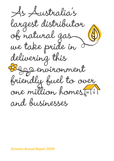s Australia's largest distributor of natural gas we take pride in delivering this environment friendly fuel to over one million homes and businesses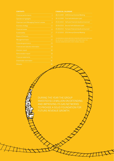| <b>Financial performance</b>              | $\overline{c}$ |
|-------------------------------------------|----------------|
| Operational highlights                    | 4              |
| Chairman's and Managing Director's review | 6              |
| <b>Business strategy</b>                  | 12             |
| <b>Financial review</b>                   | 14             |
| <b>Sustainability</b>                     | 17             |
| <b>Board of Directors</b>                 | 20             |
| Management team                           | 22             |
| Corporate governance                      | 23             |
| Financial and statutory information       | 29             |
| Directors' report                         | 30             |
| <b>Remuneration report</b>                | 33             |
| <b>Financial statements</b>               | 41             |
| Shareholder information                   | 81             |
| $\sim$                                    | $\sim$         |

| 28.10.2009 2009 Annual General Meeting           |
|--------------------------------------------------|
| 30.10.2009 First-half distribution paid          |
| 25.02.2010 Half-year financial results announced |
| 30.04.2010 Second-half distribution paid         |
| 26.08.2010 Full-year financial results announced |
| 27.10.2010 2010 Appual Coperal Mooting           |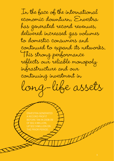In the face of the international economic downturn, Envestra has generated record revenues, delivered increased gas volumes to domestic consumers and continued to expand its networks. This strong performance reflects our reliable monopoly infrastructure and our continuing investment in long-life assets

 ENVESTRA GENERATED BEFORE TAX IN 2008-09 UP \$32.9 MILLION ON THE PRIOR PERIOD.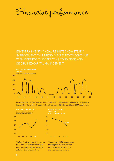Financial performance

 ENVESTRA'S KEY FINANCIAL RESULTS SHOW STEADY IMPROVEMENT. THIS TREND IS EXPECTED TO CONTINUE WITH MORE POSITIVE OPERATING CONDITIONS AND DISCIPLINED CAPITAL MANAGEMENT.



 $<sup>(1)</sup>$  All debt maturing in 2009-10 was refinanced in July 2009. Envestra's financing strategy for many years has</sup> been to extend the duration of its debt portfolio. The average debt maturity at 30 June 2009 was 9.3 years.



 The Group's Interest Cover Ratio improved in 2008-09 and is considered strong in view of the Group's regulated monopoly status and its reliable cash flows.

The significant shift to predominantly funding growth capital expenditure from surplus cash flow will further improve this gearing measure.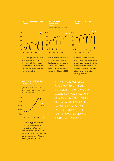

 The Company generated a record profit before tax of \$52.4 million due mainly to higher volumes delivered to the domestic market and the annual increase in tariffs charged to retailers.

 A key measure of our success is cash flow available to pay distributions to shareholders. Cash flow was 1.4 times distributions and is expected to increase to 1.5 times in 2009-10.



We expect to continue investing more than \$100 million each year upgrading our assets and installing new networks. About 80% of our investments are growth orientated, with the remainder spent on replacing old assets.

**ACCUMULATED RETURNS TO SHAREHOLDERS**

\$1,000 invested in 1997. Assumes that distributions paid are reinvested at the security price as at the end of the year and participation in the 2009 Rights Issue.



 The continuing global economic crisis, together with ongoing uncertainty in the Australian share market, held returns to our shareholders for 2008-09 (for those who participated in the February 2009 Rights Issue) to 0.3%.

FOR GROWTH CAPITAL EXPENDITURE WAS MAINLY SOURCED FROM NEW DEBT AND EQUITY. OVER THE SIX YEARS TO 2014 WE EXPECT TO FUND THIS ACTIVITY LARGELY FROM SURPLUS CASH FLOW AND MODEST INCREASES IN EQUITY.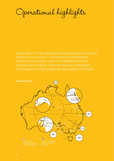Operational highlights

ABOUT 85% OF THE COMPANY'S OPERATIONS ARE IN VICTORIA AND SOUTH AUSTRALIA – THE TWO COLDEST MAINLAND STATES IN THE NATION. TODAY THE COMPANY DELIVERS NATURAL GAS TO MORE THAN ONE MILLION CONSUMERS AND CONNECTS OVER 20,000 NEW CONSUMERS EACH YEAR.

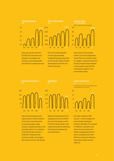



**TOTAL CONSUMERS**

 Every year we add more than 20,000 new consumers to our networks. On average, each domestic consumer generates around \$275 in revenue per year.

The environmental benefits of natural gas are widely recognised by governments and the community. Today, Envestra delivers gas to more than one million consumers.



Refer to Glossary of Terms (page 84)



Gas volumes to the domestic market, from which we generate around 90% of our revenue, have on average, increased by about 2% annually, despite being impacted in recent years by warmer than normal winter weather in the south-eastern states.

## **MAINS REPLACEMENT**

**NEW MAINS**



 Over the past decade we have replaced about 2,000 kilometres of old cast iron and steel pipes by inserting smaller, higher pressure, polyethylene pipes in the redundant pipes. Our investment in this activity was reduced in 2008-09 in response to the economic climate. This program will continue over the next decade.

 State and Federal Government energy policies which promote the use of natural gas, and the First Home Owners Grant, have sustained demand for extending the Company's networks into new subdivisions.

#### **SAFETY STATISTICS**

A Lost Time Injury (LTI) is an injury that results in one full day or more off work.



 Our major contractor, APA, has over 1,100 employees and subcontractors working for Envestra. Although LTIs increased in 2008-09, most were in the nature of muscle strains and workers were generally back at work in a relatively short time. APA has increased its efforts on improving its safety record in 2009-10.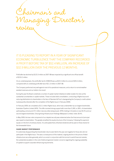Chairman's and Managing Director's review

 IT IS PLEASING TO REPORT IN A YEAR OF SIGNIFICANT ECONOMIC TURBULENCE THAT THE COMPANY RECORDED A PROFIT BEFORE TAX OF \$52.4 MILLION, AN INCREASE OF \$32.9 MILLION OVER THE PREVIOUS 12 MONTHS.

Profit after tax declined by \$123.3 million as 2007-08 was impacted by a significant one-off tax benefit of \$153.2 million.

On an underlying basis, the profit after tax for 2008-09 was up \$24.3 million to a record \$35.6 million, compared with an underlying profit after tax of \$11.3 million in 2007-08.

 The Company performed very well against most of its operational measures, and a return to normal weather assisted revenues and our bottom-line result.

 During the year the Board undertook a number of capital market initiatives to better enable it to ride out the substantial uncertainties in capital markets. These included debt consolidation, conducting a Rights Issue and reducing distributions to shareholders in the face of Standard & Poor's downgrading the Company's credit outlook (subsequently retracted after the completion of the Rights Issue in February 2009).

 In February 2009, we completed a \$111 million Rights Issue, which was underwritten by our largest shareholder, Australian Pipeline Limited (APA). The offer received strong support with more than 5,300, or 28%, of shareholders participating, and around 371 million new securities being issued. APA's holding in Envestra is now 30.4% and our second largest shareholder, Cheung Kong Infrastructure Holdings (Malaysian) Limited, holds 18.4%.

In May 2009, the loan note component of our stapled security was redeemed when the final amount of principal was repaid to shareholders. This greatly simplified the equity structure of the Company. Following this payment, equity is in the form of ordinary shares. It is anticipated that unfranked dividends will be paid on these shares for the foreseeable future.

#### **SHARE MARKET PERFORMANCE**

It is extremely disappointing that shareholder returns were flat for the year and negative for those who did not participate in the Rights Issue. This was a consequence of the material, ongoing decline in the prices of listed infrastructure securities generally, which occurred in conjunction with the turmoil in world financial markets, the substantial escalation in the cost of debt and general investor concerns regarding the ongoing availability of capital to support corporate refinancing requirements.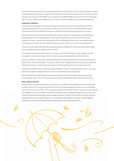The Board deemed it prudent to reduce annual distributions from 9.5 cents to 5.5 cents to conserve capital in response to the global financial crisis and in recognition of the fact that the number of securities on issue increased by over 40% during the year as a result of the Rights Issue. Distributions for 2008-09 totalled 7.25 cents (4.5 cents in November and 2.75 cents in May), and are expected to be 5.5 cents in 2009-10, payable in equal half-yearly instalments.

#### **FINANCING STRATEGY**

Envestra's financing strategy for many years has been to extend the duration of its debt portfolio, aim to have refinancing in place at least six months prior to maturity, and set a limit of 15% of the debt portfolio to mature in any one year. At 30 June 2009, the average loan maturity for the Envestra group was just over nine years.

During the year the Company refinanced \$255 million of debt. However, the margins were substantially above those that applied to the maturing facilities, and the new loan periods were shorter than those which were available in the past. These terms are symptomatic of the current global financial crisis. These additional costs are potentially recoverable via future regulatory resets, and in part, under our current access arrangements.

There are no further significant debt refinancing requirements until May 2011, other than a \$100 million facility due in July 2010 which was undrawn at 30 June 2009.

The Company's exposure to interest rate risk is minimal as over 95% of floating rate debt is hedged in line with the regulatory reset periods through to 2011 for South Australia and Queensland, and 2012 for Victoria.

 At 30 June 2009 the Company had undrawn bank facilities amounting to \$236 million with terms extending from 2009 to 2012. These credit facilities, in conjunction with the cash being generated by the business, are more than sufficient to support our capital expenditure program and fund operating costs over the next several years.

 During the year, \$250.9 million of debt was repaid whilst \$180.7 million of new debt was drawn down. Our capital expenditure program was largely financed by internal cash generation and equity raisings.

 More than 80% of the credit-wrapped Capital Indexed Bonds issued by the Envestra Group are guaranteed by the monoline insurer, FSA, which has maintained its AAA credit rating during these difficult financial times.

#### **DEBT CONSOLIDATION**

During the year we sought approval from our financiers to consolidate the debt packages of Envestra Limited and Envestra Victoria Pty Ltd, and to have covenants under the financing arrangements measured on a consolidated basis in the future. A pre-condition of the consolidation was the raising of \$100 million in equity, which was achieved via the Rights Issue. The consolidation enabled the Group to access the relatively stronger financial metrics of the Parent Company and avoid the tight interest coverage covenants in Envestra Victoria which could have restricted capital expenditure in that State in the future. The consolidation also assisted in having the "Outlook Negative" classification on the Group's investment grade rating being removed by Standard & Poor's.

**7**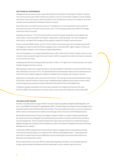#### **OUR FINANCIAL PERFORMANCE**

Haulage and services revenue, which is generated mainly from the delivery of natural gas for retailers, increased 12% over the previous year to \$372.9 million due mainly to a return to normal winter conditions in South Australia and Victoria, the annual increase in tariffs, the addition of over 23,000 new consumers to the networks, and mains relocation work associated with the Brisbane Airport Link project.

 Gas volumes were in line with the previous year at 1.15 petajoules, but more importantly the volume delivered to domestic and small commercial consumers was up 5%. The Company generates around 90% of its haulage revenue from these consumers.

 Operating costs were up 1.7% on the previous year as a result of increased maintenance on the networks due to leak repairs, and the associated cost of system use gas (that is, replacing the gas "lost" due to leakage and other factors), and higher APA management fees payable in reward for Envestra's improved revenue.

 Finance costs were \$158.3 million, up 9.3% or \$13.5 million on the previous year due to increased interest rates on hedges put in place to match the Victorian regulatory reset in December 2007, higher margins on refinanced debt and higher indexation on the Company's Capital Indexed Bonds.

The cost of indexation on our Capital Indexed Bonds was up \$5.2 million to \$17.6 million; however, these non-cash costs are mostly recovered through the annual increase in tariffs, the adjustments to which are linked to movements in the consumer price index.

Underlying cash flow from operating activities was \$121.3 million, 15% higher than in the previous year, due mainly to higher haulage and services revenue.

After allowing for replacement capital expenditure, cash flow available for distributions amounted to \$103.9 million, with a distribution cover ratio of 137%. It is expected that this ratio will steadily improve over the next few years as a result of the recent capital management initiatives undertaken by the Company, and increases in revenue.

 Distributions to shareholders were reduced from 9.5 cents to 7.25 cents per security, with total distributions being \$75.8 million, down \$5.9 million on the prior year, notwithstanding the additional amount paid on new securities issued during the year under the Company's Distribution Reinvestment Plan and the Rights Issue.

 The balance owing to shareholders on the loan note component of our stapled securities was 4.94 cents at 30 June 2008. The final repayment on the loan note occurred as part of the distribution made in May 2009.

#### **THE REGULATORY REGIME**

Envestra's monopoly position as a gas distributor has been subject to regulatory oversight by State Regulators, and since 1 July 2008 by the Australian Energy Regulator (AER). The AER reviews the Company's Access Arrangements at five-yearly intervals under the National Gas Law and Rules. This process determines revenue, and as a consequence, tariffs, as well as contractual terms for retailers and some large volume consumers over the following five years.

 We reported last year that the Company had lodged an appeal in relation to a range of matters associated with the review (by the previous Regulator, the Essential Services Commission of Victoria) of the Victorian and Albury Access Arrangements. These included the allowed rate of return that can be earned on investments (known as Weighted Average Cost of Capital) and the disallowance of 50% of the network management fee paid to APA Asset Management (our operator).

In November 2008, the Appeal Panel ruled that the full network management fee is recoverable by Envestra. The Panel also ruled favourably on a component of the "Efficiency Sharing Mechanism". These adjustments will result in increased revenue of around \$8 million over the remaining four-year period of the Victorian and Albury Access Arrangements, to 2012.

We are hopeful that the move to the AER from State-based Regulators will deliver a more equitable approach to balancing the interests of distributors and their shareholders, and the interests of gas consumers.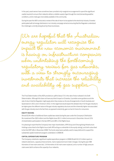In the past, asset owners have sometimes been provided only marginal encouragement to spend the significant capital required to ensure their networks deliver a reliable supply of gas through the most demanding weather conditions, and to make gas more widely available in the community.

 During the year the AER conducted a review of the rate of return to be applied to the electricity industry. Envestra participated with all energy distributors in an industry campaign aimed at ensuring that the Regulator understood the challenges currently being faced by these businesses.

We are hopeful that the Australian energy regulator will recognise the act the new economic environment aving on infrastructure companies when undertaking the forthcoming regulatory reviews for gas networks, with a view to strongly encourag investments that increase the reliabilit and availability of gas su

 The Final Determination of the AER provided an uplift of about 1% in the rate of return allowed in its Draft Determination. Although this does not have any direct impact on Envestra, it provides some guidance as to the rate of return that the Regulator might apply when they review our Access Arrangements in South Australia and Queensland in 2011 and in Victoria in 2012. In this regard we would expect the allowed return for the gas industry to be higher given the different nature of the gas industry regulatory structure and the inherently higher risk associated with the gas industry due to the fact that, as opposed to electricity, gas is a fuel of choice for consumers.

#### **EQUITY RAISING**

Almost \$134 million of additional share capital was raised during the year under the Company's Distribution Re-investment Plan (\$23 million) and the Rights Issue (\$111 million) announced in December. Around 15% of shareholders participated in the two DRPs and 28% in the Rights Issue.

 It is pleasing to report that the Company's two major shareholders, APA Group and Cheung Kong Infrastructure Holdings subscribed to the Rights Issue (with APA acting as underwriter to the equity raising), and both subscribed to the first DRP offer in November 2008. The funds raised were partially used to repay debt and to support the substantial capital investment program undertaken in 2008-09.

#### **CAPITAL EXPENDITURE PROGRAM**

The Company undertook a significant capital expenditure program in 2008-09 with \$112.5 million spent on network extensions, capacity enhancements, mains replacement and meter changes. During the year 298 kilometres of new mains were laid, 114 kilometres of old mains were replaced, and a number of high pressure mains were laid to enhance the capacity of our networks.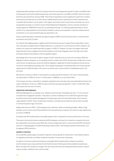Capital expenditure allowed under the Company's three Access Arrangements was \$175 million and \$200 million for Queensland and South Australia respectively, over the five years from July 2006, and \$352 million for Victoria, for the five-year period from January 2008. These levels of expenditure require significant support from investors and financiers and will only occur where we are satisfied that the returns expected from these investments are consistent with Envestra's cost of capital. In this regard, due to the turmoil in world financial markets, the cost of raising debt and equity is currently in excess of that allowed by the Regulators, and as a result we reviewed our capital program for 2008-09 and reduced our spending for the year. In containing capital expenditure, we are mindful of our responsibilities to ensure that the networks continue to be operated in a safe and reliable manner, and that this is not compromised through any expenditure cuts.

 Similar capital expenditure constraints will apply throughout 2009-10 and we forecast that our investments will be limited to around \$115 million.

Our interest rate hedging program, together with the fact that we have put a range of financing facilities in place over many years at margins that are relatively attractive in comparison to current financial market conditions, will enable us to support the capital expenditure program in 2009-10. However, as noted, the program will be well below that which was envisaged by the South Australian and Victorian Regulators due to the high cost of debt and equity relative to that allowed under the regulatory regime.

 Gas leakage (which forms part of system use gas or SUG) continues to be an issue for the Company. While the Regulators make an allowance in our operating costs for a certain rate of SUG, the level does not take into account recent trends. During the year, we did not meet the Regulator's target rate for South Australia and Victoria and as a result incurred additional operating costs. This is despite having spent considerable effort over the past decade replacing some 2,000 kilometres of old cast iron and steel mains, via the insertion of polyethylene pipe in the old mains.

 We intend to increase our efforts in reducing SUG, by replacing 145 kilometres of "old" pipe in South Australia and Queensland in 2009-10 (up from 114 kilometres in 2008-09), at a cost of \$19 million.

 The Company has been contracted to undertake substantial mains relocation work associated with the Airport Link project in Brisbane. At 30 June, 2009, the value of this work was approximately \$3.7 million. A further \$5 million will be spent over the next 12 months.

#### **OPERATOR PERFORMANCE**

APA Asset Management, as operator of our networks, performed well. Operating costs rose 1.7% as a result of increased leak management activities. There were a number of relatively minor incidents throughout the year, primarily caused by third parties damaging the Company's gas mains and associated assets, which required urgent attention by APA. These incidents were handled in a professional and efficient manner, which resulted in minimal disruption to gas consumers.

Safety performance for APA's 1,100 employees and contractors, whilst not meeting all targets, reflects a high standard, and is a direct result of their attention to this key performance measure. No injuries of major significance occurred in 2008-09.

During the year APA implemented a new safety program which is expected to improve performance in this area.

There were nine lost-time injuries sustained by APA employees, and seven for contractors compared to five and two respectively in the previous year. Whilst we continue to target reductions in conjunction with APA, the desired outcome is challenging given the difficult working conditions often confronting the operator's field workers, and the ageing of APA's workforce.

#### **GROWTH STRATEGY**

Our substantial capital program provides for long-term revenue growth as investments in new networks expand our regulatory asset base, and deliver sustained increases in revenue over many years.

Conditions in financial markets precluded any meaningful effort being directed to network acquisitions, and this situation was compounded by the fact that there were limited opportunities available during the year. We do not expect this situation to change in the near future with financial markets generally reluctant to support major acquisition initiatives in the current climate.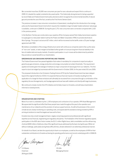We connected more than 20,000 new consumers per year for over a decade and expect this to continue in 2009-10, despite the capital constraints discussed earlier. This historically strong demand is being supported by recent State and Federal Government policy decisions which recognise the environmental benefits of natural gas and promote the use of the fuel, as well as the First Home Owners Grant.

 The previous increase in new consumer connections in Queensland, resulting from the introduction of an energy policy by the Queensland Government which requires the installation of gas hot water heaters wherever natural gas is available, continued in 2008-09. During the year 2,751 new consumers were connected compared with 2,163 in the previous period.

 In the Northern Territory we constructed a spur pipeline off the Company owned Palm Valley transmission pipeline to supply gas to a new power station built by the Power and Water Corporation (PWC) to provide electricity to Alice Springs. The project cost around \$7 million, which will be recovered via the tariffs under a 25-year haulage agreement with PWC.

 We believe consolidation of the energy infrastructure sector will continue as companies seek to free-up the value of "non-core" assets, or seek mergers to facilitate further growth or to ensure long-term financial stability in the face of volatile debt and equity markets. Envestra's participation in such moves will be determined by whether they provide an overall benefit to our shareholders.

#### **GREENHOUSE GAS EMISSIONS REPORTING AND TRADING**

The Federal Government has passed legislation that makes it mandatory for companies to report annually on greenhouse gas emissions, energy production and energy consumption at certain thresholds. The requirement applies to Envestra given the leakage of methane (a major component of natural gas) from our networks. The first report is due to be lodged by businesses with the Government in October 2009, for the year ended 30 June 2009.

 The proposed introduction of an Emissions Trading Scheme (ETS) by the Federal Government has been delayed beyond the original timeframe of 2010. It is expected that any financial impost on Envestra resulting from the application of a charge for these emissions will ultimately be recovered from consumers through a combination of the regulatory Access Arrangements, and haulage agreements we have with retailers and directly with large businesses.

 We continue to closely monitor this ETS initiative and its likely impact on Envestra, and will keep shareholders informed on developments.

#### **ORGANISATION AND STAFFING**

Most of our work is undertaken by the 1,100 employees and contractors of our operator, APA Asset Management. We appreciate the significant effort that these people have made throughout the year to the operation and maintenance of our networks and the provision of various support services. As with all businesses in the current climate we are closely monitoring our operating costs, and appreciate the assistance being provided by APA in arriving at solutions to meet the targets we have set for them.

Envestra has only a small management team, largely comprising experienced professionals with significant expertise across financial, engineering and regulatory disciplines. The finalisation of the Victorian regulatory appeal, participation in the AER rate of return review, the \$111 million Rights Issue, debt consolidation and the refinancing of almost \$400 million of debt are a few of the significant issues addressed by the team during the year. While not without challenge, particularly during these difficult times, all were delivered in an extremely professional manner.

 On behalf of our Board, we take the opportunity to thank our employees, as well as the employees of APA for their substantial contributions to Envestra achieving its operating performance and record underlying profit in 2008-09.

Jehn Aupass

 J G Allpass I B Little 28 August 2009

Chairman **Managing Director** Managing Director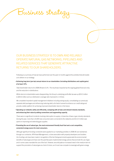

# OUR BUSINESS STRATEGY IS TO OWN AND RELIABLY OPERATE NATURAL GAS NETWORKS, PIPELINES AND RELATED SERVICES THAT GENERATE ATTRACTIVE RETURNS TO OUR SHAREHOLDERS.

 Following is a summary of how we have performed over the past 12 months against the activities that will enable us to deliver on our strategy:

#### **• Achieving long-term (pre-tax) annual returns to our shareholders (including distributions and capital gains) of at least 10%.**

*Total shareholder returns for 2008-09 were 0.3%. The result was impacted by the ongoing global financial crisis, and the reduction in distributions.*

*While returns to shareholders were disappointing, the Group's underlying profit after tax was up \$24.3 million to \$35.6 million and our distribution coverage ratio improved to 1.4 times.*

 *We completed important capital management initiatives including raising equity, consolidating our previously*  separate debt packages and refinancing maturing debt, all of which served to enhance our credit rating and *provide a better platform for achieving improved shareholder returns in the future.*

• Operating our networks safely and efficiently, complying with all laws and relevant industry standards, **and enhancing their value by adding connections and augmenting capacity.**

There were no significant incidents involving interruption to supply, or breaches of laws or gas industry standards. *During the year, more than 23,000 new consumers were connected to the networks and \$112.5 million was spent on improving and extending gas supplies.*

**• Promoting the use of natural gas, the most environment friendly fossil fuel and a cost competitive, convenient energy source for most consumers.**

*Although signifi cant funding constraints were applied to our marketing activities in 2008-09, we maintained, through our contractor, APA Asset Management, a close association with property developers and builders. Our funding cuts have been made in recognition of the fact that governments appreciate the environmental* benefits of natural gas and have over the past few years implemented energy polices that promote the use of gas *and in some cases mandate the use of the fuel. However, we anticipate an increased need in the medium term to support the promotion of natural gas as a fuel of choice, as it must now compete increasingly with green energy.*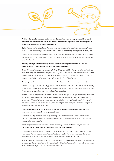

**• Positively changing the regulatory environment so that investment is encouraged, reasonable economic rewards are available to network owners and the long-term interests of gas consumers (including supply**  reliability and environmental benefits) are protected.

*During the year, the Australian Energy Regulator undertook a review of the rate of return (commonly known* as WACC, or Weighted Average Cost of Capital) that will apply to the electricity industry for the next five years.

*We participated in an industry campaign conducted by participants in the energy infrastructure sector, aimed at ensuring the Regulator understood the challenges currently being faced by these businesses (refer to page 8 for further details).*

**• Profi tably growing our business through network expansion, building new transmission pipelines, adding related gas infrastructure and making appropriate acquisitions.**

*Almost 300 kilometres of new mains were laid in 2008-09 at a cost of \$25 million, bringing the total to 20,436 kilometres. Today the Company delivers gas to around 1,037,000 consumers. There was no activity in relation* to new transmission pipelines and acquisitions. With regard to acquisitions, it was a combination of a lack of *attractive opportunities and the current economic climate that drove this outcome.*

**• Delivering natural gas to our consumers in a manner that has minimal effect on the environment.**

*There were no major incidents involving gas leaks, and our contractor continued to perform its role in repairing gas mains and the associated equipment, and installing new mains in a manner sympathetic to the environment. There were no contraventions of environmental codes or guidelines.*

*When the Company acquired the Victorian business in 1999 (including The Albury Gas Company), it included a small number of sites that were used some 40 years ago for the production of coal gas. These sites contain by-products of this production process and require rehabilitation. We are working closely with the respective local council and Environmental Protection Agency to identify the most appropriate remediation program to address the known contamination issues.*

**• Providing outstanding service to our retail and commercial consumers that ensures continuing growth in consumer connections and increasing gas deliveries.**

*Fewer than 40 complaints were received by the Energy Ombudsmen across all States in relation to the Company's assets and activities. This represents a sound performance as more than one million consumers are connected to our networks.*

**• Maintaining a work environment for our employees and major contractor that encourages innovation and professionalism, recognises and rewards success, and promotes safety.**

*Envestra and APA Asset Management promote skills enhancement of employees and contractors through company funded training programs. This includes attendance at tertiary courses and support of various apprenticeship schemes as well as specialised courses or events for experienced staff.*

 *APA has a major focus on safety through an incentive scheme for all employees under which they are rewarded*  for reaching certain targets. This incentive recognises the difficult working conditions many of their employees *encounter. Refer to page 17 for APA's safety statistics for 2008-09.*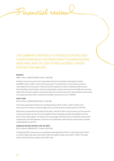Financial review

 THE COMPANY CONTINUED TO PRODUCE STRONG CASH FLOWS FROM WHICH DISTRIBUTIONS TO SHAREHOLDERS WERE PAID, AND THE COST OF REPLACEMENT CAPITAL EXPENDITURE WAS MET.

#### **REVENUE**

\$389.1 million in 2008-09 *(\$346.0 million in 2007-08).*

 Envestra's revenue and income, which is generated mainly from the delivery of natural gas for retailers, was \$389.1 million, up \$43.1 million on the previous year. The improvement in revenue was due mainly to cooler weather than the prior year in Victoria and South Australia, the increase in distribution tariffs across all three major States (South Australia, Victoria and Queensland), as well as revenue from the 23,000 new consumers added to the Company's networks. Land sale proceeds and increased revenue from mains alterations works carried out during the year were further contributors to the higher revenue and income in 2008-09.

#### **CASH FLOWS**

\$122.3 million in 2008-09 *(\$94.8 million in 2007-08).*

The Company generated cash flows from operating activities of \$122.3 million, up \$27.5 million on the previous year due mainly to increased haulage revenue and the timing of an interest payment in 2007-08.

 Distributions to shareholders amounted to \$75.8 million, down \$5.9 million on the prior year, due to the reduction in the amount paid per security. The remaining \$46.5 million of operating cash flows was available to fund the \$112.5 million capex program. The balance of the capex program was financed by a combination of equity raised during the year, and debt drawdowns. Cash flow cover of distributions, after financing costs and stay-in-business capital expenditure, was137%.

#### **EARNINGS BEFORE INTEREST AND TAX (EBIT)**

\$213.0 million in 2008-09 *(\$175.1 million in 2007-08).*

The significant EBIT improvement occurred despite operating expenses of \$113.1 million being up \$1.9 million as a result of higher leak repair costs (up \$3.4 million) and system use gas costs (up \$0.7 million). The strong revenue result noted above underpinned the EBIT result.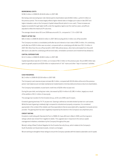#### **BORROWING COSTS**

\$158.3 million in 2008-09 *(\$144.8 million in 2007-08).*

 Borrowing costs (excluding loan note interest paid to shareholders) were \$158.3 million, up \$13.5 million on the previous period. The increase largely reflects higher interest rates on hedges put in place in late 2007 and higher indexation costs on the Company's Capital Indexed Bonds (which is non-cash). These increases are largely recoverable through higher tariffs under the regulatory regime over the next four years, as tariffs are adjusted to reflect the historical CPI outcomes.

The average interest rate at 30 June 2009 was around 8.1%, compared to 7.1% in 2007-08.

#### **PROFIT AFTER TAX**

\$40.3 million in 2008-09 (\$163.6 million in 2007-08 (including \$153.2 million one-off tax benefit)).

The Company recorded a consolidated profit after tax and interest on loan notes of \$40.3 million. An underlying profit after tax of \$35.6 million was recorded, compared with an underlying profit after tax of \$11.3 million in 2007-08. Other than the one-off tax benefit in 2007-08 outlined above, other items eliminated from the profit after tax to calculate the underlying profit are land sales, remediation provisions and investment tax allowance.

#### **CAPITAL EXPENDITURE**

\$112.5 million in 2008-09 *(\$108.3 million in 2007-08).*

 Capital expenditure was \$112.5 million, an increase of \$4.2 million on the previous year. Around \$95 million was spent on growth projects and \$18 million on replacement of "old" mains and other "stay-in-business" activities.

#### **CASH RESERVES**

\$6.2 million in 2008-09 (*\$10.8 million in 2007-08).*

 The Company's cash reserves at year end were \$6.2 million, compared with \$10.8 million at the end of the previous period. Cash balances are normally maintained at modest levels to minimise debt and enhance returns to shareholders.

The Company had available unused bank credit lines of \$236 million at year end.

 During the year debt, excluding loan notes, decreased by \$52.4 million to \$1,981.4 million, largely as a result of the addition of \$111 million of new equity.

The average loan duration for the Envestra Group, at 30 June 2009, was 9.3 years.

Envestra's gearing level was 74.7% at year-end. Gearing is defined as net debt divided by total non-cash assets. Whilst the level of gearing is relatively high compared to industrial and property companies, it is considered appropriate in the context of the reliable cash flow expectations that are associated with a regulated monopoly service provider. The gearing level has been negatively impacted by the decline in the Company's security/share price.

#### **CREDIT RATING**

Envestra's credit rating with Standard & Poor's of BBB-/A-3 was affirmed in March 2009, and the long-term ratings outlook was revised from negative to stable. This upgrade was in response to the various capital management initiatives undertaken by the Company throughout the year.

 Moody's rating of Baa2 Outlook Negative for the Envestra Security Group, which relates to the Company's South Australian and Queensland assets, remains unchanged.

We are working to strengthen these ratings to ensure the Company operates with the lowest sustainable cost of capital.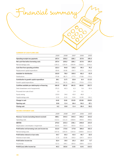Financial summary

#### **SUMMARY OF CASH FLOWS (\$M)**

| 257.4   | 230.2   | 226.1   | 217.6   | 195.4   |
|---------|---------|---------|---------|---------|
| 257.4   | 230.2   | 226.1   | 217.6   | 195.4   |
| (135.1) | (135.4) | (106.9) | (118.3) | (119.2) |
| 122.3   | 94.8    | 119.2   | 99.3    | 76.2    |
| (18.4)  | (16.8)  | (18.7)  | (17.1)  | (14.3)  |
| 103.9   | 78.0    | 100.5   | 82.2    | 61.9    |
| (75.8)  | (81.7)  | (77.7)  | (73.8)  | (73.1)  |
| 28.1    | (3.7)   | 22.8    | 8.4     | (11.2)  |
| (94.1)  | (91.5)  | (89.1)  | (75.0)  | (72.5)  |
| (66.0)  | (95.2)  | (66.3)  | (66.6)  | (83.7)  |
| (70.2)  | 60.3    | 6.3     | 5.6     | 65.9    |
| 1.0     |         | 2.4     | 0.1     |         |
| 133.9   | 34.6    | 43.0    | 49.9    |         |
| (3.3)   | (0.3)   | (0.4)   | (12.8)  | (19.1)  |
| (4.6)   | (0.6)   | (15.0)  | (23.8)  | (36.9)  |
| 10.8    | 11.4    | 26.4    | 50.2    | 87.1    |
| 6.2     | 10.8    | 11.4    | 26.4    | 50.2    |
|         |         |         |         |         |

|                                                  | 2009    | 2008    | 2007    | 2006    | 2005    |
|--------------------------------------------------|---------|---------|---------|---------|---------|
| Revenue / income (excluding interest received)   | 388.1   | 344.5   | 344.5   | 340.2   | 314.6   |
| Operating costs                                  | (113.1) | (111.2) | (108.4) | (99.4)  | (99.6)  |
| <b>EBITDA</b>                                    | 275.0   | 233.3   | 236.1   | 240.8   | 215.0   |
| Depreciation / amortisation / impairment         | (63.0)  | (59.7)  | (58.3)  | (55.2)  | (51.7)  |
| Profit before net borrowing costs and income tax | 212.0   | 173.6   | 177.8   | 185.6   | 163.3   |
| Net borrowing costs                              | (157.3) | (143.3) | (134.3) | (138.9) | (131.3) |
| Profit before interest on loan notes             | 54.7    | 30.3    | 43.5    | 46.7    | 32.0    |
| Interest on loan notes                           | (2.3)   | (10.8)  | (18.2)  | (24.7)  | (26.3)  |
| Profit before income tax                         | 52.4    | 19.5    | 25.3    | 22.0    | 5.7     |
| Income tax                                       | (12.1)  | 144.1   | (28.3)  | (28.4)  | (22.0)  |
| Profit/(Loss) after income tax                   | 40.3    | 163.6   | (3.0)   | (6.4)   | (16.3)  |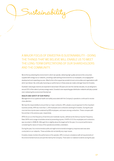# A MAJOR FOCUS OF ENVESTRA IS SUSTAINABILITY – DOING THE THINGS THAT WE BELIEVE WILL ENABLE US TO MEET THE LONG-TERM EXPECTATIONS OF OUR SHAREHOLDERS AND THE COMMUNITY.

 We do this by protecting the environment in which we operate, delivering high quality services to the consumers supplied with energy via our networks, providing a safe working environment for our employees, encouraging their development and rewarding success. Allied to this is the support we provide to local communities and organisations with which we interact. By continually improving our performance in these areas we create a stronger future for Envestra.

 Australia's natural gas reserves are expected to last at least 100 years and over the next two decades, its use will grow to around 25% of the nation's primary energy needs. Envestra's ever expanding gas distribution networks will play a pivotal role in delivering this environment friendly fuel.

#### **HEALTH AND SAFETY OF OUR PEOPLE**

Sustainability

Management of occupational health and safety associated with the Company's operations continued to receive close attention.

 We have the responsibility to ensure that our major contractor, APA, adopts a sound approach to this important business activity. APA has more than 1,100 employees and contractors working for Envestra. During the year nine lost-time injuries were sustained by APA employees, and seven among contractors. These compare with five and two in the previous year, respectively.

APA's focus is on the frequency of lost-time and moderate injuries, defined as the Serious Injuries Frequency Rate (SIFR) and a range of activities aimed at preventing injuries. A SIFR of 10.3 for employees and contractors was recorded in 2008-09. Although this is slightly above the target set for the year, it is a sound performance considering the nature of many of the operational activities undertaken.

 During the year, four environmental audits and eight environmental emergency response exercises were conducted on our networks. These activities did not identify any major issues.

 Envestra closely monitors the performance of its operator, APA, to ensure compliance with all requirements of the environmental licences and permits held by the Company. There were no material incidents during the year.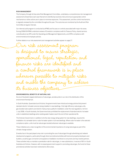#### **RISK MANAGEMENT**

The Company, through its Executive Risk Management Committee, undertakes a comprehensive risk management assessment at least twice each year that aims to identify key business risks and ensure appropriate control mechanisms or other actions are in place to minimise exposures. This assessment, and the control mechanisms, is regularly reviewed by the committee throughout the year. The outcomes are monitored by the Audit and Risk Committee at regular intervals.

 Our internal audit program is conducted by KPMG and focuses on controls associated with major risk areas. During 2008-09 KPMG undertook reviews of Envestra's compliance with its Treasury Policy, shared services cost allocations by APA under the Operating and Management Agreements, and APA's compliance with environmental and employee policies.

Further details on our risk assessment and management activities appear on page 27.

risk assessment prog esigned to ensure strategic,<br>rational, legal, reputation and rational, legal, nance risks are identified and control framework is in place<br>herever possible to mitigate risks wherever possible and enable the company its business o

#### **ENVIRONMENTAL BENEFITS OF NATURAL GAS**

As one of Australia's largest distributors of natural gas, we take pride in our role in the distribution of this environment-friendly fuel.

 In South Australia, Queensland and Victoria, the governments have introduced energy policies that prevent standard electric hot water services being installed in new dwellings. Only high efficiency natural gas units, gas-boosted solar systems and electric heat pumps qualify for installation under the new regulations. As from 1 July 2008, in South Australia, the Government also prohibited the replacement of standard electric hot water units in established dwellings when existing water heaters reach the end of their operational life.

The Victorian Government, in addition to its five-star energy rating system for new dwellings, requires the installation of a rainwater tank or solar hot water system in all new dwellings. Where solar hot water is the selected compliance option, units must be natural-gas-boosted wherever natural gas is available.

 These initiatives are a clear recognition of the environmental importance of using natural gas as part of the climate change solution.

 Envestra has in the past played a key role in promoting the use of natural gas through advertising and network development programs, particularly through direct promotional activities with land and property developers and builders, as well as gas connection and appliance installation incentives to consumers and key market partners. These activities help us maintain a penetration rate for natural gas, in new subdivisions, in excess of 95% in South Australia and Victoria. However, with increased government support in promoting natural gas, the funds for these promotional activities have been redirected to other areas.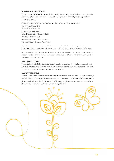#### **WORKING WITH THE COMMUNITY**

Envestra, through APA Asset Management (APA), undertakes strategic partnerships to promote the benefits of natural gas, to build and maintain business relationships, source market intelligence and generate new growth opportunities.

Partnerships undertaken in 2008-09 with a range of key market participants included the:

- Housing Industry Association
- Master Builders' Association
- Plumbing Industry Association
- Urban Development Institute of Australia
- Property Council of Australia
- Australian Land Development Engineers
- Hotel and Restaurant Industry Associations.

 As part of these activities we supported the training of apprentice chefs and other hospitality trainees through Hospitality Group Training and donated around 950 natural gas cookers to more than 130 schools.

 Gas distribution is an essential community service and we believe our involvement with, and contribution to, these organisations reflects our corporate values and social responsibility and serves to promote the position of natural gas in the marketplace.

#### **SUSTAINABILITY INDEX**

The Australian Sustainability Index (AuSSI) tracks the performance of around 70 Australian companies that lead their industry in terms of economic, environmental and social criteria. Envestra's performance in relation to sustainability has been recognised by its inclusion in the index.

#### **CORPORATE GOVERNANCE**

Envestra's practices are consistent in almost all respects with the Corporate Governance Principles issued by the Australian Securities Exchange. The main areas of non-conformance are not having a majority of independent Directors and not having a Nomination Committee. The reasons for the non-conformances are outlined in our Corporate Governance Statement which appears on pages 23 to 28.



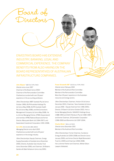ENVESTRA'S BOARD HAS EXTENSIVE INDUSTRY, BANKING, LEGAL AND COMMERCIAL EXPERIENCE. THE COMPANY BENEFITS FROM ALSO HAVING ON THE BOARD REPRESENTATIVES OF AUSTRALIAN INFRASTRUCTURE COMPANIES.

JOHN ALLPAS

 **John Allpass\*** (68) FCA, FCPA, FAICD *Director since June 1997*  Chairman of the Board (since 2002) Chairman of the Remuneration Committee Chartered accountant with over 30 years' experience in the accounting profession.

Board of

Directors

 *Other Directorships:* MBF Australia Pty Ltd (since October 1999); BUPA Australia Holdings Pty Ltd (since May 2008); BUPA Australia Health Pty Ltd (since May 2008); and BrisConnections Management Company Ltd (since May 2008). He is a former Managing Partner, KPMG (Queensland) and member, KPMG National Board and former Director, Macquarie Bank Ltd (1994-2007); and Queensland Investment Corporation (1991-2008).

**Ian Little** (52) CA, BCA, MBA, MAICD *Managing Director since April 2003* Chartered accountant with some 30 years' experience in the energy industry.

*Other Directorships:* Deputy Chairman, Energy Supply Association of Australia (since November 2006); Director, Australian Gas Industry Trust (since December 2006); and Chairman, SA Botanic Gardens & State Herbarium (since July 2005).

 **Fraser Ainsworth AM\*** (63) B.Com, FCPA, FAICD *Director since February 2004*  Member of the Audit and Risk Committee Member of the Remuneration Committee More than 30 years' experience in the Australian resources and energy sectors.

IAN LITTLE

 $\mathbf{o}^{\mathcal{O}}$ 

*Other Directorships:* Chairman, Horizon Oil Ltd (since December 2001); Chairman, Tarac Australia Ltd (since January 2006 – Deputy Chairman from 1996-2005); Director, Oil Search Ltd (since October 2002). He is a former Managing Director, SAGASCO Holdings Group (1988-1994) and Delhi Petroleum Pty Ltd (1983-1987); and former Chairman, SA Generation Corporation (1996-2000) and Bionomics Ltd (1997-2004).

**Charles Binks\*** (66) LL.B, FAICD *Director since December 2001*  Member of the Audit and Risk Committee

*Other Directorships:* Former Chairman, Sundance Energy Australia Ltd (2005-2008) and Director (since January 2009); and former Director Wyatt Benevolent Trust Inc (2005) and Chairman (2006-2008). He is a former Partner and Chairman, Minter Ellison Lawyers (Adelaide).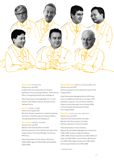

#### **Dominic Chan** (47) FCPA, FCCA

*Director since July 2005*

Certified Public Accountant with over 20 years' experience in the accounting profession. Chief Financial Officer, Cheung Kong Infrastructure Holdings Ltd.

*Other Directorships:* Cambridge Water PLC. Former Director, ETSA Utilities; Powercor Australia Ltd and CitiPower Pty Ltd.

### **Ivan Chan** (46) BSc, LLB, MBA

*Director since August 2007*

More than 20 years' experience in investment banking and finance. Chief Planning and Investment Officer, Cheung Kong Infrastructure Holdings Ltd.

**Ross Gersbach** (48) B.Bus, CPA, MAICD *Director since July 2007* 

Member of the Audit and Risk Committee Extensive experience in the infrastructure sector of the energy industry. He is Group Manager Commercial, APA Group.

 *Other Directorships:* Former Director, APA Group (2006-2008), Elgas Ltd (2004-2006) and ActewAGL (2004-2006).

**Michael McCormack** (48) B.Surv, Grad Dip Eng, MBA, FAICD *Director since July 2007* Extensive experience in the infrastructure sector of the energy industry.

 *Other Directorships:* Managing Director, APA Group (since July 2006) and Chairman of a number of APA subsidiary companies. He is a Director, Australian Pipeline Industry Association (since October 2004) and the Australian Brandenburg Orchestra (since August 2006).

 **Olaf O'Duill\*** (62) B. Comm. (Hons), FAICD, SFFin *Director since July 2000*  Chairman of the Audit and Risk Committee Member of the Remuneration Committee Extensive experience in financial markets.

*Other Directorships:* Former Chairman, National Electricity Market Management Company Ltd (1996-1999), Southern Healthcare Network (1995-1999), Amrad Corporation Ltd (2002-2004) and Tower Ltd (2000-2006). Former Director, McPhersons Ltd (1995-2003), Sigma Company Ltd (1995-2002), and Sunraysia Television Ltd (1992-2008).

```
* Independent Director
```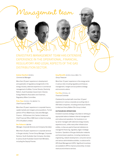# Management team

 ENVESTRA'S MANAGEMENT TEAM HAS EXTENSIVE EXPERIENCE IN THE OPERATIONAL, FINANCIAL, REGULATORY AND LEGAL ASPECTS OF THE GAS DISTRIBUTION SECTOR.

PETER RYAN

#### **Andrew Staniford** (53) M.Ec *Commercial Manager*

PAUL MAY

 More than 20 years' experience in development and application of regulatory arrangements in the energy industry; extensive experience in commercial management of utilities. Former Director, Electricity Reform, South Australian Government. Director, Energy Networks Association and Chairman, Regulatory Affairs Committee.

**ADREW STANIFORD** 

#### **Peter Ryan** (51) B.Ec, FCA, MAICM, F Fin *Chief Financial Officer*

More than 25 years' experience in corporate finance, capital markets and mergers and acquisitions. Former partner of Price Waterhouse, Executive Manager, Finance – SA Business Unit, Santos Limited and Chief Financial Officer ABB Grain Limited (including CFO of AusBulk Limited).

#### **Des Petherick** (58) PNA

*Manager, Corporate Services and Company Secretary*

 More than 20 years' experience in corporate services in the gas industry. Former Group Manager, Corporate Services, South Australian Gas Company; Secretary to various South Australian Government Ministers, including the Deputy Premier.

### **Greg Meredith** (41) B.Ec (Hons), MBA, F Fin *Group Treasurer*

 More than 15 years' experience in the energy sector in various roles including regulatory and treasury management, mergers and acquisitions strategy and economic advice.

DES PETHERICK

GREG MEREDITY

 **Paul May** (37) B.Acc, CA *Financial Controller*

 Chartered Accountant with more than 10 years' experience in various corporate accounting roles in ASX listed companies, including previously at Santos Limited and Henry Walker Eltin Group Limited.

#### **OUTSOURCED OPERATIONS**

Envestra's business strategy is founded on striking an appropriate balance between internal management and outsourced operations. Our business is run by senior managers with extensive energy industry experience and, unlike many other infrastructure entities, no fees are paid to financial institutions to manage the financing, regulatory, legal or strategic functions. Operation of the gas distribution networks and transmission pipelines, including maintenance, engineering, network development, consumer service and various administrative activities, is outsourced to APA Asset Management (APA). Significant incentives are available to APA to improve productivity, increase revenue and enhance services.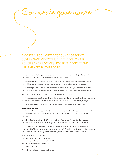yporate governan

 ENVESTRA IS COMMITTED TO SOUND CORPORATE GOVERNANCE AND TO THIS END THE FOLLOWING POLICIES AND PRACTICES HAVE BEEN ADOPTED AND IMPLEMENTED BY THE BOARD.

 Each year a review of the Company's corporate governance framework is carried out against the guidelines of the Australian Securities Exchange's Corporate Governance Council.

 The Company's framework largely complies with these recommendations. Consistent with the Company's approach to sound corporate governance, opportunities for improvement are regularly considered.

 The Board delegates to the Managing Director and senior executives day-to-day management of the affairs of the Company and its controlled entities, and the implementation of the corporate strategies and policies.

Non-executive Directors meet, at least twice per year, without management present.

 The Directors are responsible to shareholders for the performance of the Company and their focus is to enhance the interests of shareholders and other key stakeholders and to ensure the Group is properly managed.

The main processes that the Directors of the Company use in doing so are set out in this statement.

#### **BOARD COMPOSITION**

The Company's Constitution requires that the minimum number of Directors is three and the maximum is 10. The Company has two major shareholders, Australian Pipeline Ltd (APA Group) and Cheung Kong Infrastructure Holdings (CKI).

 Under Envestra's Constitution, while CKI holds more than 15% of Envestra's securities, they may appoint up to two non-executive Directors. If their holding is between 10 and 15%, they may appoint one Director.

 The APA Group and CKI Directors are not regarded as being independent as both organisations each hold more than 15% of the Company's issued capital. In addition, APA Group has a significant contractual relationship with Envestra under the Operating and Management Agreements related to the Company's assets.

Membership of the Board comprises:

- Four independent non-executive Directors.
- Two non-executive Directors nominated by APA Group.
- Two non-executive Directors appointed by CKI.
- The Managing Director.

The Chairman must be an independent Director.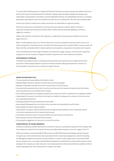To comply with the ASX guidelines on independent Directors it would be necessary to appoint two additional Directors, which would require an amendment to the Constitution. However, given the balance between the existing major shareholders' representatives on the Board, and the independent Directors, the existing Board structure is considered appropriate, particularly as under the Constitution the Chairman has a casting vote in the event of an equality of votes.

Directors are subject to retirement by rotation and election by shareholders at a general meeting.

 No Director may remain on the Board for more than three years without re-election. Where a Director is appointed during the year that Director will hold office until the next Annual General Meeting, and then be eligible for re-election.

Details of the members of the Board, their experience, qualifications and special responsibilities are set out on pages 20 and 21.

 When considering Board vacancies, Directors take into account the candidate's capacity to enhance the mix of skills and experience of the Board and to contribute to the development of the Company. When a vacancy exists, the Board identifies candidates with the relevant experience and expertise, using external consultants when required.

The current Board has a broad range of expertise covering financial, legal, banking, commercial and operational backgrounds, with all members bringing the benefits of experience from other Boards and industries.

#### **PERFORMANCE APPRAISAL**

The Board has adopted a policy of undertaking self-assessments of its performance to initiate improvements and assist in determining the Board's support for individual members offering themselves for re-election by the shareholders. Assessments are conducted at regular intervals.

#### **BOARD RESPONSIBILITIES**

The most significant responsibilities of the Board include:

- Setting strategic objectives, long-term business plans and annual budgets.
- Regularly reviewing the operational and financial performance of the Company.
- Ensuring that the requirements are met of continuous disclosure to the investment market and security holders about the performance and activities of the Company.
- Ensuring that appropriate risk management systems are in place and reports on performance are regularly reviewed.
- Overseeing the Company's commitment to the health and safety of employees and contractors, the environment and sustainable development.
- Evaluating potential business development opportunities.
- Appointing the Managing Director and other senior executives and evaluating their performance.
- Appointing the Company's external auditors.
- Appointing the Company's internal auditors as part of its general responsibility to ensure satisfactory internal controls are maintained over the Company's key risk areas.
- Ensuring the Company's Code of Conduct and Ethics and other policies are adhered to.
- Approving the annual and half-yearly financial reports.
- Overseeing the engagement of resources to conduct the business.

#### **INDEPENDENCE OF BOARD MEMBERS**

Envestra's Constitution provides that Directors or their fi rms may act in a professional capacity for the Company, other than acting as an auditor for the Company. Disclosure of related party transactions is set out on pages 73 and 74.

 APA Group entities connected with Mr M J McCormack and Mr R M Gersbach had dealings with the Company during the year. Almost all transactions were associated with the contractual arrangements under the Operating and Management Agreements entered into with Envestra. In respect to other matters which arose with the APA Group during the year, in accordance with the Board's guidelines, the APA Directors declared their interest in those dealings to the Company and, after discussion, the remaining Directors determined whether the potential conflict of interest disqualified them from being present or voting on the matter.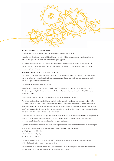

#### **RESOURCES AVAILABLE TO THE BOARD**

Directors have the right of access to Company employees, advisors and records.

 In relation to their duties and responsibilities, Directors have the right to seek independent professional advice at the Company's expense where the Chairman has given approval.

 As approved by shareholders, the Company has entered into Deeds of Access with each Director giving them a right of access to all documents that were provided to them during their time in office for a period of 15 years after ceasing to be a Director.

#### **REMUNERATION OF NON-EXECUTIVE DIRECTORS**

The maximum aggregate remuneration for non-executive Directors is set out in the Company's Constitution and can be varied only at a general meeting. Shareholders approved the current maximum aggregate remuneration of \$750,000 per annum in November 2003.

The amount paid in 2008-09 was \$720,000.

 Board fees were last reviewed with effect from 1 July 2006. The Chairman's fees are \$150,000 and for other Directors they are \$75,000. The Chairman of the Audit and Risk Committee receives a fee of \$15,000 and other members \$10,000.

Details relating to the remuneration paid to non-executive Directors appear on page 35.

The Retirement Benefit Scheme for Directors, which was introduced when the Company was formed in 1997, was suspended on 30 June 2003. Under the scheme, after one year of service Directors were entitled to receive retirement benefits on a sliding scale based on the number of years served on the Board. The maximum retirement benefit was payable after 10 years' service and was calculated as three times the average annual emoluments of the Director over the three years before the date of retirement.

 Superannuation was paid by the Company, in addition to the above fees, at the minimum superannuation guarantee levels required by Commonwealth legislation. The accumulated benefit arising from these superannuation payments are offset from the retirement benefit, when paid to Directors.

Superannuation contributions continue to be made for eligible Directors, but these are now deducted from the fees paid.

At 30 June 2009, the benefit payable on retirement of each non-executive Director was:

- Mr J G Allpass \$175,919;
- Mr C C A Binks \$30,686;
- Mr O B O'Duill \$46,912.

The benefit payable on retirement is based on 10/13 of the Director's fees paid in the previous three years, but is not adjusted for the increase in years of service.

 Mr F Ainsworth, Mr D Chan, Mr I Chan, Mr M McCormack and Mr R Gersbach joined the Board after the scheme was suspended, so do not participate in the Retirement Benefit Scheme.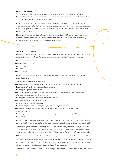#### **BOARD COMMITTEES**

The Board has established two committees to assist in the execution of its duties. They are the Audit and Remuneration Committees. The committee structure and membership is reviewed annually. Other committees are formed to deal with specific issues, when required.

 Each of the Audit and Remuneration Committees has its own charter setting out its role and responsibilities. The charters are approved by the Board and copies can be obtained on request from the Company or are available on the Company's website www.envestra.com.au. All recommendations of the committees are submitted to the Board for consideration.

 Director appointments are relatively infrequent and are considered by the full Board. In these circumstances it has not been deemed necessary to establish a Nomination Committee. Similarly, the other roles normally undertaken by such a committee are also addressed by the full Board.

#### **AUDIT AND RISK COMMITTEE**

Members of the Audit and Risk Committee must be non-executive Directors, and the Chairman of the Committee cannot be Chairman of the Board. The committee must consist of a majority of independent Directors.

Members of the committee are:

- Mr O B O'Duill (Chairman);
- Mr E F Ainsworth:
- Mr C C A Binks; and
- Mr R M Gersbach.

Each of the external and internal auditors, and the Managing Director and Chief Financial Officer, usually attend the meetings.

The key responsibilities of the committee are:

- Reviewing the annual and half-year financial reports and recommending their adoption by the Board.
- Reviewing other financial information distributed externally.
- Reviewing management of financial risks.
- Recommending the appointment and remuneration of the auditors, and reviewing the terms and scope of engagement and assessing their performance.
- Reviewing the effectiveness of the internal control environment.
- Approving the scope of the internal audit program.
- Overseeing the risk management program.
- Reviewing compliance with corporate policies, controls and delegated authorities.
- Reviewing compliance with the requirements of energy regulatory bodies, including the approval of regulatory accounts.
- Considering the independence of the auditor and approving non-audit services during 2008-09 provided by the audit firm.

 PricewaterhouseCoopers (PwC) was appointed as external auditor in 1997. It is PwC policy to rotate audit engagement partners with listed companies at least every five years. The responsible audit partner for Envestra was rotated in 2004.

 The board recognises the need to periodically review the services provided by its external auditor, as well as the cost of these services. In June 2009, the Audit and Risk Committee conducted a tender for the provision of external services. It was resolved to continue using the services of PricewaterhouseCoopers as the Group's external auditor.

KPMG was appointed as internal auditor in 2002. Their audit partner was rotated, due to his retirement, in 2006.

 The internal and external auditors have direct access to the Chairman of the Audit and Risk Committee and, where necessary, the Chairman of the Board. The Audit and Risk Committee meets with the external and internal auditors without management present on an as required basis, but at least once a year.

The external auditor attends the Annual General Meeting and is available to answer questions from security holders.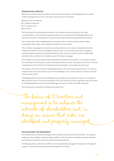#### **REMUNERATION COMMITTEE**

Members of the Remuneration Committee must be non-executive Directors. The Managing Director is invited to attend meetings to discuss senior executives' performance and remuneration.

Members of the committee are:

- Mr J G Allpass (Chairman);
- Mr E F Ainsworth; and
- Mr O B O'Duill.

 The Remuneration Committee advises the Board on remuneration policies and practices, and makes recommendations on remuneration packages and other terms of employment for the Managing Director and other senior executives, having regard to the need to attract, retain and develop appropriately skilled people.

 Each member of the senior management team is employed under a contract covering a range of matters including their duties, rights, responsibilities and entitlements on termination.

 The committee, having regard to personal and corporate performance and relevant comparative information, reviews remuneration of the senior management team annually. The remuneration of all senior managers is assessed at regular intervals by an external professional human resources consultant and the resultant report submitted to the committee for consideration as part of the review of packages.

Remuneration for senior executives comprises both fixed remuneration and incentives. The incentives are based on a combination of the Company's results and individual performance levels. The payment of short-term incentives is dependent upon the achievement of operating and financial targets set at the beginning of each year.

 The maximum short-term incentive for the Managing Director is 30% of his total employment costs. The maximum incentive for the Chief Financial Officer and Commercial Manager is 25%, and the maximum incentive for all other senior executives is 20%.

 The Managing Director and Commercial Manager have the ability to earn a long-term incentive, on a rolling basis, after three years' service. The bonus is equivalent to 50% of the short-term incentive. Payments under this incentive for the Managing Director and the Commercial Manager commenced in 2007, and 2008, respectively.

The Company does not operate an Employee Share Option Plan.

The focus of Directors and management is to enhance the interests of shareholders and, in doing so, ensure that risks are identified and properly managed

#### **RISK ASSESSMENT AND MANAGEMENT**

The Company has a risk-assessment program that is monitored by the Audit and Risk Committee. The program is designed to ensure strategic, operational, legal, reputation and financial risks are identified, assessed, addressed and monitored to enable the Company to achieve its business objectives.

The Managing Director, Chief Financial Officer and Company Secretary manage the Company's risk-management program in conjunction with the Executive Risk Management Committee.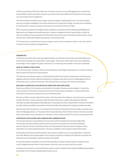The Board and Audit and Risk Committee have received an assurance from the Managing Director and the Chief Financial Officer that the declaration provided in accordance with section 295A of the Corporations Act is founded on a sound system of risk management.

 The Audit and Risk Committee receives regular reports on progress in addressing the risks. The internal auditors also carry out regular investigations into control mechanisms and report their findings, including recommendations for improvement to controls, processes and procedures, to the Audit and Risk Committee.

 APA is required to operate and manage Envestra's networks in accordance with the Operating and Management Agreements and to legal and prudential standards. Envestra's management has the responsibility to monitor the risks and compliance issues associated with APA's performance and to report to the Board on these matters. As part of this process, independent engineering audits are conducted each year.

 The Company has a comprehensive insurance program in place which is reviewed annually in conjunction with the Company's insurance brokers and legal advisors.

#### **INDEMNITIES**

The Directors are indemnified under deeds against liability in the fulfilment of their duties unless the liability arises out of conduct involving a lack of good faith or wilful neglect. They are also indemnified for the costs of defending proceedings in which judgement is given in their favour, or in which they are acquitted, or the claim is withdrawn.

#### **CODE OF CONDUCT AND ETHICS**

The code requires that, at all times, Directors and employees act with integrity, objectivity and in compliance with the letter and spirit of the law and Company policies.

 The code requires employees, aware of unethical practices within the Company, to report these using the avenues available under the Company's Whistle-blowing Policy. Employees have direct access to the Managing Director or, if this would cause a conflict, the Chairman of the Audit and Risk Committee or the Chairman of the Board.

#### **DEALINGS IN ENVESTRA'S SECURITIES BY DIRECTORS AND EMPLOYEES**

Directors and officers of the Company are prohibited from trading in Envestra securities between 1 July and the close of business on the day the Company announces its full-year results, and between 1 January and the close of business on the day the Company announces its half-year results.

Directors and officers are also subject to the provisions of the Corporations Act relating to conduct by a person in possession of inside information. A person possesses inside information if they know, or ought to reasonably know, that if the information were generally available a reasonable person would expect it to have a material effect on the price of Envestra's securities. Directors and officers in possession of inside information are prohibited from trading in Envestra's securities.

Directors must inform the Chairman, or in his absence the Chairman of the Audit and Risk Committee, and officers must inform the Managing Director, or in his absence the Company Secretary, of their intention to trade in Envestra's securities either by themselves or by an associate. Such notification must be provided at least 24 hours prior to any proposed trade.

## **CONTINUOUS DISCLOSURE AND SHAREHOLDER COMMUNICATION**

The Company Secretary is responsible for communication with the Australian Securities Exchange (ASX). This includes ensuring compliance with the continuous disclosure requirements in the ASX Listing Rules and the Company's Continuous Disclosure Policy, and overseeing information disclosure to analysts, brokers, shareholders, the media and general public. The policy is available on the Company's website (refer below).

 All information disclosed to the ASX is posted on the Company's website as soon as practicable after it is disclosed to the ASX. Material used to brief analysts on the Company's operations is released to the ASX when it provides new information and all presentation material is posted on the website.

An email alert system is operated for the benefit of shareholders and other interested parties, whereby an email is sent to registered persons when a media release or other document has been issued to the market.

 Company announcements, annual and half-year reports, as well as market and Annual General Meeting presentations are available on the Company's website www.envestra.com.au.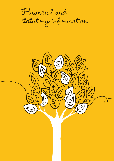

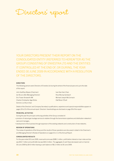Directors' report

 YOUR DIRECTORS PRESENT THEIR REPORT ON THE CONSOLIDATED ENTITY (REFERRED TO HEREAFTER AS THE GROUP) CONSISTING OF ENVESTRA LTD AND THE ENTITIES IT CONTROLLED AT THE END OF, OR DURING, THE YEAR ENDED 30 JUNE 2009 IN ACCORDANCE WITH A RESOLUTION OF THE DIRECTORS.

#### **DIRECTORS**

The following persons were Directors of Envestra Ltd during the whole of the financial year and up to the date of this report:

John Geoffrey Allpass (Chairman) Ivan Kee Ham Chan Ian Bruce Little (Managing Director) Ross Murray Gersbach Eric Fraser Ainsworth AM Michael Joseph McCormack Charles Christopher Agar Binks **Charles Christopher Agar Binks** Olaf Brian O'Duill Dominic Loi Shun Chan

Details of the Directors' and Company Secretary's qualifications, experience and special responsibilities appear on pages 20 to 22 of the annual report. Directors' shareholdings are disclosed on page 39 of this report.

#### **PRINCIPAL ACTIVITIES**

During the year the principal continuing activities of the Group consisted of:

- provision of natural gas haulage services to retailers through the transmission pipelines and distribution networks it owns and manages;
- development of the business through expansion of the existing networks and construction of new networks.

#### **REVIEW OF OPERATIONS**

The review of operations of the Group and the results of those operations are discussed in detail in the Chairman's and Managing Director's Review of Operations on pages 6 to 11 of the Annual Report.

#### **CONSOLIDATED RESULTS**

For the year ended 30 June 2009, revenue/income was \$389.1 million, profit before interest on loan notes and tax was \$54.7 million and profit after tax was \$40.3 million. The aggregate of cash flows decreased cash on hand at 30 June 2009 by \$4.6 million leaving a cash balance of \$6.2 million at 30 June 2009.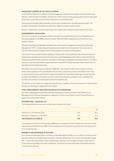#### **SIGNIFICANT CHANGES IN THE STATE OF AFFAIRS**

On 26 February 2009, the consolidation of debt packages for Envestra Ltd and Envestra Victoria Pty Ltd became effective. Under the debt consolidation, all financiers in both companies have equal security over all secured assets of the Group, and all debt covenants will be measured on a consolidated basis.

 Upon payment of the May 2009 distribution, the principal of Envestra Ltd's Loan Notes was fully repaid. This resulted in the transition of Envestra's securities from stapled securities to ordinary shares.

No other changes have occurred during the year which significantly changed the state of affairs of the Group.

#### **ENVIRONMENTAL REGULATION**

The Group's operations are conducted under the relevant Environmental Protection Acts and Regulations and associated legislation in the States of South Australia, New South Wales, Queensland and Victoria and in the Northern Territory.

 Through an Operating and Management Agreement, environmental management is exercised by APA Asset Management ("APA"). Envestra holds all required environmental licences and permits. There have been no material breaches of the Company's environmental obligations during the reporting period.

 The Victorian Environmental Protection Authority ("Victorian EPA") has requested Vic Gas Distribution Pty Ltd (a wholly-owned subsidiary of Envestra Victoria Pty Ltd) to provide Remediation Action Plans on sites owned by the Company that were formerly used for the manufacture of town gas. Investigations and assessments are currently in process in conjunction with auditors appointed by the Victorian EPA. Provision has been made for the Company's estimated cost of possible remediation.

The NSW Environmental Protection Authority ("NSW EPA") has notified The Albury Gas Company Limited (a wholly-owned subsidiary of Vic Gas Distribution Pty Ltd) that it is required to provide a Remediation Action Plan in respect to land formerly owned by the Company and used for the manufacture of town gas. The plan has been provided to the NSW EPA and provision has been made for the estimated remediation costs. The NSW EPA is currently in the process of considering the proposed remediation plan.

 The APA Group has a system to manage environmental issues. Auditing, action plan development, implementation, training, and reporting are integral parts of this system.

#### **LIKELY DEVELOPMENTS AND EXPECTED RESULTS OF OPERATIONS**

Information regarding future prospects and likely developments has been included in the Chairman's and Managing Director's Review of Operations on pages 6 to 11 of the Annual Report, and the Financial Review on pages 14 to 15 of the Annual Report.

#### **DISTRIBUTIONS – ENVESTRA LTD**

The following distributions were paid during the year covered by this report:

|                                        | Cents per stapled security | <b>Total distribution</b> |  |
|----------------------------------------|----------------------------|---------------------------|--|
|                                        |                            | \$M                       |  |
| Distribution on 30 November 2008       | 4.50                       | 40.1                      |  |
| Distribution / dividend on 31 May 2009 | 2.75                       | 35.7                      |  |
| Total distributions for 2008-09        | 7.25                       | 75.8                      |  |

 The Company announced on 22 December 2008 that as a consequence of the 2:5 Rights Issue launched on that date, that annual distributions for 2009-10 were expected to be 5.5 cents per security, with two equal payments of 2.75 cents per security.

#### **INDEMNITY AND INSURANCE OF OFFICERS**

Each Director and Executive Officer of Envestra is indemnified against liability as such an officer, to another person (except Envestra and its related bodies corporate), unless the liability arises out of conduct involving a lack of good faith. They are also indemnified for costs of defending proceedings in which judgement is given in their favour or in which they are acquitted or the claim is withdrawn. The Directors are also indemnified under Deeds of Access, Insurance and Indemnity.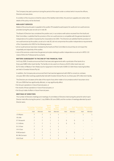The Company has paid a premium during the period of this report under a contract which insures the officers, Directors and executives.

A condition of the insurance is that the nature of the liability indemnified, the premium payable and certain other details of the policy not be disclosed.

#### **NON-AUDIT SERVICES**

Details of the amounts paid or payable to the auditor (PricewaterhouseCoopers) for audit and non-audit services provided during the year are set out in note 30.

 The Board of Directors has considered the position and, in accordance with advice received from the Audit and Risk Committee, is satisfied that the provision of the non-audit services is compatible with the general standard of independence for auditors imposed by the *Corporations Act 2001*. The Directors are satisfied that the provision of non-audit services by the auditor, as set out in note 30, did not compromise the auditor independence requirements of the *Corporations Act 2001* for the following reasons:

- all non-audit services have been reviewed by the Audit and Risk Committee to ensure they do not impact the impartiality and objectivity of the auditor;
- none of the services undermines the general principles relating to auditor independence as set out in APES 110 *Code of Ethics* for Professional Accountants.

#### **MATTERS SUBSEQUENT TO THE END OF THE FINANCIAL YEAR**

On 8 July 2009, Envestra announced that it had executed agreements with a syndicate of five banks for a three-year \$280 million bank facility. The facility is to be used to re-finance a \$125 million bank loan and \$175 million of Medium Term Notes due for repayment in the first half of 2009-10. Both these maturing facilities are held in Envestra Victoria Pty Ltd.

 In addition, the Company also announced that it had reached agreement with ANZ to convert an undrawn, one-year, \$50 million working capital facility held with Envestra Victoria Pty Ltd, to a three-year, \$75 million term facility.

 The Directors are not aware at the date of this report of any other matter of circumstance which has arisen since 30 June 2009 that has significantly affected, or may significantly affect:

- the Group's operations in future financial years; or
- the results of those operations in future financial years; or
- the Group's state of affairs in future financial years.

#### **MEETINGS OF DIRECTORS**

The number of Directors meetings and meetings of committees of Directors held during the period for which each Director held office during the period 1 July 2008 to 30 June 2009, and the number of meetings attended by each Director were:

|                  | of Directors | Full meetings Full meetings<br>of Directors | <b>Special</b><br><b>Board</b><br><b>Meetings</b> | Special<br><b>Board</b><br><b>Meetings</b> | Audit<br>Committee | Committee | Audit Remuneration Remuneration<br>Committee | Committee |
|------------------|--------------|---------------------------------------------|---------------------------------------------------|--------------------------------------------|--------------------|-----------|----------------------------------------------|-----------|
|                  | Held         | Attended                                    | Held                                              | Attended                                   | Held               | Attended  | Held                                         | Attended  |
| J G Allpass      | 7            | 7                                           |                                                   |                                            |                    |           |                                              |           |
| <b>B</b> Little  |              |                                             |                                                   |                                            |                    |           |                                              |           |
| E F Ainsworth    |              |                                             |                                                   |                                            | 5                  | 5         |                                              | 1         |
| <b>CCA Binks</b> |              | 7                                           | 1                                                 | 1                                          | 5                  | 5         |                                              |           |
| <b>DLS Chan</b>  | 7            | 7                                           | 1                                                 |                                            |                    |           |                                              |           |
| <b>IKHChan</b>   | 7            | 7                                           |                                                   |                                            |                    |           |                                              |           |
| R M Gersbach     |              |                                             |                                                   |                                            | 5                  | 5         |                                              |           |
| M J McCormack    |              |                                             |                                                   |                                            |                    |           |                                              |           |
| O B O'Duill      |              |                                             |                                                   |                                            | 5                  | 5         |                                              |           |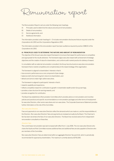Remuneration report

The Remuneration Report is set out under the following main headings:

- A) Principles used to determine the nature and amount of remuneration;
- B) Details of remuneration;
- C) Service agreements; and
- D) Additional information.

 The information provided under headings A – D includes remuneration disclosures that are required under the *Corporations Act 2001* and the *Corporations Regulations 2001*.

 The information provided in this remuneration report has been audited as required by section 308(3C) of the *Corporations Act 2001.*

#### **A) PRINCIPLES USED TO DETERMINE THE NATURE AND AMOUNT OF REMUNERATION**

The objective of the Group's executive reward framework is to ensure that reward for performance is competitive and appropriate for the results delivered. The framework aligns executive reward with achievement of strategic objectives and the creation of value for shareholders, and conforms with market practice for delivery of reward.

 In consultation with an external remuneration consultant, the Group has structured an executive remuneration framework that is market competitive and complementary to the reward strategy of the organisation.

The framework is aligned to shareholders' interests in that it:

- has economic performance as a core component of plan design;
- balances both short and long-term returns to shareholders; and
- attracts and aims to retain high calibre executives.

The framework is aligned to participants' interests in that it:

- rewards capability and experience;
- reflects competitive reward for contribution to growth in shareholder wealth and/or Group earnings;
- provides a clear structure for earning rewards; and
- provides recognition for contribution.

 The Board has established a Remuneration Committee which provides advice on remuneration and incentive policies and practices and specific recommendations on remuneration packages and other terms of employment for executive Directors, other senior executives and non-executives. The Corporate Governance Statement provides further information on the role of this Committee.

#### *Non-executive Directors*

Fees and payments to non-executive Directors reflect the demands which are made on, and the responsibilities of, the Directors. Non-executive Directors' fees and payments are reviewed annually by the Board. The Chairman's fee has been set at twice the fees of non-executive Directors. The Board has received advice from independent remuneration consultants on these fees.

#### *Directors' fees*

The current base remuneration was last increased with effect from 1 July 2006. The non-executive Director who chairs the Audit and Risk Committee receives additional fees and additional fees are also payable to Directors who are members of the Committee.

 Non-executive Directors' fees are determined within an aggregate Directors' fee pool limit, which is periodically recommended for approval by shareholders. The maximum currently stands at \$750,000.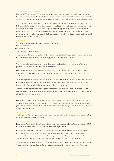#### *Retirement allowances for Directors*

Until June 2003, non-executive Directors were entitled to receive retirement benefits on a sliding scale based on the number of years served on the Board. The maximum retirement benefit was payable after 10 years' service and is calculated as three times the average annual emoluments of the Director over the three years before the date of retirement.

The Retirement Benefit Scheme was suspended as at 30 June 2003 and the period of service at that time was used to determine the benefit payable to the Directors as at 30 June 2003. The benefit payable at the time of retirement is calculated using 10/13 of the three-year average salary immediately preceding the date of retirement and the years of service up to 30 June 2003. The liability for the payment of this benefit is adjusted for changes in fees paid annually and incorporated in the provision in the financial statements. Only three directors are entitled to retirement benefits accrued prior to 30 June 2003.

#### *Executive pay*

The executive pay and reward framework has three components:

- base pay and benefits;
- superannuation; and
- short-term performance incentives.

 The combination of these comprises the executive's total remuneration. In addition, long-term performance incentives form part of the employment contract of the Managing Director and Commercial Manager.

#### *Base Pay*

This is structured as a total employment cost package which may be delivered as a combination of cash and prescribed non-financial benefits at the executive's discretion.

External remuneration consultants provide analysis and advice to ensure base pay is set to reflect the market for a comparable role. Base pay for senior executives is reviewed annually to ensure the executive's pay is competitive with the market.

 There are no guaranteed base pay increases or payment of short-term incentives in the senior executives' contracts. Long-term incentives are payable, on a rolling basis, after three years' service and are linked to the short-term incentive paid in the year prior to the commencement of the three-year period.

 The provision of a long-term incentive recognises the small executive team within the business and the need to retain these senior executives in order to provide management stability. It provides an incentive for them to remain with the Company for the long term.

#### *Benefits*

Executives are provided with death and total disability, salary continuance insurance cover and company funded car parking. The cost of these benefits is included in the total employment cost packages outlined on the following pages. The provision of a fully maintained vehicle is at the executive's discretion, the cost of which is part of the total employment cost package.

#### *Superannuation*

The Company contributes superannuation to the executive's nominated fund. The superannuation guarantee levy is included in the executive's salary package.

#### *Short-term performance incentives*

Each year, the Remuneration Committee considers the appropriate targets and key performance indicators (KPIs) to link the short-term incentive plan and the level of payout if targets are met.

 For the year ended 30 June 2009, the KPIs linked to short-term incentive plans were based on corporate and personal objectives. The KPIs are linked to performance against operating costs, achieving specific targets in relation to cash flow, financing costs, corporate financing outcomes, regulatory outcomes and shareholder returns, as well as other key strategic measures related to drivers of performance in future reporting periods.

 The short-term bonus payments are directly related to levels of achievement against the target performance levels. The payment of bonuses is at the discretion of the Board acting on advice from the Remuneration Committee.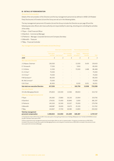# **B) DETAILS OF REMUNERATION**

# *Amounts of remuneration*

Details of the remuneration of the Directors and the key management personnel (as defined in AASB 124 Related Party Disclosures) of Envestra Ltd and the Group are set out in the following tables.

 The key management personnel of Envestra Ltd and the Group includes the Directors as per page 30 and the following executive officers who have authority and responsibility for planning, directing and controlling the activities of the entity:

- P Ryan Chief Financial Officer
- A Staniford Commercial Manager
- D Petherick Manager, Corporate Services and Company Secretary
- G Meredith Treasurer
- P May Financial Controller

### *Key management personnel of Envestra Ltd and the Group*

|                                                       |                         | Short-term employee benefits |                          | Post-employment benefits            |                        |               |
|-------------------------------------------------------|-------------------------|------------------------------|--------------------------|-------------------------------------|------------------------|---------------|
| <b>Name</b>                                           | Cash salary<br>and fees | Cash bonus <sup>(ii)</sup>   | Non-monetary<br>benefits | Super-<br>annuation <sup>(ii)</sup> | Retirement<br>benefits | Total         |
| 2009                                                  | \$                      | \$                           | $\oint$                  | \$                                  | \$                     | $\mathcal{L}$ |
| <b>Non-executive Directors</b>                        |                         |                              |                          |                                     |                        |               |
| J G Allpass Chairman                                  | 136,500                 |                              |                          | 13,500                              | 9,419                  | 159,419       |
| E F Ainsworth                                         | 77,350                  |                              |                          | 7,650                               |                        | 85,000        |
| <b>CCABinks</b>                                       | 11,500                  |                              |                          | 73,500                              | 1,468                  | 86,468        |
| DLS Chan <sup>(i)</sup>                               | 75,000                  |                              |                          |                                     |                        | 75,000        |
| I K H Chan <sup>(i)</sup>                             | 75,000                  |                              |                          |                                     |                        | 75,000        |
| R M Gersbach <sup>(i)</sup>                           | 85,000                  |                              |                          |                                     |                        | 85,000        |
| M J McCormack <sup>(i)</sup>                          | 75,000                  |                              |                          |                                     |                        | 75,000        |
| O B O'Duill                                           | 81,900                  |                              |                          | 8,100                               | 3,051                  | 93,051        |
| <b>Sub-total non-executive Directors</b>              | 617,250                 |                              |                          | 102,750                             | 13,938                 | 733,938       |
| <b>Executive Director</b>                             |                         |                              |                          |                                     |                        |               |
| I B Little Managing Director                          | 376,833                 | 134,500                      | 13,566                   | 89,833                              |                        | 614,732       |
| Other key management personnel                        |                         |                              |                          |                                     |                        |               |
| P Ryan                                                | 241,692                 | 27,800                       | 26,310                   | 23,904                              |                        | 319,706       |
| A Staniford                                           | 274,051                 | 73,400                       | 30,846                   | 3,000                               | $\qquad \qquad -$      | 381,297       |
| D Petherick                                           | 145,263                 | 32,500                       | 32,027                   | 70,000                              | $\overline{a}$         | 279,790       |
| <b>G</b> Meredith                                     | 148,987                 | 19,000                       | 19,675                   | 25,100                              |                        | 212,762       |
| P May                                                 | 144,847                 | 27,700                       | 18,585                   | 13,800                              |                        | 204,932       |
| <b>Total key management</b><br>personnel compensation | 1,948,923               | 314,900                      | 141,009                  | 328,387                             |                        | 2,747,157     |

(i) The Directors' fees for Mr D Chan and Mr I Chan were paid to Cheung Kong Infrastructure Holdings (Malaysian) Ltd. The fees for Mr M McCormack and Mr R Gersbach were paid to APA.

(ii) Bonus payments to key management personnel may be taken either as cash or superannuation. A long-term incentive bonus of \$42,500 is included in the amount of cash bonus paid to the Managing Director, and a long-term incentive bonus of \$22,000 is included in the amount of cash bonus paid to the Commercial Manager.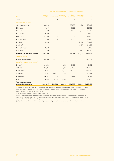|                                                       |             |                                     | Short-term employee benefits |                                     | Post-employment benefits |                            |
|-------------------------------------------------------|-------------|-------------------------------------|------------------------------|-------------------------------------|--------------------------|----------------------------|
| Name                                                  | Cash salary | and fees Cash bonus <sup>(iv)</sup> | Non-monetary<br>benefits     | Super-<br>annuation <sup>(iv)</sup> | Retirement<br>benefits   | Total                      |
| 2008                                                  | $\oint$     | $\oint$                             | $\oint$                      | $\oint$                             | \$                       | $\boldsymbol{\mathcal{Z}}$ |
| <b>Non-executive Directors</b>                        |             |                                     |                              |                                     |                          |                            |
| J G Allpass Chairman                                  | 88,000      |                                     |                              | 62,000                              | 8,681                    | 158,681                    |
| E F Ainsworth                                         | 77,350      |                                     |                              | 7,650                               |                          | 85,000                     |
| <b>CCABinks</b>                                       | 1,000       |                                     |                              | 84,000                              | 1,468                    | 86,468                     |
| D L S Chan <sup>(i)</sup>                             | 75,000      |                                     |                              |                                     |                          | 75,000                     |
| I K H Chan <sup>(i)</sup>                             | 62,500      |                                     |                              |                                     |                          | 62,500                     |
| R M Gersbach <sup>(i)</sup>                           | 79,518      |                                     |                              | 4,365                               |                          | 83,883                     |
| H L Kam(i)(v)                                         | 12,500      |                                     |                              |                                     | 59,361                   | 71,861                     |
| G A King <sup>(v)</sup>                               |             |                                     |                              | $\overline{\phantom{a}}$            | 94,875                   | 94,875                     |
| M J McCormack <sup>(i)</sup>                          | 75,000      |                                     |                              |                                     |                          | 75,000                     |
| O B O'Duill                                           | 81,900      |                                     |                              | 8,100                               | 2,740                    | 92,740                     |
| <b>Sub-total non-executive Directors</b>              | 552,768     |                                     | -                            | 166,115                             | 167,125                  | 886,008                    |
| <b>Executive Director</b>                             |             |                                     |                              |                                     |                          |                            |
| <b>I B Little Managing Director</b>                   | 432,674     | 82,500                              |                              | 13,160                              |                          | 528,334                    |
| Other key management personnel                        |             |                                     |                              |                                     |                          |                            |
| P Ryan <sup>(ii)</sup>                                | 192,076     |                                     | 14,553                       | 42,122                              |                          | 248,751                    |
| A Staniford                                           | 230,814     |                                     | 17,956                       | 80,500                              |                          | 329,270                    |
| D Petherick                                           | 140,483     |                                     | 21,684                       | 84,300                              | $\overline{\phantom{a}}$ | 246,467                    |
| <b>G</b> Meredith                                     | 138,987     | 16,500                              | 13,746                       | 21,100                              |                          | 190,333                    |
| N Trewartha(iii)                                      | 66,662      |                                     | $\blacksquare$               | 3,499                               |                          | 70,161                     |
| P May                                                 | 126,653     | 20,000                              | 13,020                       | 13,160                              |                          | 172,833                    |
| <b>Total key management</b><br>personnel compensation | 1,881,117   | 119,000                             | 80,959                       | 423,956                             | 167,125                  | 2,672,157                  |

(i) The Directors' fees for Mr D Chan, Mr H L Kam and Mr I Chan were paid to Cheung Kong Infrastructure Holdings (Malaysian) Ltd. The fees for Mr M McCormack were paid to APA and the fees for Mr R Gersbach were paid directly to him until January 2008 and to APA after that date.

(ii) Mr P Ryan joined the Group on 17 September 2007.

(iii) Mr N Trewartha resigned from the Group on 5 October 2007.

(iv) Bonus payments to key management personnel may be taken either as cash or superannuation. A long-term incentive bonus of \$28,500 is included in the amount of cash bonus paid to the Managing Director, and a long-term incentive bonus of \$15,000 is included in the amount of superannuation paid to the Commercial Manager.

(v) The retirement benefits paid to Mr Kam and Mr King were previously provided for in accordance with the Directors' Retirement Scheme.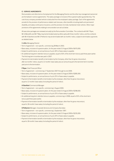# **C) SERVICE AGREEMENTS**

Remuneration and other terms of employment for the Managing Director and the other key management personnel are formalised in service agreements. The salary package is inclusive of the superannuation guarantee levy. The cost of any company provided vehicle is deducted from the employee's salary package. Each of the agreements provide for the provision of performance-related cash bonuses, other benefits including death and permanent disability, and salary continuance insurance, and the provision of a fully-maintained motor vehicle. Other major provisions of the agreements relating to remuneration are set out below.

 All executive packages are reviewed annually by the Remuneration Committee. The contracts with Mr P Ryan, Mr G Meredith and Mr P May may be terminated early by either party with three months' notice, and the contracts with Mr A Staniford and Mr D Petherick may be terminated with six months' notice, subject to termination payments as detailed below.

# **I Little** *Managing Director*

- Term of agreement non-specific, commencing 28 March 2003.
- Base salary, inclusive of superannuation, for the year ended 31 August 2009 of \$470,000.
- Subject to performance, an annual bonus of up to 30% of base salary is payable.
- An additional long-term retention bonus is payable, equal to 50% of the short-term bonus paid three years earlier. The first long-term incentive was paid in 2007.
- Payment of a termination benefit on termination by the Company, other than for gross misconduct, after six months' notice, equal to 12 months' base salary plus an amount equal to the last short-term incentive paid prior to the termination.

### **P Ryan** *Chief Financial Officer*

- Term of agreement commencing 17 September 2007 through to end 2009.
- Base salary, inclusive of superannuation, for the year ended 31 August 2009 of \$285,000.
- Subject to performance, an annual bonus of up to 25% of base salary is payable.
- Payment of termination benefit on termination by the employer, other than for gross misconduct, equal to 12 months' base salary (including the period of notice).

### **A Staniford** *Commercial Manager*

- Term of agreement non-specific, commencing 1 August 2000.
- Base salary, inclusive of superannuation, for the year ended 31 August 2009 of \$298,000.
- Subject to performance, an annual bonus of up to 25% of base salary is payable.
- An additional long-term retention bonus is payable, commencing in 2008, equal to 50% of the short-term bonus paid three years earlier.
- Payment of termination benefit on termination by the employer, other than for gross misconduct, equal to 18 months' base salary (including the period of notice).

# **D Petherick** *Manager, Corporate Services and Company Secretary*

- Term of agreement non-specific, commencing 1 September 1997.
- Base salary, inclusive of superannuation, for the year ended 31 August 2009 of \$235,000.
- Subject to performance, an annual bonus of up to 20% of base salary is payable.
- Payment of termination benefit on termination by the employer, other than for gross misconduct, equal to 18 months' base salary (including the period of notice).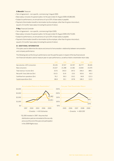# **G Meredith** *Treasurer*

- Term of agreement non-specific, commencing 1 August 2000.
- Base salary, inclusive of superannuation, for the year ended 31 August 2009 of \$180,000.
- Subject to performance, an annual bonus of up to 20% of base salary is payable.
- Payment of termination benefit on termination by the employer, other than for gross misconduct, equal to 15 months' base salary (including the period of notice).

# **P May** *Financial Controller*

- Term of agreement non-specific, commencing 4 April 2005.
- Base salary, inclusive of superannuation, for the year ended 31 August 2009 of \$175,000.
- Subject to performance, an annual bonus of up to 20% of base salary is payable.
- Payment of termination benefit on termination by the employer, other than for gross misconduct,
- equal to 15 months' base salary (including the period of notice).

# **D) ADDITIONAL INFORMATION**

*Principles used to determine the nature and amount of remuneration: relationship between remuneration and company performance.*

The following sets out the Group's performance over the past five years in respect of the key financial and non-financial indicators used to measure year-on-year performance, as well as historic shareholder return data.

|                                       | 2005   | 2006   | 2007   | 2008   | 2009   |
|---------------------------------------|--------|--------|--------|--------|--------|
| Gas volumes <10TJ consumers           | 45.126 | 47.317 | 44.767 | 46.777 | 49,165 |
| New consumers                         | 20.327 | 21.398 | 21.581 | 23.692 | 23,470 |
| Total revenue / income (\$m)          | 317.6  | 343.0  | 347.3  | 346.0  | 389.1  |
| Net profit / (loss) after tax $(\$m)$ | (16.3) | (6.4)  | (3.0)  | 163.6  | 40.3   |
| Cashflow from operations (\$m)        | 76.2   | 99.3   | 119.2  | 94.8   | 122.3  |
| Capital expenditure (\$m)             | 86.8   | 92.1   | 107.8  | 108.3  | 112.5  |



\*\$1,000 invested in 1997. Assumes that distributions paid are reinvested at the security price as at the end of the year and participation in the 2009 Rights issue.



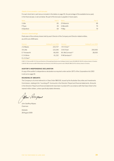### *Details of remuneration: cash bonuses*

For each short-term cash bonus included in the tables on page 35, the percentage of the available bonus paid, in the financial year, is set out below. No part of the bonuses is payable in future years.

| Name        | Paid % Name |                | Paid % |
|-------------|-------------|----------------|--------|
| I Little    |             | 65 D Petherick | 69     |
| P Ryan      |             | 39 G Meredith  | 79     |
| A Staniford | 69          | P May          | 79     |

# *Directors' shareholdings*

Particulars of the ordinary shares held by each Director of the Company and Director related entities, as at 30 June 2009 were:

| <b>Directors</b>        | Holding 30 June 2009 | <b>Directors</b>              | Holding 30 June 2009 |
|-------------------------|----------------------|-------------------------------|----------------------|
| J G Allpass             | 223.727              | I K H Chan <sup>(i)</sup>     |                      |
| <b>I</b> B Little       | 123.240              | O B O'Duill                   | 200,000              |
| E F Ainsworth           | 66,000               | M J McCormack <sup>(ii)</sup> | 28,000               |
| <b>CCABinks</b>         | 61.232               | R M Gersbach <sup>(ii)</sup>  |                      |
| DLS Chan <sup>(i)</sup> | -                    |                               |                      |

(i) Mr D L S Chan and Mr I K H Chan are Directors of Cheung Kong Infrastructure Holdings Ltd which owns 240,489,032 (18.4%) ordinary shares in Envestra. (ii) Mr M J McCormack and Mr R M Gersbach are Directors of the APA Group which owns 396,807,986 (30.4%) ordinary shares in Envestra.

# **AUDITOR'S INDEPENDENCE DECLARATION**

A copy of the auditor's independence declaration as required under section 307C of the *Corporations Act 2001* is set out on page 40.

### **ROUNDING OF AMOUNTS**

The Company is of a kind referred to in Class Order 98/0100, issued by the Australian Securities and Investments Commission, relating to the "rounding off" of amounts in the Directors' Report and financial statements. Amounts in the Directors' Report and financial statements have been rounded off in accordance with that Class Order to the nearest million dollars, unless specifically stated otherwise.

Jehn Aupass

 John Geoffrey Allpass Chairman

 Adelaide 28 August 2009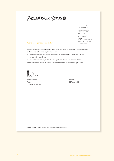# PRICEWATERHOUSE COPERS

### PricewaterhouseCoopers ABN 52 780 433 757

91 King William Street ADELAIDE SA 5000 GPO Box 418 ADELAIDE SA 5001 DX 77 Adelaide Australia Telephone +61 8 8218 7000 Facsimile +61 8 8218 7999 www.pwc.com/au

# Auditor's independence declaration

 As lead auditor for the audit of Envestra Limited for the year ended 30 June 2009, I declare that, to the best of my knowledge and belief, there have been:

- a) no contraventions of the auditor independence requirements of the *Corporations Act 2001* in relation to the audit; and
- b) no contraventions of any applicable code of professional conduct in relation to the audit.

This declaration is in respect of Envestra Limited and the entities it controlled during the period.

Andrew Forman **Adelaide Adelaide** Partner 28 August 2009 PricewaterhouseCoopers

Liability limited by a scheme approved under Professional Standards Legislation.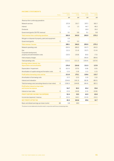| <b>INCOME SIAIEMENIS</b><br><b>Notes</b>                    | Consolidated<br>2009     | Consolidated<br>2008 | Parent entity<br>2009 | Parent entity<br>2008 |
|-------------------------------------------------------------|--------------------------|----------------------|-----------------------|-----------------------|
|                                                             | \$M                      | \$M\$                | \$M                   | \$M\$                 |
| Revenue from continuing operations                          |                          |                      |                       |                       |
| Network services                                            | 372.9                    | 331.7                | 207.1                 | 182.2                 |
| Interest                                                    | 1.0                      | 1.5                  | 44.7                  | 48.3                  |
| <b>Dividends</b>                                            |                          |                      | 30.0                  | 35.0                  |
| Government grants (SA FRC revenue)                          | 5<br>9.1                 | 9.8                  | 9.1                   | 9.8                   |
| <b>Total revenue from continuing operations</b>             | 383.0                    | 343.0                | 290.9                 | 275.3                 |
| Net gain on disposal of property, plant and equipment       | 5.9                      |                      |                       |                       |
| Government grants                                           | 5<br>0.2                 | 3.0                  |                       |                       |
| <b>Total revenue / income</b>                               | 389.1                    | 346.0                | 290.9                 | 275.3                 |
| Network operating costs                                     | (90.5)                   | (89.0)               | (50.7)                | (49.3)                |
| Gas                                                         | (12.1)                   | (11.4)               | (10.7)                | (11.4)                |
| Corporate development,<br>property and administration costs | (10.5)                   | (10.8)               | (8.0)                 | (7.3)                 |
| Intercompany charges                                        |                          |                      | (90.0)                | (89.4)                |
| Total operating costs                                       | (113.1)                  | (111.2)              | (159.4)               | (157.4)               |
| Earnings before interest, tax,                              |                          |                      |                       |                       |
| depreciation and amortisation                               | 276.0                    | 234.8                | 131.5                 | 117.9                 |
| Depreciation / Impairment                                   | 6<br>(61.5)              | (57.9)               | (0.8)                 | (0.9)                 |
| Amortisation of capital raising and formation costs         | 6<br>(1.5)               | (1.8)                | (1.1)                 | (1.3)                 |
| Profit before borrowing costs and tax                       | 213.0                    | 175.1                | 129.6                 | 115.7                 |
| Amortisation of borrowing costs                             | (3.7)                    | (3.5)                | (1.6)                 | (1.6)                 |
| Interest and indexation                                     | (154.6)                  | (141.3)              | (82.8)                | (80.5)                |
| Total borrowing costs (excluding interest on loan notes)    | 6<br>(158.3)             | (144.8)              | (84.4)                | (82.1)                |
| Profit before interest on loan notes                        |                          |                      |                       |                       |
| and income tax expense                                      | 54.7                     | 30.3                 | 45.2                  | 33.6                  |
| Interest on loan notes                                      | 6<br>(2.3)               | (10.8)               | (2.3)                 | (10.8)                |
| <b>PROFIT BEFORE INCOME TAX EXPENSE</b>                     | 52.4                     | 19.5                 | 42.9                  | 22.8                  |
| Income tax (expense) / revenue                              | $\overline{7}$<br>(12.1) | 144.1                | (13.3)                | (10.1)                |
| <b>NET PROFIT AFTER TAX</b>                                 | 40.3                     | 163.6                | 29.6                  | 12.7                  |
| 38<br>Basic and diluted earnings per share (cents)          | 3.8                      | 18.9                 |                       |                       |

# **INCOME STATEMENTS**

The above income statements should be read in conjunction with the accompanying notes.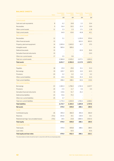| <b>BALANCE SHEETS</b>                    |              | Consolidated | Consolidated |                       |                       |
|------------------------------------------|--------------|--------------|--------------|-----------------------|-----------------------|
|                                          | <b>Notes</b> | 2009         | 2008         | Parent entity<br>2009 | Parent entity<br>2008 |
|                                          |              | \$M          | \$Μ          | \$Μ                   | \$M                   |
| <b>Current assets</b>                    |              |              |              |                       |                       |
| Cash and cash equivalents                | 8            | 6.2          | 10.8         | 2.2                   | 10.4                  |
| Receivables                              | 9            | 56.4         | 50.5         | 21.5                  | 19.9                  |
| Other current assets                     | 11           | 2.3          | 2.3          | 17.1                  | 11.8                  |
| <b>Total current assets</b>              |              | 64.9         | 63.6         | 40.8                  | 42.1                  |
| Non-current assets                       |              |              |              |                       |                       |
| Receivables                              | 12           | 5.1          |              | 1,135.0               | 974.4                 |
| Other financial assets                   | 13           |              |              | 833.5                 | 833.5                 |
| Property, plant and equipment            | 14           | 1,995.6      | 1,943.0      | 42.7                  | 37.5                  |
| Intangible assets                        | 16           | 585.6        | 585.6        |                       |                       |
| Deferred tax assets                      | 15           |              |              | 65.9                  | 36.6                  |
| Derivative financial instruments         | 10           |              |              |                       | 23.0                  |
| Other non-current assets                 | 17           | 0.5          | 0.6          |                       |                       |
| Total non-current assets                 |              | 2,586.8      | 2,529.2      | 2,077.1               | 1,905.0               |
| <b>Total assets</b>                      |              | 2,651.7      | 2,592.8      | 2,117.9               | 1,947.1               |
| <b>Current liabilities</b>               |              |              |              |                       |                       |
| Payables                                 | 18           | 25.9         | 29.9         | 15.1                  | 15.3                  |
| <b>Borrowings</b>                        | 19           | 329.7        | 167.4        | 10.0                  | 62.5                  |
| Provisions                               | 20           | 0.2          | 0.2          | 0.2                   | 0.2                   |
| Other current liabilities                | 21           | 42.6         | 50.6         | 35.3                  | 41.4                  |
| <b>Total current liabilities</b>         |              | 398.4        | 248.1        | 60.6                  | 119.4                 |
| Non-current liabilities                  |              |              |              |                       |                       |
| <b>Borrowings</b>                        | 22           | 1,581.0      | 1,796.0      | 1,742.4               | 1,637.7               |
| Provisions                               | 24           | 17.4         | 11.7         | 0.6                   | 0.5                   |
| Derivative financial instruments         | 10           | 119.6        | 51.7         | 26.2                  |                       |
| Deferred tax liabilities                 | 23           | 55.6         | 75.5         |                       |                       |
| Other non-current liabilities            | 25           | 0.7          |              |                       |                       |
| Total non-current liabilities            |              | 1,774.3      | 1,934.9      | 1,769.2               | 1,638.2               |
| <b>Total liabilities</b>                 |              | 2,172.7      | 2,183.0      | 1,829.8               | 1,757.6               |
| <b>Net assets</b>                        |              | 479.0        | 409.8        | 288.1                 | 189.5                 |
| Equity                                   |              |              |              |                       |                       |
| Contributed equity                       | 26           | 495.0        | 366.9        | 495.0                 | 366.9                 |
| <b>Reserves</b>                          | 27(a)        | (55.5)       | 19.1         | (18.4)                | 16.1                  |
| Retained earnings / (accumulated losses) | 27(b)        | 39.5         | 23.8         | (188.5)               | (193.5)               |
| <b>Total equity</b>                      |              | 479.0        | 409.8        | 288.1                 | 189.5                 |
| Equity and loan notes                    |              |              |              |                       |                       |
| Total equity                             |              | 479.0        | 409.8        | 288.1                 | 189.5                 |
| Loan notes                               |              |              | 42.6         |                       | 42.6                  |
| <b>Total equity and loan notes</b>       |              | 479.0        | 452.4        | 288.1                 | 232.1                 |

The above balance sheets should be read in conjunction with the accompanying notes.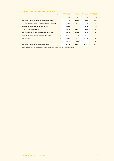# **STATEMENTS OF CHANGES IN EQUITY**

|                                                           | <b>Notes</b> | Consolidated<br>2009 | Consolidated<br>2008 | Parent entity<br>2009 | Parent entity<br>2008 |
|-----------------------------------------------------------|--------------|----------------------|----------------------|-----------------------|-----------------------|
|                                                           |              | \$M                  | \$M                  | \$M                   | \$M\$                 |
| Total equity at the beginning of the financial year       |              | 409.8                | 209.6                | 189.5                 | 145.9                 |
| Changes in the fair value of cash flow hedges, net of tax |              | (74.6)               | 12.5                 | (34.5)                | 6.8                   |
| Net income recognised directly in equity                  |              | (74.6)               | 12.5                 | (34.5)                | 6.8                   |
| Profit for the financial year                             |              | 40.3                 | 163.6                | 29.6                  | 12.7                  |
| Total recognised income and expense for the year          |              | (34.3)               | 176.1                | (4.9)                 | 19.5                  |
| Contributions of equity, net of transaction costs         | 26           | 128.1                | 32.1                 | 128.1                 | 32.1                  |
| Dividends paid                                            | 28           | (24.6)               | (8.0)                | (24.6)                | (8.0)                 |
|                                                           |              | 103.5                | 24.1                 | 103.5                 | 24.1                  |
| Total equity at the end of the financial year             |              | 479.0                | 409.8                | 288.1                 | 189.5                 |

The above statements of changes in equity should be read in conjunction with the accompanying notes.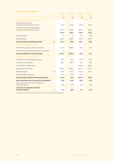# **CASH FLOW STATEMENTS**

| <b>Notes</b>                                                                 | Consolidated<br>2009 | Consolidated<br>2008 | <b>Parent entity</b><br>2009 | Parent entity<br>2008 |
|------------------------------------------------------------------------------|----------------------|----------------------|------------------------------|-----------------------|
|                                                                              | \$M                  | \$M\$                | \$M\$                        | \$M                   |
| Cash flows from operating activities                                         |                      |                      |                              |                       |
| Receipts from customers                                                      |                      |                      |                              |                       |
| (inclusive of Goods and Services Tax)                                        | 407.1                | 371.8                | 229.8                        | 200.7                 |
| Payments to suppliers and employees<br>(inclusive of Goods and Services Tax) | (149.7)              | (141.6)              | (89.3)                       | (84.4)                |
|                                                                              |                      |                      |                              | 116.3                 |
|                                                                              | 257.4                | 230.2                | 140.5                        |                       |
| Interest received                                                            | 1.0                  | 1.5                  | 39.2                         | 39.8                  |
| Borrowing costs                                                              | (136.1)              | (136.9)              | (57.6)                       | (66.5)                |
| Net cash inflow from operating activities<br>36                              | 122.3                | 94.8                 | 122.1                        | 89.6                  |
| Cash flows from investing activities                                         |                      |                      |                              |                       |
| Payments for property, plant and equipment                                   | (112.5)              | (108.3)              | (6.0)                        | (1.3)                 |
| Proceeds from sale of property, plant and equipment                          | 1.0                  |                      |                              |                       |
| Net cash outflow from investing activities                                   | (111.5)              | (108.3)              | (6.0)                        | (1.3)                 |
| Cash flows from financing activities                                         |                      |                      |                              |                       |
| Proceeds from issue of stapled securities                                    | 133.9                | 34.6                 | 133.9                        | 34.6                  |
| Proceeds from borrowings                                                     | 180.7                | 300.4                | 78.1                         | 83.8                  |
| Loans (to)/from related parties                                              |                      |                      | (158.0)                      | (69.3)                |
| Repayment of borrowings                                                      | (250.9)              | (240.1)              | (100.0)                      | (45.7)                |
| 28<br>Distributions paid                                                     | (75.8)               | (81.7)               | (75.8)                       | (81.7)                |
| Debt and capital raising costs                                               | (3.3)                | (0.3)                | (2.5)                        |                       |
| Net cash inflow/(outflow) from financing activities                          | (15.4)               | 12.9                 | (124.3)                      | (78.3)                |
| Net increase/(decrease) in cash and cash equivalents                         | (4.6)                | (0.6)                | (8.2)                        | 10.0                  |
| Cash and cash equivalents at the beginning<br>of the financial year          | 10.8                 | 11.4                 | 10.4                         | 0.4                   |
| Cash and cash equivalents at the end                                         |                      |                      |                              |                       |
| 8<br>of the financial year                                                   | 6.2                  | 10.8                 | 2.2                          | 10.4                  |

The above cash flow statements should be read in conjunction with the accompanying notes.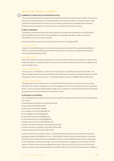# **NOTES TO THE FINANCIAL STATEMENTS**

# **SUMMARY OF SIGNIFICANT ACCOUNTING POLICIES**

The principal accounting policies adopted in the preparation of the financial report are set out below. These policies have been consistently applied to all the years presented, unless otherwise stated. The financial report includes separate financial statements for Envestra Ltd as an individual entity and the consolidated entity consisting of Envestra Ltd and its subsidiaries. The financial report is presented in the Australian currency.

### **(a) Basis of preparation**

**1**

This general purpose financial report has been prepared in accordance with Australian Accounting Standards, other authoritative pronouncements of the Australian Accounting Standards Board, Urgent Issues Group Interpretations and the *Corporations Act 2001*.

The financial statements were approved by the Board of Directors on 28 August 2009.

### *Compliance with IFRS*

Australian Accounting Standards include Australian equivalents to International Financial Reporting Standards (AIFRS). Compliance with AIFRS ensures that the financial report of Envestra Ltd complies with International Financial Reporting Standards (IFRS).

### *Accounting convention*

While certain assets and liabilities are presented in accordance with the historical cost convention, certain financial assets and liabilities (including derivative instruments) are recorded at fair value through the income statement and cash flow hedge reserve.

### *Working capital deficiency*

The Group had current liabilities in excess of current assets at 30 June 2009 amounting to \$333.5 million. This deficiency largely relates to bank loans and Medium Term Notes due for repayment in August and November 2009, refinancing for which was put in place on 7 July 2009 through the execution of a \$280 million syndicated loan.

### *Critical accounting estimates*

The preparation of financial statements in conformity with AIFRS requires the use of certain critical accounting estimates. It also requires management to exercise its judgement in the process of applying the Group's accounting policies. The areas involving a higher degree of judgement or complexity, or areas where assumptions and estimates are significant to the financial statements are disclosed in note 3.

# **(b) Principles of consolidation**

The consolidated financial statements incorporate the activities and affairs of Envestra Ltd and its controlled entities (the 'Group'):

- Envestra Natural Gas Networks Ltd ACN 008 181 066
- Envestra (SA) Ltd ACN 008 139 204
- Envestra (QLD) Ltd ACN 009 760 883
- Envic Holdings 1 Pty Ltd ACN 085 882 337
- Envic Holdings 2 Ltd ACN 085 882 364
- Envestra Victoria Pty Ltd ACN 085 882 373
- Vic Gas Distribution Pty Ltd ACN 085 899 001
- The Albury Gas Company Ltd ACN 000 001 249
- Envestra Transmission Holdings 1 Pty Ltd ACN 108 315 957
- Envestra Transmission Holdings 2 Pty Ltd ACN 108 316 249
- Envestra Transmission Pty Ltd ACN 108 316 007.

 Envestra Victoria Pty Ltd ('Envestra Victoria'), a wholly owned subsidiary of Envestra, has entered into a Business Management Agreement (BMA) with Vic Gas. Under the BMA, Envestra Victoria becomes entitled to and exposed to the full economic rewards and risks of operating the business. Under the BMA, Envestra Victoria is appointed by Vic Gas Distribution to operate and manage, or procure the operation and management of the Victorian and NSW networks. Envestra Victoria is paid a management fee equal to the excess of Vic Gas' net revenue over its interest expense and has provided a guarantee that Vic Gas will have sufficient funds to meet its interest payment obligations.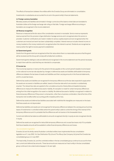The effects of transactions between the entities within the Envestra Group are eliminated on consolidation.

Investments in subsidiaries are accounted for at cost in the parent entity's financial statements.

### **(c) Foreign currency translation**

Monetary assets and liabilities denominated in foreign currencies at the balance sheet date are translated to Australian dollars at the foreign exchange rate ruling on that date. Foreign exchange differences arising on translation are recognised in the income statement.

# **(d) Revenue recognition**

Revenue is measured at the fair value of the consideration received or receivable. Service revenue represents revenue earned from the provision of gas distribution haulage services and is recognised when the service is provided. Customer contributions are made in relation to various capital projects and are recognised when the customers are invoiced and work has been substantially completed. Interest revenue includes interest income on money invested on the money market and is recognised when the interest is earned. Dividends are recognised as revenue when the right to receive payment is established.

### **(e) Government grants**

Grants from the government are recognised at their fair value where there is a reasonable assurance that the grant will be received and the Group will comply with all attached conditions.

 Government grants relating to costs are deferred and recognised in the income statement over the period necessary to match them with the costs that they are intended to compensate.

# **(f) Income tax**

The income tax expense or revenue for the period is the tax payable on the current period's taxable income based on the national income tax rate adjusted by changes in deferred tax assets and liabilities attributable to temporary differences between the tax bases of assets and liabilities and their carrying amounts in the financial statements, and for unused tax losses.

 Deferred tax assets and liabilities are recognised for temporary differences at the tax rates expected to apply when the assets are recovered or liabilities are settled, based on those tax rates which are enacted or substantively enacted. The relevant tax rates are applied to the cumulative amounts of deductible and taxable temporary differences to measure the deferred tax asset or liability. An exception is made for certain temporary differences arising from the initial recognition of an asset or a liability. No deferred tax asset or liability is recognised in relation to these temporary differences if they arose in a transaction, other than a business combination, that at the time of the transaction did not affect either accounting profit or taxable profit or loss.

Deferred tax assets and deferred tax liabilities associated with indefinite life intangibles are measured on the basis that these assets are not depreciated.

 Deferred tax liabilities and assets are not recognised for temporary differences between the carrying amount and tax bases of investments in controlled entities where the parent entity is able to control the timing of the reversal of the temporary differences and it is probable that the differences will not reverse in the foreseeable future.

 Current and deferred tax balances attributable to amounts recognised directly in equity are also recognised directly in equity.

 Deferred tax assets are recognised for deductible temporary differences and unused tax losses only if it is probable that future taxable amounts will be available to utilise those temporary differences and losses.

### *Tax consolidation legislation*

Envestra Ltd and its wholly-owned Australian controlled entities have implemented the tax consolidation legislation as of 1 July 2002. Vic Gas Distribution Pty Ltd and The Albury Gas Company Ltd joined the Envestra tax consolidated group on 2 July 2007.

 The head entity, Envestra Ltd, and the controlled entities in the tax consolidated group continue to account for their own current and deferred tax amounts. These tax amounts are measured as if each entity in the tax consolidated group continues to be a stand-alone taxpayer in its own right.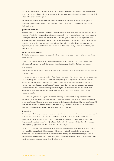In addition to its own current and deferred tax amounts, Envestra Ltd also recognises the current tax liabilities (or assets) and the deferred tax assets arising from unused tax losses and unused tax credits assumed from controlled entities in the tax consolidated group.

 Assets or liabilities arising under tax funding agreements with the tax consolidated entities are recognised as amounts receivable from or payable to other entities in the group. Details about the tax funding agreement are disclosed in note 7.

### **(g) Impairment of assets**

Assets that have an indefinite useful life are not subject to amortisation, or depreciation and are tested annually for impairment. Assets that are subject to amortisation or depreciation are reviewed for impairment whenever events or changes in circumstances indicate that the carrying amount may not be recoverable. An impairment loss is recognised for the amount by which the asset's carrying amount exceeds its recoverable amount. The recoverable amount is the higher of an asset's fair value less costs to sell and value in use. For the purposes of assessing impairment, assets are grouped at the lowest levels for which there are separately identifiable cash flows (cash generating units).

### **(h) Cash and cash equivalents**

Cash includes cash on hand, deposits held at call with banks and investments in money market instruments, net of bank overdrafts.

 Envestra Ltd holds a deposit at call account in New Zealand which is translated into A\$ using the spot rate at balance date. The account is held for the purpose of distribution payments to New Zealand shareholders.

# **(i) Receivables**

Trade receivables are recognised initially at fair value and subsequently measured at amortised cost, less provision for doubtful debts.

 The Access Arrangements covering the South Australia networks require the retailer to prepay for haulage services. The initial prepayment is an estimate of two months haulage charges. An adjustment is made each month for variances between the actual charges and the prepaid estimate and includes an estimate of a further month's charges. No provision has been raised for doubtful debts in respect of these arrangements because no debts are considered doubtful. The Access Arrangement covering the Queensland network requires the retailer to pay for gas delivered within 30 days. No provision has been raised for doubtful debts because no debts are considered doubtful.

 The Access Arrangements covering the Victorian networks require distributors to charge retailers when the end user is billed. Although haulage charges in respect of the Victorian networks are paid after the service is provided, no provision for doubtful debts has been raised because no debts are considered doubtful. A provision for doubtful debts is recorded based on historical evidence of credit recovery in relation to invoices raised for miscellaneous items, such as costs to repair damage to the network caused by a third party.

### **(j) Derivatives**

Derivatives are initially recognised at fair value on the date a derivative contract is entered into and are subsequently remeasured to their fair value. The method of recognising the resulting gain or loss depends on whether the derivative is designated as a hedging instrument, and if so, the nature of the item being hedged. The Group designates certain derivatives as either: (1) hedges of the fair value of recognised liabilities (fair value hedge); or (2) Hedges of highly probable forecast transactions (cash flow hedges).

 The Group documents at the inception of the hedging transaction the relationship between hedging instruments and hedged items, as well as its risk management objective and strategy for undertaking various hedge transactions. The Group also documents its assessment, both at hedge inception and on an ongoing basis, of whether the derivatives that are used in hedging transactions have been and will continue to be highly effective in offsetting changes in fair values or cash flows of hedged items.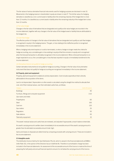The fair values of various derivative financial instruments used for hedging purposes are disclosed in note 10. Movements in the hedging reserve in shareholders' equity are shown in note 27. The full fair value of a hedging derivative is classified as a non-current asset or liability when the remaining maturity of the hedged item is more than 12 months; it is classified as a current asset or liability when the remaining maturity of the hedged item is less than 12 months.

# *(i) Fair value hedge*

Changes in the fair value of derivatives that are designated and qualify as fair value hedges are recorded in the income statement, together with any changes in the fair value of the hedged asset or liability that are attributable to the hedged risk.

### *(ii)* Cash flow hedge

The effective portion of changes in the fair value of derivatives that are designated and qualify as cash flow hedges is recognised in equity in the hedging reserve. The gain, or loss relating to the ineffective portion is recognised immediately in the income statement.

 When a hedging instrument expires or is sold or terminated, or when a hedge no longer meets the criteria for hedge accounting, any cumulative gain or loss existing in equity at that time remains in equity and is recognised when the forecast transaction is ultimately recognised in the income statement. When a forecast transaction is no longer expected to occur, the cumulative gain or loss that was reported in equity is immediately transferred to the income statement.

# *(iii) Derivatives that do not qualify for hedge accounting*

Certain derivative instruments do not qualify for hedge accounting. Changes in the fair value of any derivative instrument that does not qualify for hedge accounting are recognised immediately in the income statement.

### **(k) Property, plant and equipment**

Property, plant and equipment is stated at cost less depreciation. Cost includes expenditure that is directly attributable to the acquisition of the items.

 Land is not depreciated. Depreciation on other assets is calculated using the straight line method to allocate their cost, net of their residual values, over their estimated useful lives, as follows:

| Category                                   | Useful life (years) |
|--------------------------------------------|---------------------|
| <b>Buildings</b>                           | 40                  |
| Furniture, fittings and computer equipment | $3-10$              |
| Gas mains and inlets:                      |                     |
| Polyethylene                               | 60                  |
| Steel                                      | 100                 |
| Cast iron                                  | 120                 |
| Gas meters                                 | 25                  |
| <b>Regulators</b>                          | 50                  |
| Gate stations                              | 50                  |
| Telemetry equipment                        | 10                  |

The assets' residual values and useful lives are reviewed, and adjusted if appropriate, at each balance sheet date.

 An asset's carrying amount is written down immediately to its recoverable amount if the asset's carrying amount is greater than its estimated recoverable amount (note 1(g)).

 Gains and losses on disposals are determined by comparing proceeds with carrying amount. These are included in the income statement.

### **(l) Intangible assets**

The distribution licence held by Vic Gas Distribution Pty Ltd, which is valued in the financial statements at \$586m (refer Note 16), in the opinion of the Directors has an indefinite life. Therefore no amortisation charge has been included in the financial statements. An assessment of the recoverable amount of the licence is made at the time of preparing the half yearly and annual financial reports to ensure it is not below the carrying amount of the licence.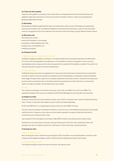### **(m) Trade and other payables**

Trade accounts payable, including accruals not yet billed, are recognised when the Envestra Group becomes obliged to make future payments as a result of a purchase of assets or services. Trade accounts payable are generally settled within 30 days.

### **(n) Borrowings**

Borrowings are initially recognised at fair value, net of transaction costs incurred. Borrowings are subsequently measured at amortised cost. Any difference between the proceeds (net of transaction costs) and the redemption amount is recognised in the income statement over the period of the borrowings using the effective interest method.

### **(o) Borrowing costs**

Borrowing costs include:

- interest and indexation on borrowings;
- amortisation of debt establishment costs;
- ancillary costs, including fees; and
- ineffective derivatives.

### **(p) Employee benefits**

### *(i) Wages and salaries, annual leave and sick leave*

Liabilities for wages and salaries, including non-monetary benefits and annual leave expected to be settled within 12 months of the reporting date are recognised as current liabilities in respect of employees' services up to the reporting date and are measured at the amounts expected to be paid when the liabilities are settled. No provision for sick leave has been included in the financial statements.

# *(ii) Long service leave*

A liability for long service leave is recognised and is measured as the present value of expected future payments to be made in respect of services provided by employees up to the reporting date. Consideration is given to expected future wage and salary levels, experience of employee departures and periods of service. Expected future payments are discounted using interest rates on Australian government guaranteed securities with terms to maturity that match, as closely as possible, the estimated future cash outflows.

### *(iii) Other*

The number of employees in the Envestra Group was 14 as at 30 June 2009 (14 as at 30 June 2008). The operational activities of the Group are undertaken by APA Asset Management and associated subcontractors.

# **(q) Stapled securities**

Envestra Ltd previously had issued stapled securities, each of which comprised a loan note and a fully paid ordinary share. The two components of the stapled security could not be traded separately.

At 30 June 2009 there is no outstanding principal on each loan note (2008: 4.9 cents).

The loan notes are classified in the balance sheets as current and non-current liabilities because they are principally a debt instrument. However, as loan notes cannot be traded separately, the balance sheets also disclose the combined amount of equity and loan notes.

Upon payment of the final balance of principal in May 2009, Envestra's securities became ordinary shares.

 Distributions to security holders previously comprised interest paid on the loan notes, repayment of loan note principal, and return of capital and dividends. Distributions in future will simply comprise dividends.

### **(r) Earnings per share**

### *(i) Basic earnings per share*

Basic earnings per share is determined by dividing the profit or loss after income tax attributable to members of the company by the weighted average number of ordinary shares outstanding during the financial year.

# *(ii) Diluted earnings per share*

The diluted earnings per share is the same as the basic earnings per share.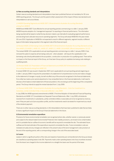# **(s) New accounting standards and interpretations**

Certain new accounting standards and interpretations have been published that are not mandatory for 30 June 2009 reporting periods. The Group's and the parent entity's assessment of the impact of these new standards and interpretations is set out as follows:

# *(i) AASB 8 Operating Segments and AASB 2007-3 Amendments to Australian Accounting Standards arising from AASB 8*

AASB 8 and AASB 2007-3 are effective for annual reporting periods commencing on or after 1 January 2009. AASB 8 requires adoption of a 'management approach' to reporting on financial performance. The information being reported will be based on what the key decision makers use internally for evaluating segment performance and deciding how to allocate resources to operating segments. The Group will adopt AASB 8 for the year ended 30 June 2010. Application of AASB 8 is not expected to result in different segments, segment results or different types of information being reported in the segment note of the financial report.

# *(ii) Revised AASB 123 Borrowing Costs and AASB 2007-6 Amendments to Australian Accounting Standards arising from AASB 123 [AASB 1, AASB 101, AASB 107, AASB 111, AASB 116 & AASB 138 and Interpretations 1 & 12]*

The revised AASB 123 is applicable to annual reporting periods commencing on or after 1 January 2009. It has removed the option to expense all borrowing costs and – when adopted – will require the capitalisation of all borrowing costs directly attributable to the acquisition, construction or production of a qualifying asset. There will be no impact on the financial report of the Group, as it has been Group policy to capitalise borrowing costs relating to qualifying assets.

# *(iii) Revised AASB 101 Presentation of Financial Statements and AASB 2007-8 Amendments to Australian Accounting Standards arising from AASB 101*

A revised AASB 101 was issued in September 2007 and is applicable for annual reporting periods beginning on or after 1 January 2009. It requires the presentation of a statement of comprehensive income and makes changes to the statement of changes in equity, but will not affect any of the amounts recognised in the financial statements. If an entity has made a prior period adjustment or has reclassified items in the financial statements, it will need to disclose a third balance sheet (statement of financial position), this one being as at the beginning of the comparative period. The Group intends to apply the revised standard from 1 July 2009.

# *(iv) Revised AASB 2008-7 Amendments to Australian Accounting Standards – Cost of an Investment in a Subsidiary, Jointly Controlled Entity or Associate (effective 1 July 2009)*

In July 2008, the AASB approved amendments to AASB 1 First-time Adoption of International Financial Reporting Standards and AASB 127 Consolidated and Separate Financial Statements. After 1 July 2009, all dividends received from investments in subsidiaries, jointly controlled entities or associates are to be recognised as revenue, even if they are paid out of pre-acquisition profits, and the investments need to be tested for impairment as a result of the dividend payment.

 There are no other new accounting standards or UIG interpretations that have been published to date that are likely to have a significant impact on the Group's financial statements in the future.

# **(t) Environmental remediation expenditure**

Provisions for future environmental remediation are recognised where sites, whether owned, or previously owned and subject to the relevant state Environmental Protection Acts' liability provisions, are known to be contaminated, and it is probable that an outflow of economic benefits will be required to remediate the site. The estimated future outflows are the best estimate of the expenditure required to remediate the sites. Future remediation costs are reviewed annually and any changes are reflected in the present value of the land management costs provision at the end of the reporting period, with a corresponding change in the cost of the associated asset.

### **(u) Leases**

Leases in which a significant portion of the risks and rewards of ownership are not transferred to the Group as lessee are classified as operating leases (note 39). Payments made under operating leases (net of any incentives received from the lessor) are charged to the income statement on a straight-line basis over the period of the lease.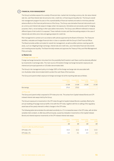# **FINANCIAL RISK MANAGEMENT**

**2**

The Group's activities expose it to a variety of financial risks: market risk (including currency risk, fair value interest rate risk, cash flow interest rate risk and price risk), credit risk, re-financing and liquidity risk. The Group's overall risk management program focuses on the unpredictability of financial markets and seeks to minimise potential adverse effects on the financial performance of the Group. The Group uses derivative financial instruments such as currency and interest rate swaps to hedge certain risk exposures. Derivatives are exclusively used for hedging purposes, that is, not as trading or other speculative instruments. The Group uses different methods to measure different types of risk to which it is exposed. These methods include cash flow forecasting analysis in the case of interest rate and other price risks and ageing analysis for credit risk.

 Risk management is carried out in accordance with policies approved by the Board of Directors. The Treasurer identifies, evaluates and hedges financial risks in close co-operation with the Group's Chief Financial Officer. The Board provides written principles for overall risk management, as well as written policies covering specific areas, such as mitigating foreign exchange, interest rate and credit risks, use of derivative financial instruments and investing excess liquidity. The Board formally reviews and approves the Treasury Policy and Risk Management Policy annually.

# **(a) Market risk**

# *(i) Foreign exchange risk*

Foreign exchange transaction risk arises from the possibility that Envestra's cash flows could be adversely affected by movements in exchange rates. The main source of Envestra's foreign exchange transaction exposures are interest and principal payments on US dollar denominated debt.

 The Group's risk management policy is to hedge 100% of the foreign exchange rate risk associated with non-Australian dollar denominated debt to protect the cash flows of the business.

The Group and parent entity's exposure to foreign exchange risk at the reporting date was as follows:

|                   |       | Consolidated Consolidated Parent entity Parent entity<br>2009 2008 2009 2008 |        |
|-------------------|-------|------------------------------------------------------------------------------|--------|
|                   |       | US \$M US \$M US \$M                                                         | US \$M |
| <b>Borrowings</b> | 175 O | 175 O                                                                        |        |

# *(ii) Price risk*

The Group and parent entity is exposed to CPI index price risk. This arises from Capital Indexed Bonds and CPI indexed interest rate swaps held by the Group.

 The Group's exposure to movements in the CPI index through its Capital Indexed Bonds is partially offset by the annual resetting of haulage revenue tariffs in line with the CPI index, together with the re-setting of the regulatory asset base at five-yearly intervals to reflect changes in the CPI index.

 The following table demonstrates the estimated sensitivity to a 1% increase/decrease in the CPI index, with all other variables held constant, on after-tax profit and equity, caused by indexation movements on the Capital Indexed Bonds and interest expense movements on the CPI indexed interest rate swaps.

|                                       | 2009  | Consolidated Consolidated Parent entity<br>2008 | 2009  | <b>Parent entity</b><br>2008 |
|---------------------------------------|-------|-------------------------------------------------|-------|------------------------------|
|                                       | \$M   | \$M                                             | \$M\$ | \$M\$                        |
| Impact on after-tax profit and equity |       |                                                 |       |                              |
| CPI index $+1\%$                      | (3.2) | (3.1)                                           | (2.3) | (2.2)                        |
| CPI index -1%                         | 3.2   | $\overline{3}1$                                 | 23    | 22                           |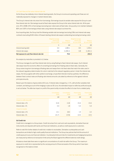### *(iii) Cash flow and fair value interest rate risk*

As the Group has relatively minor interest-bearing assets, the Group's income and operating cash flows are not materially exposed to changes in market interest rates.

 The Group's interest rate risk arises from borrowings. Borrowings issued at variable rates expose the Group to cash flow interest rate risk. Borrowings issued at fixed rates expose the Group to fair value interest rate risk. At the yearend, 25% (2008: 24%) of borrowings (excluding loan notes) were at fixed rates. Group policy is to maintain between 80% and 100% of borrowings at fixed rates using interest rate swaps to achieve this.

 As at reporting date, the Group had the following variable rate borrowings (excluding CIBs) and interest rate swap contracts (excluding \$100 million of forward starting interest rate swaps) outstanding (excluding borrowing costs):

|                                              | Weighted average<br>interest rate<br>30 June 2009 | <b>Balance</b><br>30 June 2009 | Weighted average<br>interest rate<br>30.June 2008 | <b>Balance</b><br>30 June 2008 |
|----------------------------------------------|---------------------------------------------------|--------------------------------|---------------------------------------------------|--------------------------------|
|                                              | %                                                 | \$M\$                          | %                                                 | \$M                            |
| Interest bearing debt                        | 4.0                                               | 1.485.1                        | 8.5                                               | 1,555.1                        |
| Interest rate swaps                          | 6.8                                               | (1.406.1)                      | 6.8                                               | (1,301.1)                      |
| Net exposure to cash flow interest rate risk |                                                   | 79.0                           |                                                   | 254.0                          |

An analysis by maturities is provided in (c) below.

The Group manages its cash flow interest rate risk by using floating-to-fixed interest rate swaps. Such interest rate swaps have the economic effect of converting borrowings from floating rates to fixed rates. Generally, the Group raises long-term borrowings at floating rates and swaps them into fixed rates that match the rates used in the relevant regulatory determination for a term matched to the relevant regulatory period. Under the interest rate swaps, the Group agrees with other parties to exchange, at specified intervals (mainly quarterly), the difference between fixed contract rates and floating-rate interest amounts calculated by reference to the agreed notional principal amounts.

 Based upon the balance of gross debt at 30 June, if interest rates changed by +/-1%, with all other variables held constant, and taking account of the hedging in place at 30 June, the estimated impact on after-tax profit and equity is set out below. The after-tax impact on profit of the parent entity includes the effect of a loan from a related party.

|                            | Consolidated<br>2009 | Consolidated<br>2008 | Parent entity<br>2009 | Parent entity<br>2008 |
|----------------------------|----------------------|----------------------|-----------------------|-----------------------|
|                            | \$M\$                | \$M                  | \$M                   | \$M\$                 |
| Impact on after-tax profit |                      |                      |                       |                       |
| Interest rates $+1\%$      | (0.4)                | (1.8)                | (5.4)                 | (5.4)                 |
| Interest rates -1%         | 0.4                  | 1.8                  | 5.4                   | 5.4                   |
| Impact on equity           |                      |                      |                       |                       |
| Interest rates $+1\%$      | 21.1                 | 18.4                 | 1.9                   | 3.2                   |
| Interest rates -1%         | (21.7)               | (17.8)               | (2.0)                 | (3.5)                 |

# **(b) Credit risk**

Credit risk is managed on a Group basis. Credit risk arises from cash and cash equivalents, derivative financial instruments and deposits with banks and financial institutions, as well as credit exposures to customers.

 Refer to note 9 for further details of credit risk in relation to receivables. Derivative counterparties and cash transactions are limited to high credit quality financial institutions. The Group has policies that limit the amount of credit exposure to any one financial institution. Counterparty limits and risks for investments and hedging transactions are measured by reference to transaction limits set by the Board against the different external credit ratings.

At balance sheet date there were no significant concentrations of credit risk within the Group. The maximum exposure to credit risk is represented by the carrying amount of financial assets of the Group which have been recognised on the balance sheet.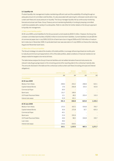# **(c) Liquidity risk**

Prudent liquidity risk management implies maintaining sufficient cash and the availability of funding through an adequate amount of committed credit facilities. It is also associated with planning for unforeseen events which may curtail cash flows and cause pressure on liquidity. The Group manages liquidity risk by continuously monitoring forecast and actual cash flows. Group Treasury aims at maintaining flexibility in funding by keeping committed credit lines available with a variety of counterparties. Refer to note 22(e) for further details on the Group's approach to liquidity risk management.

# *(i) Net current liability position*

At 30 June 2009 current liabilities for the Group exceed current assets by \$333.5 million. However, the Group has undrawn committed bank facilities of \$236.0 million to fund short-term liabilities. Current liabilities include \$29.9m of commercial paper due in July 2009, \$125.0m of bank loans due in August 2009 and \$174.8 million of medium term notes due in November 2009. A syndicated bank loan was executed on 5 July 2009 to re-finance the maturing August and November bank loans.

# *(ii) Maturities of financial liabilities*

The Group's strategy is to extend the duration of its debt portfolio, to arrange refinancing at least six months prior to maturity and limit annual repayments to 15% of the debt portfolio, albeit conditions in financial markets do not always enable the targets to be met at all times.

The table below analyses the Group's financial liabilities and net settled derivative financial instruments into relevant maturity groupings based on the remaining period at the reporting date to the contractual maturity date. The amounts disclosed in the table are the contractual undiscounted cash flows (including principal and interest obligations).

|                                   |                  | <b>Between</b> | <b>Between</b> |               |
|-----------------------------------|------------------|----------------|----------------|---------------|
|                                   | Less than 1 year | 1 and 5 years  | 5 and 15 years | Over 15 years |
|                                   | \$M\$            | \$M\$          | \$M\$          | \$M\$         |
| Consolidated                      |                  |                |                |               |
| At 30 June 2009                   |                  |                |                |               |
| <b>Medium Term Notes</b>          | 208.0            | 254.2          | 268.8          | 622.1         |
| <b>Capital Indexed Bonds</b>      | 17.6             | 266.8          | 101.6          | 413.0         |
| <b>Commercial Paper</b>           | 30.0             |                |                |               |
| <b>Bank loans</b>                 | 131.7            | 148.4          |                |               |
| <b>US Private Placement Notes</b> | 12.1             | 48.3           | 253.4          | 110.3         |
| Interest rate swaps               | 51.9             | 101.1          |                |               |
|                                   | 451.3            | 818.8          | 623.8          | 1,145.4       |
| At 30 June 2008                   |                  |                |                |               |
| <b>Medium Term Notes</b>          | 172.5            | 567.2          | 554.8          | 700.7         |
| <b>Capital Indexed Bonds</b>      | 16.9             | 272.8          | 97.7           | 420.3         |
| <b>Commercial Paper</b>           | 40.1             |                |                |               |
| <b>Bank loans</b>                 | 21.6             | 255.9          |                |               |
| <b>US Private Placement Notes</b> | 24.6             | 98.5           | 334.8          | 150.7         |
| Loan notes                        | 49.0             |                |                |               |
| Interest rate swaps               | (14.6)           | (36.9)         |                |               |
|                                   | 310.1            | 1,157.5        | 987.3          | 1,271.7       |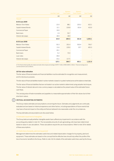|                              |                  | <b>Between</b> | <b>Between</b> |               |
|------------------------------|------------------|----------------|----------------|---------------|
|                              | Less than 1 year | 1 and 5 years  | 5 and 15 years | Over 15 years |
|                              | \$M              | \$M\$          | \$M\$          | \$M\$         |
| Parent <sup>(i)</sup>        |                  |                |                |               |
| At 30 June 2009              |                  |                |                |               |
| <b>Medium Term Notes</b>     | 22.0             | 88.1           | 220.2          | 622.1         |
| <b>Capital Indexed Bonds</b> | 12.1             | 126.8          | 101.6          | 413.0         |
| <b>Commercial Paper</b>      | 10.0             |                |                |               |
| Bank loans                   | 1.9              | 50.7           |                |               |
| Interest rate swaps          | 18.9             | 18.9           |                |               |
|                              | 64.9             | 284.5          | 321.8          | 1,035.1       |
| At 30 June 2008              |                  |                |                |               |
| <b>Medium Term Notes</b>     | 50.3             | 201.4          | 503.4          | 700.7         |
| <b>Capital Indexed Bonds</b> | 11.6             | 129.0          | 97.7           | 420.3         |
| <b>Commercial Paper</b>      | 20.1             |                |                |               |
| Bank loans                   | 5.2              | 72.0           |                |               |
| Loan notes                   | 49.0             |                |                |               |
| Interest rate swaps          | (9.1)            | (17.7)         |                |               |
|                              | 127.1            | 384.7          | 601.1          | 1,121.0       |

(i) The Parent entity liquidity risk analysis excludes intercompany borrowings of \$797.7 million (2008: \$695.2 million). These borrowings are at commercial terms and conditions.

# **(d) Fair value estimation**

The fair value of financial assets and financial liabilities must be estimated for recognition and measurement, and for disclosure purposes.

The fair value of financial liabilities traded in active markets is based on quoted market prices at the balance sheet date.

The fair value of financial liabilities that are not traded in an active market is determined using valuation techniques. The fair value of interest rate and cross currency swaps is calculated as the present value of the estimated future cash flows.

 The carrying value of trade receivables and payables is a reasonable approximation of their fair values due to their short-term nature.

#### **CRITICAL ACCOUNTING ESTIMATES 3**

 The Group makes estimates and assumptions concerning the future. Estimates and judgements are continually evaluated and are based on historical experience and other factors, including expectations of future events that may have a financial impact on the entity and that are believed to be reasonable under the circumstances.

The key estimates and assumptions are discussed below.

# *(i) Estimated impairment of intangibles*

The Group tests annually whether intangible assets have suffered any impairment in accordance with the accounting policy stated in note 1(l). The recoverable amounts of cash-generating units have been determined based on value-in-use calculations. These calculations require the use of assumptions. Refer to note 16 for details of these assumptions.

# *(ii) Useful lives of property, plant and equipment*

Management determines the estimated useful lives and related depreciation charges for its property, plant and equipment. These estimates are based on the concept that the effective lives should truly reflect the profile of the loss of economic benefits to the Group. Refer to note 1(k) for details of the estimated useful lives used by the Group.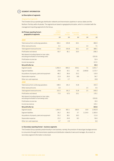**SEGMENT INFORMATION**

**4**

# **(a) Description of segments**

# *Geographical segments*

The Envestra Group operates gas distribution networks and transmission pipelines in various states and the Northern Territory within Australia. The segments are based on geographical location, which is consistent with the management reporting segments for the Group.

| (b) Primary reporting format -<br>geographical segments                                       | Victoria<br>and New<br><b>South Wales</b> | <b>South</b><br>Australia | Queensland<br>and other | Unallocated | Consolidated |
|-----------------------------------------------------------------------------------------------|-------------------------------------------|---------------------------|-------------------------|-------------|--------------|
|                                                                                               | \$M                                       | \$M\$                     | \$M                     | \$M\$       | \$M\$        |
| 2009                                                                                          |                                           |                           |                         |             |              |
| Total revenue from continuing operations                                                      | 166.1                                     | 155.8                     | 60.1                    |             | 382.0        |
| Other revenue/income                                                                          | 6.1                                       |                           |                         | 1.0         | 7.1          |
| Total segment revenue/income                                                                  | 172.2                                     | 155.8                     | 60.1                    | 1.0         | 389.1        |
| Profit before net interest                                                                    | 93.7                                      | 81.1                      | 33.5                    |             | 208.3        |
| Net interest (including interest on loan notes,<br>excluding amortisation of borrowing costs) |                                           |                           |                         |             | (155.9)      |
| Profit before income tax                                                                      |                                           |                           |                         |             | 52.4         |
| Income tax expense                                                                            |                                           |                           |                         |             | (12.1)       |
| Net profit after tax                                                                          |                                           |                           |                         |             | 40.3         |
| Segment assets                                                                                | 1,450.3                                   | 840.2                     | 354.1                   | 7.1         | 2,651.7      |
| Segment liabilities                                                                           | 29.8                                      | 42.1                      | 4.0                     | 2,096.8     | 2,172.7      |
| Acquisitions of property, plant and equipment                                                 | 48.2                                      | 36.6                      | 25.2                    |             | 110.0        |
| Depreciation expense                                                                          | 21.9                                      | 26.0                      | 8.8                     |             | 56.7         |
| Other non-cash expenses                                                                       | 8.1                                       | 2.7                       |                         |             | 10.8         |
| 2008                                                                                          |                                           |                           |                         |             |              |
| Total revenue from continuing operations                                                      | 148.5                                     | 141.2                     | 51.8                    |             | 341.5        |
| Other revenue/income                                                                          | 3.0                                       |                           |                         | 1.5         | 4.5          |
| Total segment revenue/income                                                                  | 151.5                                     | 141.2                     | 51.8                    | 1.5         | 346.0        |
| Profit before net interest                                                                    | 77.5                                      | 67.5                      | 25.1                    |             | 170.1        |
| Net interest (including interest on loan notes,<br>excluding amortisation of borrowing costs) |                                           |                           |                         |             | (150.6)      |
| Profit before income tax                                                                      |                                           |                           |                         |             | 19.5         |
| Income tax revenue                                                                            |                                           |                           |                         |             | 144.1        |
| Net profit after tax                                                                          |                                           |                           |                         |             | 163.6        |
| Segment assets                                                                                | 1,414.3                                   | 831.1                     | 336.5                   | 10.9        | 2,592.8      |
| Segment liabilities                                                                           | 26.2                                      | 38.2                      | 3.7                     | 2,114.9     | 2,183.0      |
| Acquisitions of property, plant and equipment                                                 | 55.2                                      | 38.1                      | 18.3                    |             | 111.6        |
| Depreciation expense                                                                          | 23.2                                      | 24.9                      | 8.5                     |             | 56.6         |
| Other non-cash expenses                                                                       | 3.7                                       | 2.9                       |                         |             | 6.6          |

# **(c) Secondary reporting format – business segments**

The Envestra Group operates predominantly in one business; namely, the provision of natural gas haulage services to consumers through the transmission pipelines and distribution networks it owns and manages. As a result, no secondary segment information is disclosed.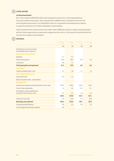#### **OTHER INCOME 5**

# **(a) Government grants**

\$9.1 million of grants (2008: \$9.8 million) were recognised as revenue from continuing operations by the Group during the financial year, which represented the 2008-09 portion of the grant received from the South Australian Government in June 2004 (\$54.6 million) to compensate for the development of systems to support the introduction of full retail contestability in South Australia.

 Grants received from the Victorian Government of \$0.2 million (2008: \$3.0 million) in respect of works associated with the Victorian regional towns projects were recognised as other income. The Group did not benefit directly from any other forms of government assistance.

# **EXPENSES 6**

|                                                                       | Consolidated<br>2009 | Consolidated<br>2008 | Parent entity<br>2009 | Parent entity<br>2008 |
|-----------------------------------------------------------------------|----------------------|----------------------|-----------------------|-----------------------|
|                                                                       | \$M\$                | \$M\$                | \$M\$                 | \$M\$                 |
| Profit before income tax includes<br>the following specific expenses: |                      |                      |                       |                       |
| <b>Depreciation and impairment</b>                                    |                      |                      |                       |                       |
| <b>Buildings</b>                                                      | 0.1                  | 0.2                  |                       |                       |
| Plant and equipment                                                   | 56.6                 | 56.4                 | 0.8                   | 0.9                   |
| Impairment                                                            | 4.8                  | 1.3                  |                       |                       |
| <b>Total depreciation and impairment</b>                              | 61.5                 | 57.9                 | 0.8                   | 0.9 <sub>0</sub>      |
| <b>Amortisation</b>                                                   |                      |                      |                       |                       |
| Capital raising/formation costs                                       | 1.5                  | 1.8                  | 1.1                   | 1.3                   |
| Other charges against assets                                          |                      |                      |                       |                       |
| Asset retirements                                                     | 0.4                  | 1.0                  |                       |                       |
| Bad and doubtful debts - trade debtors                                |                      |                      |                       |                       |
| <b>Borrowing costs</b>                                                |                      |                      |                       |                       |
| Interest and indexation excluding interest on loan notes              | 153.3                | 140.4                | 82.3                  | 80.4                  |
| Fees on financing facilities                                          | 1.3                  | 0.9                  | 0.5                   | 0.1                   |
| Amortisation of debt establishment                                    |                      |                      |                       |                       |
| and AAA credit insurance costs                                        | 3.7                  | 3.5                  | 1.6                   | 1.6                   |
|                                                                       | 158.3                | 144.8                | 84.4                  | 82.1                  |
| Interest on loan notes                                                | 2.3                  | 10.8                 | 2.3                   | 10.8                  |
| <b>Borrowing costs expensed</b>                                       | 160.6                | 155.6                | 86.7                  | 92.9                  |
| Employee benefits expense                                             | 3.8                  | 3.5                  | 3.8                   | 3.5                   |
| Land management provision expense                                     | 0.8                  |                      |                       |                       |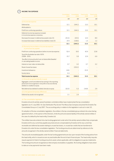**INCOME TAX EXPENSE 7**

|                                                                                                                                                              | Consolidated<br>2009 | Consolidated<br>2008 | Parent entity<br>2009 | Parent entity<br>2008 |
|--------------------------------------------------------------------------------------------------------------------------------------------------------------|----------------------|----------------------|-----------------------|-----------------------|
|                                                                                                                                                              | \$M\$                | \$M\$                | \$M                   | \$M\$                 |
| (a) Income tax expense                                                                                                                                       |                      |                      |                       |                       |
| Deferred tax                                                                                                                                                 | 12.1                 | (144.1)              | 13.3                  | 10.1                  |
| Attributable to:                                                                                                                                             |                      |                      |                       |                       |
| Profit from continuing operations                                                                                                                            | 12.1                 | (144.1)              | 13.3                  | 10.1                  |
| Deferred income tax expense included<br>in income tax expense comprises:                                                                                     |                      |                      |                       |                       |
| Decrease/(increase) in deferred tax assets (note 15)                                                                                                         | (25.3)               | (25.5)               | 12.0                  | 8.9                   |
| Increase/(decrease) in deferred tax liabilities (note 23)                                                                                                    | 37.4                 | (118.6)              | 1.3                   | 1.2                   |
|                                                                                                                                                              | 12.1                 | (144.1)              | 13.3                  | 10.1                  |
| (b) Numerical reconciliation of income tax expense<br>to prima facie tax payable                                                                             |                      |                      |                       |                       |
| Profit from continuing operations before income tax expense                                                                                                  | 52.4                 | 19.5                 | 42.9                  | 22.8                  |
| Tax at the Australian tax rate of 30%<br>$(2008 - 30\%)$                                                                                                     | 15.7                 | 5.9                  | 12.9                  | 6.9                   |
| Tax effect of amounts which are not deductible/(taxable)<br>in calculating taxable income:                                                                   |                      |                      |                       |                       |
| Interest on loan notes not deductible                                                                                                                        | 0.7                  | 3.2                  | 0.7                   | 3.2                   |
| Reset of asset tax bases                                                                                                                                     |                      | (153.2)              |                       |                       |
| Investment allowance                                                                                                                                         | (4.6)                |                      | (0.3)                 |                       |
| Sundry items                                                                                                                                                 | 0.3                  |                      |                       |                       |
| Total income tax expense                                                                                                                                     | 12.1                 | (144.1)              | 13.3                  | 10.1                  |
| (c) Amounts recognised directly in equity                                                                                                                    |                      |                      |                       |                       |
| Aggregate current and deferred tax arising in the reporting<br>period and not recognised in net profit or loss but directly<br>debited or credited to equity |                      |                      |                       |                       |
| Net deferred tax debited/(credited) directly to equity                                                                                                       | (32.0)               | 5.3                  | (14.8)                | 2.9                   |
| (d) Unrecognised temporary differences                                                                                                                       |                      |                      |                       |                       |
| Deferred tax assets not recognised                                                                                                                           | 2.1                  | 2.4                  |                       |                       |

# *(e) Tax consolidation legislation*

Envestra Ltd and its wholly-owned Australian controlled entities have implemented the tax consolidation legislation as of 1 July 2002. Vic Gas Distribution Pty Ltd and The Albury Gas Company Ltd joined the Envestra Tax Consolidated Group on 2 July 2007. The accounting policy in relation to this legislation is set out in note 1(f).

 On adoption of the tax consolidation legislation, the entities in the tax consolidated group entered into a tax sharing agreement which, in the opinion of the Directors, limits the joint and several liability of the wholly-owned entities in the case of a default by the head entity, Envestra Ltd.

 The entities have also entered into a tax funding agreement under which the wholly-owned entities fully compensate Envestra Ltd for any current tax payable assumed and are compensated by Envestra Ltd for any current tax receivable and deferred tax assets relating to unused tax losses, or unused tax credits that are transferred to Envestra Ltd under the tax consolidation legislation. The funding amounts are determined by reference to the amounts recognised in the wholly-owned entities' financial statements.

 The amounts receivable/payable under the tax funding agreements are due upon receipt of the funding advice from the head entity, which is issued as soon as practicable after the end of each financial year. The head entity may also require payment of interim funding amounts to assist, where applicable, with its obligations to pay tax instalments. The funding amounts are recognised as intercompany receivables or payables. No funding obligations have arisen to date as no tax payments have been made.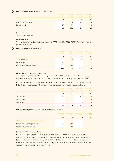#### **CURRENT ASSETS – CASH AND CASH EQUIVALENTS 8**

|                          | 2009 | Consolidated Consolidated Parent entity<br>2008 | 2009 | Parent entity<br>2008 |
|--------------------------|------|-------------------------------------------------|------|-----------------------|
|                          | \$Μ  | \$M                                             | \$M  | \$M                   |
| Cash at bank and on hand | 1.3  | 0.8                                             | 0.6  | 0.4                   |
| Deposits at call         | 4.9  | 10.0                                            | 1.6  | 10.0                  |
|                          | 6.2  | 10.8                                            | 2.2  | 10.4                  |

# **(a) Cash at bank**

These are interest bearing.

# **(b) Deposits at call**

The deposits are bearing floating interest rates between 2.95% and 3.15% (2008 – 7.53%). The deposits matured at various dates in July 2009.

#### **CURRENT ASSETS – RECEIVABLES 9**

|                                    | 2009  | Consolidated Consolidated<br>2008 | <b>Parent entity</b><br>2009 | Parent entity<br>2008 |
|------------------------------------|-------|-----------------------------------|------------------------------|-----------------------|
|                                    | \$Μ   | \$M                               | \$Μ                          | \$M\$                 |
| Trade receivables                  | 55.5  | 50.6                              | 21.5                         | 19.9                  |
| Other receivables                  | 1.0   |                                   |                              |                       |
| Provision for doubtful receivables | (0.1) | (0.1)                             |                              |                       |
|                                    | 56.4  | 50.5                              | 21.5                         | 19.9                  |

# **(a) Past due and impaired trade receivables**

A loss of \$21,531 (2008: \$17,600) for the Group and \$14,419 (2008: \$10,323) for the Parent has been recognised in the income statement in respect of bad and doubtful trade receivables during the year ended 30 June 2009.

 As of 30 June 2009, trade receivables of \$126,789 (2008: \$572,662) for the Group and \$99,218 (2008: \$32,684) for the Parent were past due but not impaired. The ageing analysis of these trade receivables is as follows:

|               | 2009 | Consolidated Consolidated<br>2008 | Parent entity<br>2009 | Parent entity<br>2008 |
|---------------|------|-----------------------------------|-----------------------|-----------------------|
|               | \$M  | \$M\$                             | \$M                   | \$M\$                 |
| 31 to 60 days | 0.1  | 0.5                               | 0.1                   |                       |
| 61 to 90 days |      | 0.1                               | -                     |                       |
| Over 90 days  |      |                                   |                       |                       |
|               | 0.1  | 0.6                               | 0.1                   | -                     |

Movements in the provision for impairment of receivables are as follows:

|                                                 | 2009  | Consolidated Consolidated Parent entity Parent entity<br>2008 | 2009 | 2008  |
|-------------------------------------------------|-------|---------------------------------------------------------------|------|-------|
|                                                 | \$M   | \$M\$                                                         | \$M  | \$M\$ |
| Movement in provision for doubtful receivables: |       |                                                               |      |       |
| Balance at the beginning of the year            | (0.1) | (0.1)                                                         |      |       |
| Balance at the end of the year                  | (0.1) | (0.1)                                                         |      |       |

### **(b) Significant terms and conditions**

Haulage revenue receivable in respect of the SA and NT networks is due within 30 days. Haulage revenue receivable from retailers in respect of Queensland consists of billed and unbilled revenue related to gas deliveries. Payment is due for gas delivered in a month within 30 days. Haulage revenue receivable from the Victorian and NSW retailers consists of billed revenue due within 14 days and unbilled revenue which has been estimated and is expected to be billed over the following two months.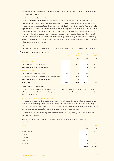Interest is receivable from the major banks that hold deposits at call for Envestra and is generally settled within a few days after the end of the month.

### **(c) Effective interest rates and credit risk**

Envestra's customers using the SA and NT networks pay for haulage services in advance. Retailers using the Queensland network are required to pay for gas delivered within 30 days. Credit risk is centred on the large retailers but contracts and the associated Queensland Access Regime limit such risks. Retailers using the Victorian networks pay in arrears for haulage services, and credit risk is centred on the large Victorian retailers, though contracts and the associated Victorian Access Regime limit such risks. During the 2008-09 financial year, Envestra Ltd has exercised its right under the various haulage revenue contracts with Victorian retailers to demand bank guarantees or credit insurance from certain retailers who do not possess investment grade credit ratings. Interest is receivable from major banks and no significant credit risk is perceived in relation to this amount. Refer to note 2 for more information on the risk management policy of the Group.

# **(d) Fair value**

Due to the short-term nature of these receivables, their carrying value is assumed to approximate their fair value.

# **10**

# **DERIVATIVE FINANCIAL INSTRUMENTS**

|                                                                | Consolidated<br>2009 | Consolidated<br>2008 | Parent entity<br>2009 | Parent entity<br>2008 |
|----------------------------------------------------------------|----------------------|----------------------|-----------------------|-----------------------|
|                                                                | \$M                  | \$M                  | \$M                   | \$M                   |
| Non-current assets                                             |                      |                      |                       |                       |
| Interest rate swaps - cashflow hedges                          |                      | 33.7                 |                       | 23.0                  |
| Total derivative financial instrument assets                   |                      | 33.7                 |                       | 23.0                  |
| Non-current liabilities                                        |                      |                      |                       |                       |
| Interest rate swaps - cash flow hedges                         | 88.5                 |                      | 26.2                  |                       |
| Cross-currency swap contracts – fair value and cashflow hedges | 31.1                 | 85.4                 |                       |                       |
| Total derivative financial instrument liabilities              | 119.6                | 85.4                 | 26.2                  |                       |
| <b>Net derivatives</b>                                         | (119.6)              | (51.7)               | (26.2)                | 23.0                  |

### **(a) Instruments used by the Group**

The Group is party to derivative financial instruments in the normal course of business in order to hedge exposure to fluctuations in interest and foreign exchange rates in accordance with the Group's financial risk management policies (refer to note 2).

# *(i) Interest rate swap contracts – cash flow hedges*

The Group has entered into interest rate swap contracts that entitle it to receive interest at floating rates on notional principal amounts and oblige it to pay interest at fixed rates on the same amounts. Under the interest rate swaps, the Group agrees with other parties to exchange, at specified intervals, the difference between fixed rate and floating rate interest amounts calculated by reference to the agreed notional principal amounts.

The tables below include all swaps in place at the end of the financial year (excluding \$100.0 million of forward starting interest rate swaps).

 At 30 June 2009, the notional principal amounts and periods of expiry of the interest rate swap contracts are as follows:

| Maturity         | 2009    | 2008    |
|------------------|---------|---------|
|                  | \$M\$   | \$M\$   |
| Less than 1 year |         | 20.0    |
| 1-2 years        | 605.0   | -       |
| 2-3 years        |         | 530.0   |
| 3-4 years        | 801.1   | -       |
| 4-5 years        | ۰       | 751.1   |
|                  | 1,406.1 | 1,301.1 |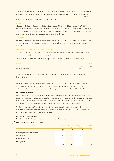The gain or loss from remeasuring the hedging instruments at fair value is deferred in equity in the hedging reserve, to the extent that the hedge is effective, and re-classified into profit and loss when the hedged interest expense is recognised. The ineffective portion is recognised in income immediately. In the year ended 30 June 2009, the ineffective portion was \$0.6 million of loss (2008: \$0.3 million loss).

At balance date these contracts were liabilities with fair value of \$88.5 million (2008: assets of \$33.7 million). In the year ended 30 June 2009 there was a decrease in fair value of \$122.2 million (2008: increase of \$17.6 million) due to the fall in interest rates that has occurred since the hedges were put in place. This decrease in fair value will reverse over the next three to four years as these instruments reach maturity.

### *Parent entity*

At balance date these contracts were liabilities with fair value of \$26.2 million (2008: assets of \$23.0 million). In the year ended 30 June 2009 there was an decrease in fair value of \$49.2 million during the year (2008: increase of \$9.8 million).

# *(ii) Cross currency swaps – fair value and cashflow hedges*

The Group has entered into cross currency swap contracts in order to swap the US\$ debt principal and interest repayments from US\$ fixed coupon to A\$ floating rates.

The notional principal amounts and periods of expiry of the cross currency swap contracts are as follows:

| Maturity             | 2009  | -2008 - |
|----------------------|-------|---------|
|                      | \$М   | \$M     |
| Greater than 5 years | 266.1 | 266.1   |

 The gain or loss from remeasuring hedging instruments used in fair value hedges, to fair value is recorded in the income statement.

At balance date these contracts were liabilities with fair value of \$31.1 million (2008: \$85.4 million). In the year ended 30 June 2009 there was an increase in fair value of \$54.3 million during the year (2008: decrease of \$5.1 million). Fair value hedge movements offset against the hedged item were \$5.2 million (2008: \$5.1 million).

### **(b) Credit risk exposures**

Credit risk arises from the potential failure of counterparties to meet their obligations under the respective contracts at maturity. This arises with amounts receivable from unrealised gains on derivative financial instruments. At balance date, \$88.5 million would potentially be payable (2008: \$33.7 million was potentially receivable) (Australian dollar equivalents) by the Group for interest rate swap contracts and therefore no credit exposure existed.

The Group undertakes 100% of its transactions in foreign exchange and interest rate contracts with financial institutions. Management has established limits such that, at any time, no more than \$550.0 million of notional principal amounts are with any individual counterparty.

# **(c) Interest rate risk exposures**

Refer to note 2 for the Group's exposure to interest rate risk on interest rate swaps.

# **11 CURRENT ASSETS – OTHER CURRENT ASSETS**

|                                  | Consolidated<br>2009 | Consolidated<br>2008 | Parent entity<br>2009 | Parent entity<br>2008 |
|----------------------------------|----------------------|----------------------|-----------------------|-----------------------|
|                                  | \$M                  | \$M                  | \$M                   | \$M\$                 |
| Intercompany interest receivable | $\sim$               |                      | 16.5                  | 11.1                  |
| <b>GST</b> receivable            | 0.3                  | 1.1                  | 0.1                   | 0.6                   |
| Deferred licence fee             | 1.1                  | 1.1                  |                       |                       |
| Prepayments                      | 0.9                  | 0.1                  | 0.5                   | 0.1                   |
|                                  | 2.3                  | 2.3                  | 17.1                  | 11.8                  |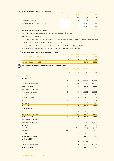**NON-CURRENT ASSETS – RECEIVABLES 12**

|                                       | Consolidated<br>2009 | Consolidated Parent entity<br>2008 | 2009    | Parent entity<br>2008 |
|---------------------------------------|----------------------|------------------------------------|---------|-----------------------|
|                                       | \$M                  | \$M                                | \$M\$   | \$M\$                 |
| Receivable on land sale               | 5.1                  |                                    |         |                       |
| Receivable from wholly-owned entities |                      |                                    | 1.135.0 | 974.4                 |
|                                       | 5.1                  |                                    | 1.135.0 | 974.4                 |

# **(a) Past due and impaired receivables**

None of the non-current receivables is impaired or past due but not impaired.

# **(b) Fair values and credit risk**

The carrying amount of non-current receivables approximates their fair value and reflects the maximum exposure to credit risk. The parent does not hold any collateral as security.

 The receivable on land sale is due to be paid in two instalments in September 2009 and 2010. Envestra has maintained title over the property and received a deposit of \$1.0 million in September 2008.

### **NON-CURRENT ASSETS – OTHER FINANCIAL ASSETS 13**

| Other (non-traded) investments   |     | Consolidated Consolidated Parent entity Parent entity<br>2009 2008 2009 2008 |       |       |
|----------------------------------|-----|------------------------------------------------------------------------------|-------|-------|
|                                  | \$M | SM.                                                                          | \$M   | \$M   |
| Shares in subsidiaries (note 32) |     |                                                                              | 833.5 | 833.5 |

# $(14)$

| NON-CURRENT ASSETS - PROPERTY, PLANT AND EQUIPMENT |                          |                       |                        |         |
|----------------------------------------------------|--------------------------|-----------------------|------------------------|---------|
|                                                    | Freehold<br>land         | Freehold<br>buildings | Plant and<br>equipment | Total   |
|                                                    | \$M\$                    | \$M\$                 | \$M\$                  | \$M\$   |
| Consolidated                                       |                          |                       |                        |         |
| At 1 July 2007                                     |                          |                       |                        |         |
| Cost                                               | 3.3                      | 4.8                   | 2,262.0                | 2,270.1 |
| Accumulated depreciation                           |                          | (1.4)                 | (379.9)                | (381.3) |
| Net book amount                                    | 3.3                      | 3.4                   | 1,882.1                | 1,888.8 |
| Year ended 30 June 2008                            |                          |                       |                        |         |
| Opening net book amount                            | 3.3                      | 3.4                   | 1,882.1                | 1,888.8 |
| <b>Additions</b>                                   |                          |                       | 111.6                  | 111.6   |
| Depreciation charge                                | $\overline{\phantom{a}}$ | (0.2)                 | (56.4)                 | (56.6)  |
| Other                                              | 0.2                      |                       |                        | 0.2     |
| Retirements                                        |                          |                       | (1.0)                  | (1.0)   |
| <b>Closing net book amount</b>                     | 3.5                      | 3.2                   | 1,936.3                | 1,943.0 |
| At 30 June 2008                                    |                          |                       |                        |         |
| Cost                                               | 3.5                      | 4.8                   | 2,372.5                | 2,380.8 |
| Accumulated depreciation                           |                          | (1.6)                 | (436.2)                | (437.8) |
| Net book amount                                    | 3.5                      | 3.2                   | 1,936.3                | 1,943.0 |
| Year ended 30 June 2009                            |                          |                       |                        |         |
| Opening net book amount                            | 3.5                      | 3.2                   | 1,936.3                | 1,943.0 |
| <b>Additions</b>                                   |                          |                       | 110.0                  | 110.0   |
| Depreciation charge                                |                          | (0.1)                 | (56.6)                 | (56.7)  |
| <b>Disposals</b>                                   | (0.3)                    |                       |                        | (0.3)   |
| Retirements                                        |                          |                       | (0.4)                  | (0.4)   |
| <b>Closing net book amount</b>                     | 3.2                      | 3.1                   | 1,989.3                | 1,995.6 |
| At 30 June 2009                                    |                          |                       |                        |         |
| Cost                                               | 3.2                      | 4.8                   | 2,482.1                | 2,490.1 |
| Accumulated depreciation                           |                          | (1.7)                 | (492.8)                | (494.5) |
| Net book amount                                    | 3.2                      | 3.1                   | 1,989.3                | 1,995.6 |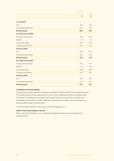|                          | Plant and |       |
|--------------------------|-----------|-------|
|                          | equipment | Total |
|                          | \$M\$     | \$M\$ |
| Parent                   |           |       |
| At 1 July 2007           |           |       |
| Cost                     | 42.1      | 42.1  |
| Accumulated depreciation | (5.6)     | (5.6) |
| Net book amount          | 36.5      | 36.5  |
| Year ended 30 June 2008  |           |       |
| Opening net book amount  | 36.5      | 36.5  |
| <b>Additions</b>         | 1.9       | 1.9   |
| Depreciation charge      | (0.9)     | (0.9) |
| Closing net book amount  | 37.5      | 37.5  |
| At 30 June 2008          |           |       |
| Cost                     | 44.0      | 44.0  |
| Accumulated depreciation | (6.5)     | (6.5) |
| Net book amount          | 37.5      | 37.5  |
| Year ended 30 June 2009  |           |       |
| Opening net book amount  | 37.5      | 37.5  |
| <b>Additions</b>         | 6.0       | 6.0   |
| Depreciation charge      | (0.8)     | (0.8) |
| Closing net book amount  | 42.7      | 42.7  |
| At 30 June 2009          |           |       |
| Cost                     | 50.0      | 50.0  |
| Accumulated depreciation | (7.3)     | (7.3) |
| Net book amount          | 42.7      | 42.7  |

# **(a) Valuation of land and buildings**

An independent valuation of land and buildings was undertaken during the 2006-07 year by registered valuers. The market valuations of these properties were in excess of the carrying values at that time by approximately \$15.4 million. The valuation of the properties has not taken into account any potential remediation costs. A remediation provision of \$11.4 million (2008: \$6.7 million) has been included in the financial statements at 30 June 2009 in relation to freehold land.

The Directors have decided to continue to carry land and buildings at cost.

# **(b) Non-current assets pledged as security**

Refer to note 22 for information on non-current assets pledged as security by the parent entity and its controlled entities.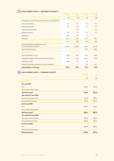|                                                                                 | Consolidated<br>2009 | Consolidated<br>2008 | Parent entity<br>2009 | Parent entity<br>2008 |
|---------------------------------------------------------------------------------|----------------------|----------------------|-----------------------|-----------------------|
|                                                                                 | \$M\$                | \$M\$                | \$M\$                 | \$M\$                 |
| The balance comprises temporary differences attributable to:                    |                      |                      |                       |                       |
| Accrued expenses                                                                | 0.6                  | 0.1                  | 0.3                   | 0.1                   |
| Employee benefits                                                               | 0.3                  | 0.2                  | 0.2                   | 0.2                   |
| Equity and debt raising                                                         |                      | 0.2                  |                       | 0.2                   |
| Deferred revenue                                                                | 0.7                  | 2.7                  | 0.7                   | 2.7                   |
| <b>Derivatives</b>                                                              | 23.9                 | 0.1                  | 7.9                   |                       |
| Tax losses                                                                      | 102.4                | 75.5                 | 67.5                  | 49.7                  |
|                                                                                 | 127.9                | 78.8                 | 76.6                  | 52.9                  |
| Set-off of deferred tax liabilities pursuant<br>to set-off provisions (note 23) | (127.9)              | (78.8)               | (10.7)                | (16.3)                |
| Net deferred tax assets                                                         |                      |                      | 65.9                  | 36.6                  |
| <b>Movements</b>                                                                |                      |                      |                       |                       |
| Opening balance at 1 July                                                       | 78.8                 | 53.2                 | 52.9                  | 36.6                  |
| Credited/(charged) to the income statement (note 7)                             | 25.3                 | 25.5                 | (12.0)                | (8.9)                 |
| Credited to equity                                                              | 23.8                 | 0.1                  | 7.9                   |                       |
| Deferred tax assets relating to tax losses transferred                          |                      |                      | 27.8                  | 25.2                  |
| Closing balance at 30 June                                                      | 127.9                | 78.8                 | 76.6                  | 52.9                  |

### **NON-CURRENT ASSETS – INTANGIBLE ASSETS 16**

|                          | Distribution |              |
|--------------------------|--------------|--------------|
|                          | licence      | <b>Total</b> |
|                          | \$M\$        | \$M\$        |
| Consolidated             |              |              |
| At 1 July 2007           |              |              |
| Cost                     | 585.6        | 585.6        |
| Accumulated depreciation |              |              |
| Net book amount          | 585.6        | 585.6        |
| Year ended 30 June 2008  |              |              |
| Opening net book amount  | 585.6        | 585.6        |
| Closing net book amount  | 585.6        | 585.6        |
| At 30 June 2008          |              |              |
| Cost                     | 585.6        | 585.6        |
| Accumulated depreciation |              |              |
| Net book amount          | 585.6        | 585.6        |
| Year ended 30 June 2009  |              |              |
| Opening net book amount  | 585.6        | 585.6        |
| Closing net book amount  | 585.6        | 585.6        |
| At 30 June 2009          |              |              |
| Cost                     | 585.6        | 585.6        |
| Accumulated depreciation |              |              |
| Net book amount          | 585.6        | 585.6        |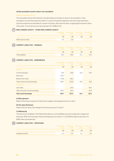# **(a) Key assumptions used for value-in-use calculations**

### *Victorian distribution licence*

The recoverable amount of the Victorian cash-generating unit is based on value in use calculations. Those calculations use cash flow projections based on current and expected regulatory outcomes for gas distributors. Cash flow projections are estimated for a period of 20 years, with a terminal value, recognising the long-term nature of the assets. The pre-tax discount rate used was 9.5% (2008: 9.3%).

#### **NON-CURRENT ASSETS – OTHER NON-CURRENT ASSETS 17**

|                       |     | Consolidated Consolidated Parent entity Parent entity<br>2009 2008 2009 |     | $-2008$ |
|-----------------------|-----|-------------------------------------------------------------------------|-----|---------|
|                       | \$М | SM.                                                                     | \$M | \$М     |
| Deferred licence fees | J.5 |                                                                         |     |         |

#### **CURRENT LIABILITIES – PAYABLES 18**

|                | $\sqrt{2009}$ | Consolidated Consolidated Parent entity Parent entity<br>2008 | 2009 | 2008  |
|----------------|---------------|---------------------------------------------------------------|------|-------|
|                | \$M           | \$M                                                           | \$M  | \$M\$ |
| Trade payables | 25.9          | 29.9                                                          | 15.1 | 15.3  |

#### **CURRENT LIABILITIES – BORROWINGS 19**

|                                    | Consolidated<br>2009 | Consolidated<br>2008 | Parent entity<br>2009 | Parent entity<br>2008 |
|------------------------------------|----------------------|----------------------|-----------------------|-----------------------|
|                                    | \$M                  | \$M\$                | \$M                   | \$M                   |
| <b>Secured</b>                     |                      |                      |                       |                       |
| Commercial paper                   | 29.9                 | 39.8                 | 10.0                  | 19.9                  |
| Bank loans                         | 125.0                |                      |                       |                       |
| Medium term notes                  | 174.8                | 85.0                 |                       |                       |
| Total secured current borrowings   | 329.7                | 124.8                | 10.0                  | 19.9                  |
| <b>Unsecured</b>                   |                      |                      |                       |                       |
| Loan notes                         |                      | 42.6                 |                       | 42.6                  |
| Total unsecured current borrowings | 329.7                | 42.6                 |                       | 42.6                  |
| <b>Total current borrowings</b>    | 329.7                | 167.4                | 10.0                  | 62.5                  |

# **(a) Risk exposures**

Details of the Group's exposure to interest rate changes on borrowings are set out in note 2.

# **(b) Fair value disclosures**

Details of the fair value of borrowings for the Group are set out in note 22.

### **(c) Refinancing**

The bank loans and Medium Term Notes listed above as current liabilities are due for repayment in August and November 2009. Re-financing for these borrowings was put in place on 7 July 2009 through the execution of a \$280 million syndicated loan.

#### **CURRENT LIABILITIES – PROVISIONS**  $(20)$

|                          | 2009 | $-2008$ | Consolidated Consolidated Parent entity Parent entity<br>2009 | 2008 |
|--------------------------|------|---------|---------------------------------------------------------------|------|
|                          | \$М  | \$М     | \$М                                                           | \$M  |
| <b>Employee benefits</b> |      |         |                                                               |      |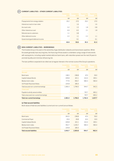# **CURRENT LIABILITIES – OTHER CURRENT LIABILITIES 21**

|                                   | Consolidated<br>2009 | Consolidated<br>2008 | Parent entity<br>2009 | Parent entity<br>2008 |
|-----------------------------------|----------------------|----------------------|-----------------------|-----------------------|
|                                   | \$M                  | \$M                  | \$M                   | \$M\$                 |
| Prepayments from energy retailers | 29.2                 | 27.0                 | 29.2                  | 27.0                  |
| Interest accrued on loan notes    |                      | 1.6                  |                       | 1.6                   |
| Accrued costs                     | 3.2                  | 1.5                  | 1.8                   | 0.8                   |
| Other interest accrued            | 6.9                  | 6.5                  | 2.1                   | 1.8                   |
| Refunds due to customers          | 1.1                  | 3.8                  |                       |                       |
| Other deferred income             | 2.2                  | 1.1                  | 2.2                   | 1.1                   |
| Government grant deferred income  |                      | 9.1                  |                       | 9.1                   |
|                                   | 42.6                 | 50.6                 | 35.3                  | 41.4                  |

# **NON-CURRENT LIABILITIES – BORROWINGS 22**

The Envestra Group is focused on the ownership of gas distribution networks and transmission pipelines. Whilst the assets generally have very long lives, the financing of those assets is undertaken using a range of instruments with varying terms, including capital markets debt and bank loans, with maturities spread over the next 24 years to promote liquidity and minimise refinancing risk.

The loan portfolio is expected to be rolled over at regular intervals in the normal course of the Group's operations.

|                                        | Consolidated<br>2009 | Consolidated<br>2008 | Parent entity<br>2009 | Parent entity<br>2008 |
|----------------------------------------|----------------------|----------------------|-----------------------|-----------------------|
|                                        | \$M\$                | \$M                  | \$M\$                 | \$M\$                 |
| <b>Secured</b>                         |                      |                      |                       |                       |
| Bank loans                             | 138.5                | 238.8                | 47.0                  | 59.0                  |
| <b>Capital Indexed Bonds</b>           | 439.8                | 421.1                | 313.4                 | 300.1                 |
| Medium term notes                      | 777.9                | 950.7                | 584.3                 | 583.4                 |
| <b>US Private Placement Notes</b>      | 224.8                | 185.4                |                       |                       |
| Total secured non-current borrowings   | 1,581.0              | 1,796.0              | 944.7                 | 942.5                 |
| <b>Unsecured</b>                       |                      |                      |                       |                       |
| Payable to wholly owned entities       |                      |                      | 797.7                 | 695.2                 |
| Total unsecured non-current borrowings |                      |                      | 797.7                 | 695.2                 |
| <b>Total non-current borrowings</b>    | 1,581.0              | 1,796.0              | 1,742.4               | 1,637.7               |

# **(a) Total secured liabilities**

Book values of total secured liabilities (current and non-current) are as follows:

|                                   | Consolidated<br>2009 | Consolidated<br>2008 | Parent entity<br>2009 | Parent entity<br>2008 |
|-----------------------------------|----------------------|----------------------|-----------------------|-----------------------|
|                                   | \$M                  | \$M                  | \$M                   | \$M\$                 |
| Bank loans                        | 263.5                | 238.8                | 47.0                  | 59.0                  |
| <b>Commercial Paper</b>           | 29.9                 | 39.8                 | 10.0                  | 19.9                  |
| <b>Capital Indexed Bonds</b>      | 439.8                | 421.1                | 313.4                 | 300.1                 |
| Medium term notes                 | 952.7                | 1.035.7              | 584.3                 | 583.4                 |
| <b>US Private Placement Notes</b> | 224.8                | 185.4                |                       |                       |
| <b>Total secured liabilities</b>  | 1,910.7              | 1,920.8              | 954.7                 | 962.4                 |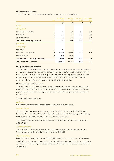# **(b) Assets pledged as security**

The carrying amounts of assets pledged as security for current and non-current borrowings are:

|                                              | <b>Notes</b> | Consolidated<br>2009 | Consolidated<br>2008 | Parent entity<br>2009 | Parent entity<br>2008 |
|----------------------------------------------|--------------|----------------------|----------------------|-----------------------|-----------------------|
|                                              |              | \$M\$                | \$M\$                | \$M\$                 | \$M                   |
| Current                                      |              |                      |                      |                       |                       |
| <b>Floating charge</b>                       |              |                      |                      |                       |                       |
| Cash and cash equivalents                    | 8            | 6.2                  | 10.8                 | 2.2                   | 10.4                  |
| Receivables                                  | 9            | 56.4                 | 50.5                 | 21.5                  | 19.9                  |
| Other current assets                         | 11           | 2.3                  | 2.3                  | 17.1                  | 11.8                  |
| Total current assets pledged as security     |              | 64.9                 | 63.6                 | 40.8                  | 42.1                  |
| Non-current                                  |              |                      |                      |                       |                       |
| <b>Floating charge</b>                       |              |                      |                      |                       |                       |
| <b>Receivables</b>                           | 12           | 5.1                  |                      |                       |                       |
| Property, plant and equipment                | 14           | 1,995.6              | 1,943.0              | 42.7                  | 37.5                  |
| Distribution licence                         | 16           | 585.6                | 585.6                |                       |                       |
| Total non-current assets pledged as security |              | 2,586.3              | 2,528.6              | 42.7                  | 37.5                  |
| Total assets pledged as security             |              | 2,651.2              | 2,592.2              | 83.5                  | 79.6                  |

# **(c) Significant terms and conditions**

The bank loans, Capital Indexed Bonds, Commercial Paper, Medium Term Notes and US Private Placement Notes are secured by charges over the respective networks owned by the Envestra Group. Various interest service and balance sheet covenants must be maintained by the Envestra Consolidated Group, otherwise certain restrictions apply with respect to the payment of distributions and funding of capital expenditure. At 30 June 2009, all covenants had been satisfied and it is expected that they will continue to be satisfied.

# **(d) Group funding and liability structure**

The Envestra Group's total interest bearing debt as at 30 June 2009 was \$1,910.7 million comprising a range of financial instruments with varying maturities which have been issued under the Group's treasury management program with a view to diversifying funding sources, increasing future refinancing options and lowering overall borrowing costs.

The existing debt instruments include:

### *Bank loans*

Bank loans are committed facilities from major banks generally for terms up to six years.

### *Commercial Paper*

The Envestra Group had Commercial Paper on issue at 30 June 2009 of \$29.9 million (2008: \$39.8 million). Commercial Paper is expected to be issued from time to time by the Group in the future largely as interim funding for the ongoing capital expenditure program, and also to minimise financing costs.

 The Commercial Paper and Medium Term Note program is supported by undrawn committed bank facilities of \$236.0 million.

### *Capital Indexed Bonds*

These bonds were issued for varying terms, and as at 30 June 2009 had terms to maturity of two to 16 years. The principal component is indexed by the quarterly movement in the CPI.

# *Medium Term Notes*

Medium Term Notes totalling \$952.7 million (2008: \$1,035.7 million) are instruments issued under the Medium Term Note Program for varying terms and as at 30 June 2009 had terms to maturity of up to 17 years. The Medium Term Notes on issue have varying maturity dates and are classified as either current or non-current in accordance with these dates.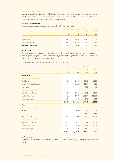# *US Private Placement Notes*

Notes totalling A\$224.8 million (2008: A\$185.4 million) are issued in the United States of America for terms ending in 2015, 2018 and 2033. There are cross-currency swaps in place to swap both the principal and interest payments from the US\$ fixed coupon to A\$ floating rate for the term of the note.

# **(e) Financing arrangements**

Unrestricted access was available at balance date to the following lines of credit:

|                             | 2009  | Consolidated Consolidated<br>2008 | Parent entity<br>2009 | Parent entity<br>2008 |
|-----------------------------|-------|-----------------------------------|-----------------------|-----------------------|
|                             | \$M   | \$M                               | \$M                   | \$M\$                 |
| <b>Bank loan facilities</b> |       |                                   |                       |                       |
| Total facilities            | 500.0 | 405.0                             | 120.0                 | 120.0                 |
| Used at balance date        | 264.0 | 239.0                             | 47.0                  | 59.0                  |
| Unused at balance date      | 236.0 | 166.0                             | 73.0                  | 61.0                  |

# **(f) Fair values**

The fair value of current borrowings approximates their carrying amount. The fair value of non-current borrowings is based upon market prices where a market exists, or by discounting the expected future cash flows by the current interest rates for liabilities with similar risk profiles.

The carrying amounts and fair values of borrowings at balance date are:

|                                     | Carrying<br>amount | Fair value | Carrying<br>amount | Fair value |
|-------------------------------------|--------------------|------------|--------------------|------------|
|                                     | 2009               | 2009       | 2008               | 2008       |
|                                     | \$M\$              | \$M\$      | \$M\$              | \$M\$      |
| Consolidated                        |                    |            |                    |            |
| Non-traded financial liabilities    |                    |            |                    |            |
| <b>Bank loans</b>                   | 263.5              | 264.0      | 238.8              | 239.0      |
| Notes - US Private Placement        | 224.8              | 226.3      | 185.4              | 187.0      |
| Loan notes                          |                    |            | 42.6               | 44.0       |
| <b>Traded financial liabilities</b> |                    |            |                    |            |
| <b>Capital Indexed Bonds</b>        | 439.8              | 400.1      | 421.1              | 392.1      |
| Medium Term Notes                   | 952.7              | 970.0      | 1,035.7            | 1,055.0    |
| <b>Commercial Paper</b>             | 29.9               | 29.9       | 39.8               | 39.8       |
|                                     | 1,910.7            | 1,890.3    | 1,963.4            | 1,956.9    |
| Parent                              |                    |            |                    |            |
| Non-traded financial liabilities    |                    |            |                    |            |
| Bank loans                          | 47.0               | 47.0       | 59.0               | 59.0       |
| Loan notes                          |                    |            | 42.6               | 44.0       |
| Payable to wholly owned entities    | 797.7              | 797.7      | 695.2              | 695.2      |
| <b>Traded financial liabilities</b> |                    |            |                    |            |
| <b>Capital Indexed Bonds</b>        | 313.4              | 274.5      | 300.1              | 270.6      |
| Medium Term Notes                   | 584.3              | 600.0      | 583.4              | 600.0      |
| <b>Commercial Paper</b>             | 10.0               | 10.0       | 19.9               | 19.9       |
|                                     | 1,752.4            | 1,729.2    | 1,700.2            | 1,688.7    |

# **(g) Risk exposures**

Information about the Group's and parent entity's exposure to interest rate and foreign currency changes is provided in note 2.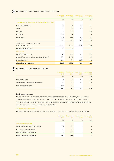# **NON-CURRENT LIABILITIES – DEFERRED TAX LIABILITIES 23**

|                                                                            | Consolidated<br>2009 | Consolidated<br>2008 | Parent entity<br>2009 | Parent entity<br>2008 |
|----------------------------------------------------------------------------|----------------------|----------------------|-----------------------|-----------------------|
|                                                                            | \$M\$                | \$M\$                | \$M\$                 | \$M\$                 |
| The balance comprises temporary differences attributable to:               |                      |                      |                       |                       |
| Equity and debt raising                                                    | 6.7                  | 6.4                  | 5.7                   | 4.7                   |
| Other                                                                      | 0.6                  | 0.5                  | 0.2                   |                       |
| <b>Derivatives</b>                                                         |                      | 8.2                  |                       | 6.9                   |
| Provisions                                                                 | (5.0)                | (3.4)                |                       |                       |
| Depreciation                                                               | 181.2                | 142.6                | 4.8                   | 4.7                   |
|                                                                            | 183.5                | 154.3                | 10.7                  | 16.3                  |
| Set-off of deferred tax assets pursuant<br>to set-off provisions (note 15) | (127.9)              | (78.8)               | (10.7)                | (16.3)                |
| Net deferred tax liabilities                                               | 55.6                 | 75.5                 |                       |                       |
| Movements:                                                                 |                      |                      |                       |                       |
| Opening balance at 1 July                                                  | 154.3                | 267.5                | 16.3                  | 12.2                  |
| Charged/(credited) to the income statement (note 7)                        | 37.4                 | (118.6)              | 1.3                   | 1.2                   |
| Charged to equity                                                          | (8.2)                | 5.4                  | (6.9)                 | 2.9                   |
| Closing balance at 30 June                                                 | 183.5                | 154.3                | 10.7                  | 16.3                  |

# **NON-CURRENT LIABILITIES – PROVISIONS 24**

|                                          | 2009 | Consolidated Consolidated<br>2008 | <b>Parent entity</b><br>2009 | Parent entity<br>2008 |
|------------------------------------------|------|-----------------------------------|------------------------------|-----------------------|
|                                          | \$M  | \$M                               | \$M                          | \$M\$                 |
| Long service leave                       | 0.4  | 0.3                               | 0.4                          | 0.3                   |
| Other employee and Director entitlements | 0.2  | 0.2                               | 0.2                          | $0.2^{\circ}$         |
| Land management costs                    | 16.8 | 11.2                              |                              |                       |
|                                          | 17.4 | 11.7                              | 0.6                          | 0.5                   |

# **Land management costs**

Provisions for future environmental remediation are recognised where there is a present obligation as a result of activities associated with the manufacture of gas from coal having been undertaken at various sites in the past, and it is probable that an outflow of economic benefits will be required to settle the obligation. The estimated future obligations include the costs required to remediate the sites.

# *(a) Movements in provisions*

Movements in each class of provision during the financial year, other than employee benefits, are set out below:

|                                          | 2009 | Consolidated Consolidated<br>2008 | Parent entity<br>2009 | Parent entity<br>2008 |
|------------------------------------------|------|-----------------------------------|-----------------------|-----------------------|
|                                          | \$M  | \$M                               | \$M                   | \$M                   |
| Land management costs                    |      |                                   |                       |                       |
| Carrying amount at beginning of the year | 11.2 | 9.9                               |                       |                       |
| Additional provision recognised          | 5.6  | 1.5                               |                       |                       |
| Payments made from provision             |      | (0.2)                             |                       |                       |
| Carrying amount at end of year           | 16.8 | 11.2                              |                       |                       |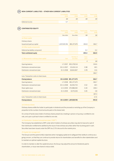#### **NON-CURRENT LIABILITIES – OTHER NON-CURRENT LIABILITIES**  $(25)$

|                 | 2009 | Consolidated Consolidated Parent entity Parent entity | 2008 2009 | 2008 |
|-----------------|------|-------------------------------------------------------|-----------|------|
|                 | \$M  | \$M                                                   | \$M       | \$M  |
| Deferred income | O.   |                                                       |           |      |

# **CONTRIBUTED EQUITY 26**

|                                         | Parent entity<br>2009 | Parent entity<br>2008   | Parent entity<br>2009 | Parent entity<br>2008 |
|-----------------------------------------|-----------------------|-------------------------|-----------------------|-----------------------|
|                                         | <b>Securities</b>     | <b>Securities</b>       | \$M\$                 | \$M\$                 |
| (a) Share capital                       |                       |                         |                       |                       |
| Ordinary shares                         |                       |                         |                       |                       |
| Issued and paid up capital              | 1,307,029,746         | 891, 377, 475           | 494.8                 | 366.7                 |
| (b) Other equity components             |                       |                         |                       |                       |
| Deferred tax liability component        |                       |                         | 0.2                   | 0.2                   |
| <b>Total contributed equity</b>         |                       |                         | 495.0                 | 366.9                 |
| (c) Movements in ordinary share capital | Date                  | Number of<br>securities | <b>Issue</b><br>price | Cost                  |
|                                         |                       |                         | $\mathcal{L}$         | \$M\$                 |
| Opening balance                         | 1-7-2007              | 852,278,514             |                       | 334.6                 |
| Distribution reinvestment plan          | 30-11-2007            | 20,434,114              | 0.98                  | 18.5                  |
| Distribution reinvestment plan          | 31-5-2008             | 18,664,847              | 0.78                  | 13.6                  |
|                                         |                       |                         |                       | 366.7                 |
| Less: Transaction costs on share issues |                       |                         |                       |                       |
| <b>Closing balance</b>                  |                       | 30-6-2008 891,377,475   |                       | 366.7                 |
| Opening balance                         | 1-7-2008              | 891, 377, 475           |                       | 366.7                 |
| Distribution reinvestment plan          | 30-11-2008            | 36,093,753              | 0.52                  | 18.5                  |
| Share rights issue                      | 12-2-2009             | 370,988,492             | 0.30                  | 108.3                 |
| Distribution reinvestment plan          | 31-5-2009             | 8,570,026               | 0.45                  | 3.8                   |
|                                         |                       |                         |                       | 497.3                 |
| Less: Transaction costs on share issues |                       |                         |                       | (2.5)                 |
| <b>Closing balance</b>                  |                       | 30-6-2009 1,307,029,746 |                       | 494.8                 |

# *(d) Ordinary shares*

Ordinary shares entitle the holder to participate in dividends and the proceeds on winding up of the Company in proportion to the number of and amounts paid on the shares held.

 On a show of hands every holder of ordinary shares present at a meeting in person or by proxy, is entitled to one vote, and upon a poll each share is entitled to one vote.

# *(e) Distribution / dividend reinvestment plan ("DRP")*

The Company has established a DRP under which holders of ordinary securities may elect to have all or part of their distribution entitlements satisfied by the issue of new ordinary securities rather than by being paid in cash. Securities have been issued under the DRP at a 2.5% discount to the market price.

### *(f) Capital risk management*

The Group's and the parent entity's objectives when managing capital are to safeguard their ability to continue as a going concern, so that they can continue to provide returns for shareholders and benefits for other stakeholders and to maintain an optimal capital structure.

 In order to maintain or alter the capital structure, the Group may adjust the amount of dividends paid to shareholders, or issue new shares to reduce debt.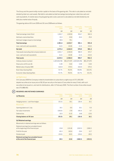The Group and the parent entity monitor capital on the basis of the gearing ratio. This ratio is calculated as net debt divided by total non-cash assets. Net debt is calculated as total borrowings (excluding loan notes) less cash and cash equivalents. A market value of equity gearing ratio is also used and is calculated as net debt divided by net debt plus market value of equity.

The gearing ratios at 30 June 2009 and 30 June 2008 were as follows:

|                                                | Consolidated<br>2009 | Consolidated<br>2008 | Parent entity<br>2009          | Parent entity<br>2008 |
|------------------------------------------------|----------------------|----------------------|--------------------------------|-----------------------|
|                                                | \$M                  | \$M                  | \$M                            | \$M\$                 |
| Total borrowings (note 22(a))                  | 1,910.7              | 1,920.8              | 954.7                          | 962.4                 |
| Add back unamortised fees                      | 31.0                 | 33.8                 | 26.4                           | 29.4                  |
| Add back hedges impact on borrowings           | 39.9                 | 79.1                 |                                |                       |
| <b>Total borrowings</b>                        | 1,981.6              | 2,033.7              | 981.1                          | 991.8                 |
| Less: cash and cash equivalents                | (6.2)                | (10.8)               | (2.2)                          | (10.4)                |
| Net debt                                       | 1,975.4              | 2,022.9              | 978.9                          | 981.4                 |
| Total assets (excluding intercompany balances) | 2,651.7              | 2,592.8              | 982.9                          | 972.7                 |
| Less: cash and cash equivalents                | (6.2)                | (10.8)               | (2.2)                          | (10.4)                |
| <b>Total assets</b>                            | 2,645.5              | 2,582.0              | 980.7                          | 962.3                 |
| Ordinary shares (number)                       | 1,307,029,746        |                      | 891, 377, 475 1, 307, 029, 746 | 891, 377, 475         |
| Share price at 30 June (\$)                    | 0.49                 | 0.64                 | 0.49                           | 0.64                  |
| Market value of equity (\$M)                   | 633.9                | 570.5                | 633.9                          | 570.5                 |
| <b>Book Value Gearing Ratio</b>                | 74.7%                | 78.3%                | 99.8%                          | 102.0%                |
| Economic Value Gearing Ratio                   | 75.7%                | 78.0%                | 60.7%                          | 63.2%                 |

# *(g) Rights issue*

On 6 January 2009 the Company invited its shareholders to subscribe to a rights issue of 371,000,000 stapled securities at an issue price of \$0.30 per security on the basis of 2 securities for every 5 held, with such securities to be issued on, and rank for distributions, after 12 February 2009. The final number of securities issued was 370,988,492.

# **27 RESERVES AND RETAINED EARNINGS**

| (a) Reserves                                                                     | Consolidated<br>2009 | Consolidated<br>2008 | Parent entity<br>2009 | Parent entity<br>2008 |
|----------------------------------------------------------------------------------|----------------------|----------------------|-----------------------|-----------------------|
|                                                                                  | \$M\$                | \$M\$                | \$M                   | \$M\$                 |
| Hedging reserve – cash flow hedges                                               | (55.5)               | 19.1                 | (18.4)                | 16.1                  |
| <b>Movements</b>                                                                 |                      |                      |                       |                       |
| Opening balance at 1 July                                                        | 19.1                 | 6.6                  | 16.1                  | 9.3                   |
| Fair value movements                                                             | (106.6)              | 17.8                 | (49.3)                | 9.7                   |
| Deferred tax                                                                     | 32.0                 | (5.3)                | 14.8                  | (2.9)                 |
| Closing balance at 30 June                                                       | (55.5)               | 19.1                 | (18.4)                | 16.1                  |
| (b) Retained earnings                                                            |                      |                      |                       |                       |
| Movements in retained earnings were as follows:                                  |                      |                      |                       |                       |
| Retained earnings/(accumulated losses)<br>at the beginning of the financial year | 23.8                 | (131.8)              | (193.5)               | (198.2)               |
| Profit for the year                                                              | 40.3                 | 163.6                | 29.6                  | 12.7                  |
| Dividend paid                                                                    | (24.6)               | (8.0)                | (24.6)                | (8.0)                 |
| Retained earnings/(accumulated losses)<br>at the end of the financial year       | 39.5                 | 23.8                 | (188.5)               | (193.5)               |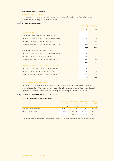# **(c) Nature and purpose of reserves**

*(i) Hedging reserve – cash flow hedges* 

The hedging reserve is used to record gains or losses on a hedging instrument in a cash flow hedge that are recognised directly in equity, as described in note 1(j).

#### **DISTRIBUTIONS/DIVIDENDS**  $(28)$

|                                                                | Parent entity<br>2009 | Parent entity<br>2008 |
|----------------------------------------------------------------|-----------------------|-----------------------|
|                                                                | \$M\$                 | \$M\$                 |
| (a) Stapled securities                                         |                       |                       |
| Amounts paid in November (cents per stapled security)          |                       |                       |
| Interest on loan notes: 0.37 cents (2009); 0.90 cents (2008)   | 3.3                   | 7.6                   |
| Unfranked dividend: nil (2009); 0.93 cents (2008)              |                       | 8.0                   |
| Principal on loan notes: 4.13 cents (2009); 3.87 cents (2008)  | 36.8                  | 33.0                  |
|                                                                | 40.1                  | 48.6                  |
| Amounts paid in May (cents per stapled security)               |                       |                       |
| Interest on loan notes: 0.05 cents (2009); 0.61 cents (2008)   | 0.6                   | 5.3                   |
| Unfranked dividend: 1.89 cents (2009); nil (2008)              | 24.6                  |                       |
| Principal on loan notes: 0.81 cents (2009); 3.19 cents (2008)  | 10.5                  | 27.8                  |
|                                                                | 35.7                  | 33.1                  |
| Total annual distribution: 7.25 cents (2009); 9.5 cents (2008) |                       |                       |
| Interest on loan notes: 0.42 cents (2009); 1.51 cents (2008)   | 3.9                   | 12.9                  |
| Unfranked dividend: 1.89 cents (2009); 0.93 cents (2008)       | 24.6                  | 8.0                   |
| Principal on loan notes: 4.94 cents (2009); 7.06 cents (2008)  | 47.3                  | 60.8                  |
|                                                                | 75.8                  | 81.7                  |

# *(b) Dividends not recognised at year end*

In addition to the above dividends, since year end the Directors have recommended the payment of a final unfranked dividend of 2.75 cents per fully paid ordinary share. The aggregate amount of the proposed dividend expected to be paid on 31 October 2009, but not recognised as a liability at year end, is \$35.9 million.

#### **KEY MANAGEMENT PERSONNEL DISCLOSURES**   $(29)$

# **(a) Key management personnel compensation**

|                              | Consolidated<br>2009 | Consolidated<br>2008 | Parent entity<br>2009 | Parent entity<br>2008 |
|------------------------------|----------------------|----------------------|-----------------------|-----------------------|
|                              |                      |                      | £.                    | S                     |
| Short-term employee benefits | 2,404,832            | 2.081.076            | 2.404.832             | 2,081,076             |
| Post-employment benefits     | 342.325              | 591.081              | 342.325               | 591,081               |
|                              | 2.747.157            | 2.672.157            | 2,747,157             | 2,672,157             |

Detailed remuneration disclosures are provided in sections A - D of the remuneration report on pages 33 to 39.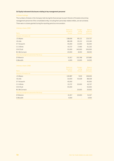# **(b) Equity instrument disclosures relating to key management personnel**

# *(i) Share holdings*

The numbers of shares in the Company held during the financial year by each Director of Envestra Ltd and key management personnel of the consolidated entity, including their personally-related entities, are set out below. There were no shares granted during the reporting period as remuneration.

# *Ordinary shares 2009*

|                                             | <b>Balance</b> at | Changes  | <b>Balance</b> |
|---------------------------------------------|-------------------|----------|----------------|
|                                             | the start of      | during   | at the end     |
| <b>Name</b>                                 | the year          | the year | of the year    |
| Directors of Envestra Ltd                   |                   |          |                |
| J G Allpass                                 | 138,606           | 85,121   | 223,727        |
| <b>IB</b> Little                            | 88,028            | 35,212   | 123,240        |
| E F Ainsworth                               | 45,000            | 21,000   | 66,000         |
| C C A Binks                                 | 43,737            | 17,495   | 61,232         |
| O B O'Duill                                 | 55,000            | 145,000  | 200,000        |
| M J McCormack                               | 20,000            | 8,000    | 28,000         |
| Other key management personnel of the Group |                   |          |                |
| D Petherick                                 | 51,917            | 155,768  | 207,685        |
| <b>G</b> Meredith                           | 4,000             | 10,000   | 14,000         |
|                                             |                   |          |                |

# *Ordinary shares 2008*

|                                             | Balance at   | Changes<br>during | <b>Balance</b><br>at the end<br>of the year |
|---------------------------------------------|--------------|-------------------|---------------------------------------------|
|                                             | the start of |                   |                                             |
| <b>Name</b>                                 | the year     | the year          |                                             |
| Directors of Envestra Ltd                   |              |                   |                                             |
| J G Allpass                                 | 130,987      | 7,619             | 138,606                                     |
| I B Little                                  | 33,000       | 55,028            | 88,028                                      |
| E F Ainsworth                               | 45,000       |                   | 45,000                                      |
| <b>CCABinks</b>                             | 23,737       | 20,000            | 43,737                                      |
| O B O'Duill                                 | 55,000       |                   | 55,000                                      |
| M J McCormack                               |              | 20,000            | 20,000                                      |
| Other key management personnel of the Group |              |                   |                                             |
| D Petherick                                 | 31,917       | 20,000            | 51,917                                      |
| <b>G</b> Meredith                           | 4,000        |                   | 4,000                                       |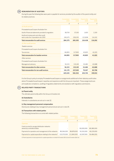#### **REMUNERATION OF AUDITORS 30**

During the year the following fees were paid or payable for services provided by the auditor of the parent entity and its related practices:

|                                                                               | Consolidated<br>2009 | Consolidated<br>2008 | Parent entity<br>2009 | Parent entity<br>2008 |
|-------------------------------------------------------------------------------|----------------------|----------------------|-----------------------|-----------------------|
|                                                                               | \$                   | \$                   | \$                    | ${\mathcal{Z}}$       |
| (a) Audit services                                                            |                      |                      |                       |                       |
| PricewaterhouseCoopers Australian firm                                        |                      |                      |                       |                       |
| Audit of financial statements provided to regulators                          | 38,700               | 37,100               | 1,600                 | 2,100                 |
| Audit and review work and other audit<br>work under the Corporations Act 2001 | 245,675              | 228,205              | 122,838               | 114,102               |
| <b>Total remuneration for audit services</b>                                  | 284,375              | 265,305              | 124.438               | 116,202               |
| (b) Non-audit services                                                        |                      |                      |                       |                       |
| <b>Taxation services</b>                                                      |                      |                      |                       |                       |
| PricewaterhouseCoopers Australian firm                                        |                      |                      |                       |                       |
| <b>Tax services</b>                                                           | 84,855               | 117,900              | 45,825                | 41,020                |
| <b>Total remuneration for taxation services</b>                               | 84,855               | 117,900              | 45,825                | 41,020                |
| Other services                                                                |                      |                      |                       |                       |
| PricewaterhouseCoopers Australian firm                                        |                      |                      |                       |                       |
| Management advisory                                                           | 56,315               | 119,149              | 33,482                | 42,688                |
| <b>Total remuneration for other services</b>                                  | 56,315               | 119,149              | 33,482                | 42,688                |
| Total remuneration for non-audit services                                     | 141,170              | 237,049              | 79,307                | 83,708                |
|                                                                               | 425,545              | 502.354              | 203,745               | 199.910               |

 It is the Group's policy to employ PricewaterhouseCoopers on assignments additional to their statutory audit duties where PricewaterhouseCoopers' expertise and experience with the Group are important. These assignments are principally tax compliance, auditing of regulatory statements and assistance with regulatory submissions .

#### **RELATED PARTY TRANSACTIONS 31**

# **(a) Parent entity**

The ultimate parent entity within the Group is Envestra Ltd.

# **(b) Subsidiaries**

Interests in subsidiaries are set out in note 32.

# **(c) Key management personnel compensation**

Disclosures relating to key management personnel are set out in note 29.

# **(d) Transactions with related parties**

The following transactions occurred with related parties:

|                                                                                 | Consolidated<br>2009 | Consolidated<br>2008 | Parent entity<br>2009 | Parent entity<br>2008 |
|---------------------------------------------------------------------------------|----------------------|----------------------|-----------------------|-----------------------|
|                                                                                 | \$                   | \$                   | \$                    | \$                    |
| Expenses                                                                        |                      |                      |                       |                       |
| Costs incurred to use gas distribution networks<br>owned by controlled entities |                      |                      | 90.000.000            | 89.380.000            |
| Payments for operation and management of the networks                           | 89.364.000           | 89.878.000           | 50,310,000            | 49,229,000            |
| Payments for capital expenditure relating to the networks <sup>(i)</sup>        | 110.570.000          | 111.840.000          | 62.097.000            | 56,484,000            |

(i) Parent payments include payments for capital expenditure on behalf of Envestra (SA) Ltd and Envestra (Qld) Ltd.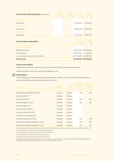| (d) Transactions with related parties (continued) | Consolidated<br>2009 | Consolidated<br>2008     | Parent entity<br>2009 | Parent entity<br>2008          |
|---------------------------------------------------|----------------------|--------------------------|-----------------------|--------------------------------|
|                                                   | \$                   | $\mathcal{L}$            | $\mathcal{S}$         | $\oint$                        |
| Interest revenue                                  |                      |                          |                       |                                |
| Subsidiaries                                      |                      |                          | 44,149,000            | 47,536,000                     |
| Dividend revenue                                  |                      |                          |                       |                                |
| <b>Subsidiaries</b>                               |                      |                          | 30,000,000            | 35,000,000                     |
| Interest expense                                  |                      |                          |                       |                                |
| <b>Subsidiaries</b>                               |                      | $\overline{\phantom{a}}$ | 12,317,000            | 14,991,000                     |
| (e) Loans to/from related parties                 |                      |                          |                       | Parent entity<br>2008          |
|                                                   |                      |                          | $\oint$               | $\mathcal{S}$                  |
| Net loans to subsidiaries                         |                      |                          |                       |                                |
| Beginning of the year                             |                      |                          | 279,200,000           | 297,664,000                    |
| Loans advanced                                    |                      |                          | 195,800,000           | 13,125,000                     |
| Loan repayments received/amounts drawn            |                      |                          |                       | $(137,700,000)$ $(31,589,000)$ |
| End of the year                                   |                      |                          |                       | 337,300,000 279,200,000        |

# **(f) Terms and conditions**

All other transactions were made on normal commercial terms and conditions and at market rates.

Outstanding balances are unsecured and are repayable in cash.

# **SUBSIDIARIES 32**

The consolidated financial statements incorporate the assets, liabilities and results of the following subsidiaries in accordance with the accounting policy described in note 1(b):

| Name of entity                              | Country of<br>incorporation | <b>Class</b><br>of shares | Equity holding<br>of Envestra Ltd<br>2009 | Equity holding<br>of Envestra Ltd<br>2008 |
|---------------------------------------------|-----------------------------|---------------------------|-------------------------------------------|-------------------------------------------|
|                                             |                             |                           | %                                         | %                                         |
| Envestra Natural Gas Networks Ltd(vi)       | Australia                   | Ordinary                  | 100                                       | 100                                       |
| Envestra (SA) Ltd(ii)(vi)                   | Australia                   | Ordinary                  |                                           |                                           |
| Envestra (QId) Ltd <sup>(vi)</sup>          | Australia                   | Ordinary                  | 100                                       | 100                                       |
| EnVic Holdings 1 Pty Ltd <sup>(iii)</sup>   | Australia                   | Ordinary                  | 100                                       | 100                                       |
| EnVic Holdings 2 Ltd <sup>(iv)</sup>        | Australia                   | Ordinary                  |                                           |                                           |
| Envestra Victoria Pty Ltd <sup>(v)</sup>    | Australia                   | Ordinary                  |                                           |                                           |
| Vic Gas Distribution Pty Ltd <sup>(i)</sup> | Australia                   | Ordinary                  |                                           |                                           |
| The Albury Gas Company Ltd <sup>(i)</sup>   | Australia                   | Ordinary                  |                                           |                                           |
| Envestra Transmission Pty Ltd               | Australia                   | Ordinary                  | 100                                       | 100                                       |
| Envestra Transmission Holdings 1 Pty Ltd    | Australia                   | Ordinary                  | 100                                       | 100                                       |
| Envestra Transmission Holdings 2 Pty Ltd    | Australia                   | Ordinary                  | 100                                       | 100                                       |

(i) Vic Gas Distribution Pty Ltd is a subsidiary of Envestra Victoria Pty Ltd. The Albury Gas Company Ltd is a subsidiary of Vic Gas Distribution Pty Ltd. (ii) Envestra (SA) Ltd is a subsidiary of Envestra Natural Gas Networks Ltd.

(iii) The book value of the investment in EnVic Holdings 1 Pty Ltd is \$100.

(iv) EnVic Holdings 2 Ltd is a subsidiary of EnVic Holdings 1 Pty Ltd.

(v) Envestra Victoria Pty Ltd is a subsidiary of EnVic Holdings 2 Ltd.

(vi) These subsidiaries have been granted relief from the necessity to prepare financial reports in accordance with Class Order 98/1418 issued by the Australian Securities and Investments Commission. For further information refer to note 33.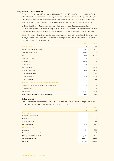

# **DEED OF CROSS GUARANTEE**

Envestra Ltd, Envestra Natural Gas Networks Ltd, Envestra (SA) Ltd and Envestra (Qld) Ltd are parties to a Deed of Cross Guarantee under which each company guarantees the debts of the others. By entering into the Deed, the wholly-owned entities have been relieved from the requirement to prepare a financial report and Directors' report under Class Order 98/1418 (as amended) issued by the Australian Securities and Investments Commission.

# **(a) Consolidated income statement and a summary of movements in consolidated retained earnings**

The above companies represent a 'Closed Group' for the purposes of the Class Order, and as there are no other parties to the Deed of Cross Guarantee that are controlled by Envestra Ltd, they also represent the 'Extended Closed Group'.

Set out below is a consolidated income statement and a summary of movements in consolidated retained earnings for the year ended 30 June 2009 of the Closed Group consisting of Envestra Ltd, Envestra Natural Gas Networks Ltd, Envestra (SA) Ltd and Envestra (Qld) Ltd.

|                                                          | 2009   | 2008   |
|----------------------------------------------------------|--------|--------|
| <b>Income Statement</b>                                  | \$M\$  | \$M\$  |
| Revenue from continuing activities                       | 256.1  | 234.1  |
| Network operating costs                                  | (50.6) | (49.3) |
| Gas                                                      | (10.7) | (11.4) |
| Administration costs                                     | (8.4)  | (8.2)  |
| Depreciation                                             | (34.7) | (33.5) |
| Amortisation                                             | (1.1)  | (1.3)  |
| Loan note interest                                       | (2.3)  | (10.8) |
| Other borrowing costs                                    | (72.1) | (67.3) |
| Profit before income tax                                 | 76.2   | 52.3   |
| Income tax expense                                       | (21.1) | (18.9) |
| Profit for the year                                      | 55.1   | 33.4   |
| Summary of movements in consolidated retained earnings   |        |        |
| Retained earnings at the beginning of the financial year | 93.8   | 68.4   |
| Profit for the year                                      | 55.1   | 33.4   |
| Dividends paid                                           | (24.6) | (8.0)  |
| Retained profits at the end of the financial year        | 124.3  | 93.8   |

# **(b) Balance sheet**

Set out below is a consolidated balance sheet as at 30 June 2009 of the Closed Group consisting of Envestra Ltd, Envestra Natural Gas Networks Ltd, Envestra (SA) Ltd and Envestra (Qld) Ltd.

| <b>Total assets</b>              | 1,731.5 | 1,631.5 |
|----------------------------------|---------|---------|
| <b>Total non-current assets</b>  | 1,690.7 | 1,589.4 |
| Property, plant and equipment    | 1,172.7 | 1,146.1 |
| Derivative financial instruments |         | 23.0    |
| <b>Receivables</b>               | 518.0   | 420.3   |
| Non-current assets               |         |         |
| <b>Total current assets</b>      | 40.8    | 42.1    |
| Other current assets             | 17.1    | 11.8    |
| <b>Receivables</b>               | 21.5    | 19.9    |
| Cash and cash equivalents        | 2.2     | 10.4    |
| Current assets                   |         |         |
|                                  | \$M\$   | \$M\$   |
|                                  | 2009    | 2008    |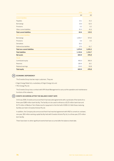|                                      | 2009    | 2008    |
|--------------------------------------|---------|---------|
|                                      | \$M     | \$M\$   |
| <b>Current liabilities</b>           |         |         |
| Payables                             | 15.1    | 15.2    |
| <b>Borrowings</b>                    | 10.0    | 62.5    |
| Provisions                           | 0.2     | 0.2     |
| Other current liabilities            | 35.3    | 41.6    |
| <b>Total current liabilities</b>     | 60.6    | 119.5   |
| Non-current liabilities              |         |         |
| <b>Borrowings</b>                    | 1,005.7 | 973.0   |
| Provisions                           | 0.6     | 0.5     |
| <b>Derivatives</b>                   | 26.2    |         |
| Deferred tax liabilities             | 37.5    | 61.7    |
| <b>Total non-current liabilities</b> | 1,070.0 | 1,035.2 |
| <b>Total liabilities</b>             | 1,130.6 | 1,154.7 |
| Net assets                           | 600.9   | 476.8   |
| Equity                               |         |         |
| Contributed equity                   | 495.0   | 366.9   |
| <b>Reserves</b>                      | (18.4)  | 16.1    |
| Retained earnings                    | 124.3   | 93.8    |
| <b>Total equity</b>                  | 600.9   | 476.8   |

# **ECONOMIC DEPENDENCY 34**

The Envestra Group has two major customers. They are:

- Origin Energy Retail Ltd, a subsidiary of Origin Energy Ltd; and
- TRU Energy Pty Ltd.

 The Envestra Group has a contract with APA Asset Management to carry out the operation and maintenance functions of the networks.

#### **EVENTS OCCURRING AFTER THE BALANCE SHEET DATE 35**

On 8 July 2009, Envestra announced that it had executed agreements with a syndicate of five banks for a three-year \$280 million bank facility. The facility is to be used to refinance a \$125 million bank loan and \$175 million of Medium Term Notes due for repayment in the first half of 2009-10. Both these maturing facilities are held in Envestra Victoria Pty Ltd.

 In addition, the Company also announced that it had reached agreement with ANZ to convert an undrawn, one-year, \$50 million working capital facility held with Envestra Victoria Pty Ltd, to a three-year, \$75 million term facility.

There have been no other significant events that have occurred after the balance sheet date.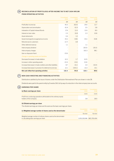# **RECONCILIATION OF PROFIT/(LOSS) AFTER INCOME TAX TO NET CASH INFLOW 36 FROM OPERATING ACTIVITIES**

|                                                              | Consolidated<br>2009 | Consolidated<br>2008 | Parent entity<br>2009 | <b>Parent entity</b><br>2008 |
|--------------------------------------------------------------|----------------------|----------------------|-----------------------|------------------------------|
|                                                              | \$M\$                | \$M\$                | \$M\$                 | \$M\$                        |
| Profit after income tax                                      | 40.3                 | 163.6                | 29.6                  | 12.7                         |
| Depreciation and amortisation                                | 61.9                 | 61.9                 | 3.5                   | 3.8                          |
| Indexation of Capital Indexed Bonds                          | 17.6                 | 12.4                 | 12.6                  | 8.9                          |
| Interest on loan notes                                       | 2.3                  | 10.8                 | 2.3                   | 10.8                         |
| Asset retirements                                            | 0.4                  | 1.0                  |                       |                              |
| Government grants recognised as income                       | (9.1)                | (9.8)                | (9.1)                 | (9.8)                        |
| Refunds due to customers                                     | (2.7)                | 3.8                  |                       |                              |
| Other deferred revenue                                       | 1.1                  |                      | 1.1                   |                              |
| Intercompany dividend                                        |                      |                      | (30.0)                | (35.0)                       |
| Intercompany charges                                         |                      |                      | 102.3                 | 98.1                         |
| Gain on disposal of land                                     | (5.9)                |                      |                       |                              |
| Change in operating assets and liabilities                   |                      |                      |                       |                              |
| Decrease/(increase) in trade debtors                         | (4.1)                | 1.7                  | (6.5)                 |                              |
| Increase in other operating assets                           | (0.3)                | (0.4)                | (0.4)                 |                              |
| Increase/(decrease) in trade creditors and other liabilities | 8.7                  | (6.1)                | 3.4                   | (10.0)                       |
| Increase/(decrease) in provision for deferred income tax     | 12.1                 | (144.1)              | 13.3                  | 10.1                         |
| Net cash inflow from operating activities                    | 122.3                | 94.8                 | 122.1                 | 89.6                         |

# **NON-CASH INVESTING AND FINANCING ACTIVITIES 37**

Distributions satisfied by the issue of shares under the Distribution Reinvestment Plan are shown in note 28.

Dividends were paid to the parent entity by Envestra (SA) Ltd by way of a reduction in the intercompany loan accounts.

# **EARNINGS PER SHARE 38**

| (a) Basic earnings per share                                                                    | 2009  | Consolidated Consolidated<br>2008. |
|-------------------------------------------------------------------------------------------------|-------|------------------------------------|
|                                                                                                 | Cents | Cents                              |
| Profit from continuing operations attributable to the ordinary equity<br>holders of the Company | 38    | 189                                |

# **(b) Diluted earnings per share**

The diluted earnings per share are the same as the basic earnings per share.

| (c) Weighted average number of shares used as the denominator      | 2009                      | Consolidated Consolidated<br>2008 |
|--------------------------------------------------------------------|---------------------------|-----------------------------------|
|                                                                    | Number                    | Number                            |
| Weighted average number of ordinary shares used as the denominator |                           |                                   |
| in calculating basic earnings per share                            | 1,053,310,046 865,700,404 |                                   |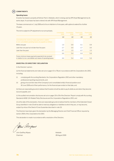

# **Operating leases**

Envestra has leased a property at Kidman Park in Adelaide, which is being used by APA Asset Management as its works depot. A sub-lease has been entered into with APA Asset Management.

 The lease commenced on 1 July 2006 and is for an initial term of nine years, with options to extend for a further 15 years.

The rent is subject to CPI adjustment on an annual basis.

|                                                                                                                        | Consolidated<br>2009 | Consolidated<br>2008 | Parent entity<br>2009 | <b>Parent entity</b><br>2008 |
|------------------------------------------------------------------------------------------------------------------------|----------------------|----------------------|-----------------------|------------------------------|
|                                                                                                                        | \$M                  | \$M                  | \$M                   | \$M                          |
| Commitment for minimum lease payments in relation<br>to non-cancellable operating leases are payable as follows:       |                      |                      |                       |                              |
| Within one year                                                                                                        | 1.0                  | 0.9                  | 0.1                   | 0.9                          |
| Later than one year but not later than five years                                                                      | 2.7                  | 3.0                  | 2.7                   | 3.0                          |
| Later than five years                                                                                                  | 0.7                  | 1.5                  | 0.7                   | 1.5                          |
|                                                                                                                        | 4.4                  | 5.4                  | 4.4                   | 5.4                          |
| Future minimum lease payments expected to be received<br>in relation to non-cancellable sub-leases of operating leases | 4.4                  | 5.4                  | 4.4                   | 5.4                          |

# **ENVESTRA LTD DIRECTORS' DECLARATION**

In the Directors' opinion:

(a) the financial statements and notes set out on pages 41 to 78 are in accordance with the *Corporations Act 2001*, including:

- (i) complying with Accounting Standards, the *Corporations Regulation 2001* and other mandatory professional reporting requirements; and
- (ii) giving a true and fair view of the Company's and consolidated entity's financial position as at 30 June 2009 and of their performance, for the financial year ended on that date; and

 (b) there are reasonable grounds to believe that Envestra Ltd will be able to pay its debts as and when they become due and payable; and

 (c) the audited remuneration disclosures set out on pages 33 to 39 of the Directors' Report comply with Accounting Standards AASB 124 *Related Party Disclosures* and the *Corporations Regulations 2001*; and

 (d) at the date of this declaration, there are reasonable grounds to believe that the members of the Extended Closed Group identified in note 33 will be able to meet any obligations or liabilities to which they are, or may become, subject by virtue of the Deed of Cross Guarantee described in note 33.

The Directors have been given the declaration by the Managing Director and Chief Financial Officer required by section 295A of the *Corporations Act 2001*.

This declaration is made in accordance with a resolution of the Directors.

John Aupass

John Geoffrey Allpass Adelaide Chairman 28 August 2009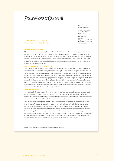# PRICEWATERHOUSE COPERS

PricewaterhouseCoopers ABN 52 780 433 757

91 King William Street ADELAIDE SA 5000 GPO Box 418 ADELAIDE SA 5001 DX 77 Adelaide Australia Telephone +61 8 8218 7000 Facsimile +61 8 8218 7999 www.pwc.com/au

Independent auditor's report to the members of Envestra Limited

#### **Report on the financial report**

We have audited the accompanying financial statements of Envestra Limited (the company), which comprises the balance sheet as at 30 June 2009, and the income statement, statement of changes in equity and cash flow statement for the year ended on that date, a summary of significant accounting policies, other explanatory notes and the directors' declaration for both Envestra Limited and the Envestra Limited Group (the consolidated entity). The consolidated entity comprises the company and the entities it controlled at the year's end or from time to time during the financial year.

# **Directors' responsibility for the financial report**

The directors of the company are responsible for the preparation and fair presentation of the financial report in accordance with Australian Accounting Standards (including the Australian Accounting Interpretations) and the *Corporations Act 2001*. This responsibility includes establishing and maintaining internal controls relevant to the preparation and fair presentation of the financial report that is free from material misstatement, whether due to fraud or error; selecting and applying appropriate accounting policies; and making accounting estimates that are reasonable in the circumstances. In Note 1, the directors also state, in accordance with Accounting Standard AASB 101 *Presentation of Financial Statements*, that compliance with the Australian equivalents to International Financial Reporting Standards ensures that the financial report, comprising the financial statements and notes, complies with International Financial Reporting Standards.

### **Auditor's responsibility**

Our responsibility is to express an opinion on the financial report based on our audit. We conducted our audit in accordance with Australian Auditing Standards. These Auditing Standards require that we comply with relevant ethical requirements relating to audit engagements and plan and perform the audit to obtain reasonable assurance whether the financial report is free from material misstatement.

 An audit involves performing procedures to obtain audit evidence about the amounts and disclosures in the financial report. The procedures selected depend on the auditor's judgement, including the assessment of the risks of material misstatement of the financial report, whether due to fraud or error. In making those risk assessments, the auditor considers internal control relevant to the entity's preparation and fair presentation of the financial report in order to design audit procedures that are appropriate in the circumstances, but not for the purpose of expressing an opinion on the effectiveness of the entity's internal control. An audit also includes evaluating the appropriateness of accounting policies used and the reasonableness of accounting estimates made by the directors, as well as evaluating the overall presentation of the financial report.

Liability limited by a scheme approved under Professional Standards Legislation.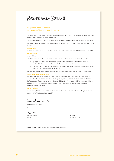# PRICEWATERHOUSE COPERS

# Independent auditor's report to

# the members of Envestra Limited *(continued)*

 Our procedures include reading the other information in the Annual Report to determine whether it contains any material inconsistencies with the financial report.

Our audit did not involve an analysis of the prudence of business decisions made by directors or management.

 We believe that the audit evidence we have obtained is sufficient and appropriate to provide a basis for our audit opinions.

#### **Independence**

In conducting our audit, we have complied with the independence requirements of the *Corporations Act 2001*.

**Auditor's opinion**

# In our opinion:

(a) the financial report of Envestra Limited is in accordance with the *Corporations Act 2001*, including:

- (i) giving a true and fair view of the company's and consolidated entity's financial position as at 30 June 2009 and of their performance for the year ended on that date; and
- (ii) complying with Australian Accounting Standards (including the Australian Accounting Interpretations) and the *Corporations Regulations 2001*; and

(b) the financial report also complies with International Financing Reporting Standards as disclosed in Note 1.

# **Report on the Remuneration Report**

We have audited the Remuneration Report included in pages 33 to 39 of the directors' report for the year ended 30 June 2009. The directors of the company are responsible for the preparation and presentation of the Remuneration Report in accordance with section 300A of the *Corporations Act 2001*. Our responsibility is to express an opinion on the Remuneration Report, based on our audit conducted in accordance with Australian Auditing Standards*.*

#### **Auditor's opinion**

In our opinion, the Remuneration Report of Envestra Limited for the year ended 30 June 2009, complies with section 300A of the *Corporations Act 2001.*

Knewcrahase Loopes

PricewaterhouseCoopers

Andrew Forman **Adelaide Adelaide** 

Partner 28 August 2009

Liability limited by a scheme approved under Professional Standards Legislation.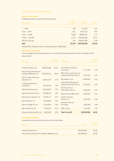# SHAREHOLDER INFORMATION

# **Number of shareholders**

At 28 August 2009, there were 18,323 shareholders

| Sharegrouping                                                    | Number of<br>shareholders | <b>Stapled</b><br>securities held | Percentage |  |
|------------------------------------------------------------------|---------------------------|-----------------------------------|------------|--|
|                                                                  |                           |                                   |            |  |
| $1 - 1,000$                                                      | 394                       | 225,165                           | 0.02       |  |
| $1,001 - 5,000$                                                  | 2,421                     | 8,524,312                         | 0.65       |  |
| $5,001 - 10,000$                                                 | 3,583                     | 28,883,351                        | 2.21       |  |
| $10,001 - 100,000$                                               | 11,372                    | 328,469,836                       | 25.13      |  |
| 100,001 and over                                                 | 553                       | 940.927.082                       | 71.99      |  |
| <b>Total</b>                                                     | 18.323                    | 1,307,029,746                     | 100.00     |  |
| Shareholders holding less than a marketable parcel of 398 shares |                           |                                   |            |  |

# **Twenty largest shareholders**

The percentage of the total holdings held by or on behalf of the 20 largest holders of shares at 28 August 2009 was as follows:

|                                                              |                        | Percentage   |                                                            |               | Percentage |
|--------------------------------------------------------------|------------------------|--------------|------------------------------------------------------------|---------------|------------|
| Organisation                                                 | <b>Shares</b>          | of shares    | Organisation                                               | <b>Shares</b> | of shares  |
| Australian Pipeline Ltd                                      | 396,807,986            | 30.36        | Queensland Investment<br>Corporation                       | 3,773,190     | 0.29       |
| Cheung Kong Infrastructure<br>Holdings (Malaysian) Ltd       | 240,489,032            | 18.40        | RBC Dexia Investor Services<br>Australia Nominees Pty Ltd  | 3,327,122     | 0.25       |
| <b>HSBC Custody Nominees</b><br>(Australia) Ltd              | 48,361,257             | 3.70         | Ramsleigh Pty Ltd                                          | 3,000,000     | 0.23       |
| J P Morgan Nominees<br>Australia Ltd                         | 38,144,109             | 2.92         | <b>UBS Wealth Management</b><br>Australia Nominees Pty Ltd | 2,631,831     | 0.20       |
| National Nominees Ltd                                        | 26,543,903             | 2.03         | Mr Andrew Bruce<br>& Mrs Wendy Bruce                       | 2,600,000     | 0.20       |
| <b>Citicorp Nominees Pty Ltd</b>                             | 24,248,229             | 1.86         | National Exchange Pty Ltd                                  | 2,425,000     | 0.19       |
| <b>Bond Street Custodians Ltd</b><br><b>ANZ Nominees Ltd</b> | 10,352,117             | 0.79<br>0.66 | Questor Financial<br>Services Ltd                          | 2,402,022     | 0.18       |
| Sellers Holdings Pty Ltd                                     | 8,634,859<br>6,025,000 | 0.46         | <b>Australian Executor</b><br>& Trustees                   | 2,364,066     | 0.18       |
| Argo Investments Ltd                                         | 5,545,412              | 0.42         | <b>AMP Life Ltd</b>                                        | 2,072,691     | 0.16       |
| Corporate Positioning Pty Ltd                                | 4,250,000              | 0.33         | Total for top 20                                           | 833,997,826   | 63.81      |

# **Substantial shareholders**

Substantial shareholder notices have been received as follows:

| Organisation                                        | <b>Shares</b> | Percentage<br>of shares |
|-----------------------------------------------------|---------------|-------------------------|
|                                                     |               |                         |
| Australian Pipeline Ltd                             | 396,807,986   | 30.36                   |
| Cheung Kong Infrastructure Holdings (Malaysian) Ltd | 240,489,032   | 18.40                   |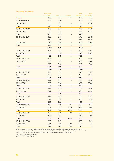| <b>Summary of distributions</b> |                                          |                         |                              |                                        |                      |
|---------------------------------|------------------------------------------|-------------------------|------------------------------|----------------------------------------|----------------------|
|                                 | Repayment<br>of loan note <sup>(i)</sup> | Interest <sup>(i)</sup> | <b>Dividends</b>             | <b>Total</b><br>payment <sup>(i)</sup> | Loan<br>note balance |
| Date paid                       | Cents                                    | Cents                   | Cents                        | Cents                                  | Cents                |
| 28 November 1997                | 3.77                                     | 0.88                    |                              | 4.65                                   | 66.23                |
| 29 May 1988                     | 1.45                                     | 1.65                    |                              | 3.10                                   | 64.78                |
| <b>Total</b>                    | 5.22                                     | 2.53                    |                              | 7.75                                   |                      |
| 27 November 1998                | 3.06                                     | 1.83                    |                              | 4.89                                   | 61.72                |
| 28 May 1999                     | 1.54                                     | 1.72                    |                              | 3.26                                   | 60.18                |
| <b>Total</b>                    | 4.60                                     | 3.55                    |                              | 8.15                                   |                      |
| 26 November 1999                | 3.59                                     | 1.81                    |                              | 5.40                                   | 56.59                |
|                                 | $3.59$ <sup>(ii)</sup>                   | $0.09$ <sup>(ii)</sup>  |                              | $3.68$ <sup>(ii)</sup>                 | 56.59                |
| 26 May 2000                     | 1.90                                     | 1.70                    |                              | 3.60                                   | 54.69                |
| <b>Total</b>                    | 5.49                                     | 3.51                    | $\overline{\phantom{0}}$     | 9.00                                   |                      |
|                                 | 5.49(ii)                                 | 1.79(ii)                |                              | 7.28(ii)                               |                      |
| 24 November 2000                | 3.77                                     | 1.78                    |                              | 5.55                                   | 50.92                |
| 25 May 2001                     | 2.05                                     | 1.65                    |                              | 3.70                                   | 48.87                |
| <b>Total</b>                    | 5.82                                     | 3.43                    |                              | 9.25                                   |                      |
| 26 November 2001                | 3.98                                     | 1.72                    |                              | 5.70                                   | 44.89                |
| 29 April 2002                   | 2.23                                     | 1.57                    |                              | 3.80                                   | 42.66                |
|                                 | $2.23$ <sup>(iii)</sup>                  | 0.20                    |                              | $2.43$ <sup>(iii)</sup>                | 42.66                |
| Total                           | 6.21                                     | 3.29                    | $\qquad \qquad \blacksquare$ | 9.50                                   |                      |
|                                 | $2.23$ <sup>(iii)</sup>                  | 0.20                    |                              | $2.43$ <sup>(iii)</sup>                |                      |
| 25 November 2002                | 3.99                                     | 1.71                    |                              | 5.70                                   | 38.67                |
| 29 April 2003                   | 2.26                                     | 1.54                    |                              | 3.80                                   | 36.41                |
| <b>Total</b>                    | 6.25                                     | 3.25                    |                              | 9.50                                   |                      |
| 28 November 2003                | 3.87                                     | 1.83                    |                              | 5.70                                   | 32.54                |
| 30 April 2004                   | 2.18                                     | 1.62                    |                              | 3.80                                   | 30.36                |
| <b>Total</b>                    | 6.05                                     | 3.45                    | -                            | 9.50                                   |                      |
| 30 November 2004                | 3.87                                     | 1.83                    |                              | 5.70                                   | 26.49                |
| 29 April 2005                   | 2.21                                     | 1.59                    |                              | 3.80                                   | 24.28                |
| Total                           | 6.08                                     | 3.42                    |                              | 9.50                                   |                      |
| 30 November 2005                | 3.87                                     | 1.83                    |                              | 5.70                                   | 20.41                |
| 26 May 2006                     | 2.27                                     | 1.53                    |                              | 3.80                                   | 18.14                |
| <b>Total</b>                    | 6.14                                     | 3.36                    |                              | 9.50                                   |                      |
| 30 November 2006                | 3.87                                     | 1.36                    | 0.47                         | 5.70                                   | 14.27                |
| 31 May 2007                     | 2.27                                     | 1.07                    | 0.46                         | 3.80                                   | 12.00                |
| <b>Total</b>                    | 6.14                                     | 2.43                    | 0.93                         | 9.50                                   |                      |
| 30 November 2007                | 3.87                                     | 0.90                    | 0.93                         | 5.70                                   | 8.13                 |
| 30 May 2008                     | 3.19                                     | 0.61                    |                              | 3.80                                   | 4.94                 |
| <b>Total</b>                    | 7.06                                     | 1.51                    | 0.93                         | 9.50                                   |                      |
| 28 November 2008                | 4.13                                     | 0.37                    |                              | 4.50                                   | 0.81                 |
| 29 May 2009                     | 0.81                                     | 0.05                    | 1.89                         | 2.75                                   | nil                  |
| <b>Total</b>                    | 4.94                                     | 0.42                    | 1.89                         | 7.25                                   |                      |

(i) Interest paid on the loan note is taxable income. The repayment of principal on the loan note reduces the cost base of the loan note component of the stapled security and this is taken into account for taxation purposes in calculating whether a capital gain or loss occurred on

disposal of the stapled security. Shareholders should consult their taxation adviser when preparing their tax return.

(ii) Securities issued 24 September 1999.

(iii) Securities issued 8 March 2002.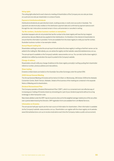#### **Voting rights**

The voting rights attached to each share at a meeting of shareholders of the Company are one vote per share on a poll and one vote per shareholder on a show of hands.

#### **Payment of distributions/dividends**

Distributions/dividends are paid directly to bank, building society or credit union accounts in Australia. The payments are electronically credited on the distribution payment date and confirmed by payment advices sent through the mail. Instructions received remain in force until amended or cancelled in writing.

#### **Tax file numbers, Australian business numbers or exemptions**

Australian taxpayers who do not provide their tax file number to the share registry will have the top marginal personal tax rate plus Medicare levy applied to their distributions. It is therefore in the interest of shareholders to ensure that this information is provided. Forms are available from the share registry to notify your tax file number, Australian business number or tax exemption details.

## **Annual Report mailing list**

Shareholders wishing to receive the annual report should advise the share registry in writing so that their names can be added to the mailing list. Alternatively, you can advise the registry via their website: www.linkmarketservices.com.au.

 The annual report is available on the Company's website: www.envestra.com.au. You can elect via the share registry's website to be notified by email when the report is posted to the Company's website.

#### **Change of address**

Shareholders should notify any change of address to the share registry promptly in writing quoting their shareholder reference number, previous address and new address.

#### **Share trading**

Envestra Limited shares are traded on the Australian Securities Exchange under the symbol ENV.

# **2009 Annual General Meeting**

The Annual General Meeting of Envestra will be held at 10:00am on Wednesday, 28 October 2009 at the Adelaide Convention Centre, North Terrace, Adelaide. Details of the business of the meeting are contained in the separate Notice of Meeting sent to shareholders.

#### **Dividend Reinvestment Plan**

The Company operates a Dividend Reinvestment Plan ('DRP'), which is a convenient and cost-effective way of increasing your holding of Envestra shares by reinvesting all or part of your dividend payments without incurring brokerage or other transaction costs.

 New shares allotted under the DRP may be issued at a discount to the weighted average market price of the securities over a period determined by the Directors. DRP registration forms are available from Link Market Services.

# **Information on Envestra**

The annual and half-year reports are the main source of information for shareholders. Other information is available via the Company's website: www.envestra.com.au. Shareholders can register with the share registry via its website: www.linkmarketservices.com.au to receive email advice each time the Company makes a public announcement.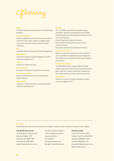

#### **AIFRS**

Australian equivalents to International Financial Reporting Standards.

#### **Access Arrangement**

Access Arrangements set out the terms and conditions under which third parties (retailers and large-volume consumers) may use Envestra's networks to deliver natural gas.

# **APA**

Australian Pipelines Group and APA Asset Management.

# **Gigajoule (GJ)**

Joules are a measure of energy. A gigajoule is equal to one joule multiplied by 10<sup>9</sup>.

## **Joule (J)**

Joules are a measure of energy.

#### **Lost Time Injury**

An injury that results in one full day or more off work.

#### **National Access Code**

National Third Party Access Code for Natural Gas Pipeline Systems.

#### **Petajoule (PJ)**

Joules are a measure of energy. A petajoule is equal to one joule multiplied by 1015.

#### **Regulator**

On 1 July 2008, responsibility for regulation of gas distribution networks was transferred to the Australian Energy Regulator. The State Regulators that formerly had this responsibility are:

- Victoria (Essential Services Commission)
- South Australia (Essential Services Commission of South Australia)
- Queensland (Queensland Competition Authority).

# **System Use Gas (SUG)**

System Use Gas (also referred to as Unaccounted For Gas) is the difference between the amount of gas that was metered into the networks and the amount metered to consumers.

# **Tariffs (Access Charges)**

The tariffs that Envestra charges retailers and large volume consumers for the service of transporting natural gas through the Company's distribution networks and transmission pipelines to their customers or premises.

# **Terajoule (TJ)**

Joules are a measure of energy. A terajoule is equal to one joule multiplied by 1012.

#### **Enquiries**

Shareholders who wish to enquire about their holdings in Envestra should contact the Company's share registry.

# **Link Market Services Ltd**

Locked Bag A14, Sydney South New South Wales, 1235 Telephone (02) 8280 7788 Facsimile (02) 9287 0303 www.linkmarketservices.com.au

 Any other enquiries relating to the Company's operations may be directed to: Des Petherick Company Secretary and Manager, Corporate Services

# **Envestra Limited**

Level 10, 81 Flinders Street Adelaide, South Australia 5000 Telephone (08) 8227 1500 Facsimile (08) 8227 1511 des.petherick@envestra.com.au www.envestra.com.au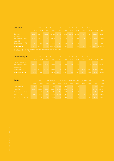| <b>Consumers</b>                 |        | Victoria |        | South Australia                               |        | Queensland |                 | <b>New South Wales</b> |       | <b>Northern Territory</b> |        | <b>Total</b>              |  |
|----------------------------------|--------|----------|--------|-----------------------------------------------|--------|------------|-----------------|------------------------|-------|---------------------------|--------|---------------------------|--|
|                                  | 2009   | 2008     | 2009   | 2008                                          | 2009   | 2008       | 2009            | 2008                   | 2009  | 2008                      | 2009   | 2008                      |  |
| <b>Domestic</b>                  |        |          |        | 513,243 500,472 383,610 376,432 79,146 76,476 |        |            | 22.267          | 21.806                 | 950   |                           |        | 947 999,216 976,133       |  |
| Industrial<br>& commercial <10TJ | 22.746 | 22,620   | 10.011 | 9.839                                         | 3.255  | 3.172      | 1.097           | 1.088                  | 96    | -99                       | 37.205 | 36,818                    |  |
| Industrial<br>& commercial >10TJ | 237    | 234      | 181    | 179                                           | 77     | 79         | 12 <sup>°</sup> | 111                    |       |                           | 508    | 504                       |  |
| <b>Total consumers</b> (i)(ii)   |        |          |        | 536,226 523,326 393,802 386,450               | 82.478 | 79.727     | 23.376          | 22.905                 | 1.047 |                           |        | 1.047 1.036.929 1.013.455 |  |

| <b>Gas Delivered (TJ)</b>                  |        | Victoria | South Australia |        |        | Queensland |       | <b>New South Wales</b> |       | <b>Northern Territory</b> |                       | <b>Total</b> |  |
|--------------------------------------------|--------|----------|-----------------|--------|--------|------------|-------|------------------------|-------|---------------------------|-----------------------|--------------|--|
|                                            | 2009   | 2008     | 2009            | 2008   | 2009   | 2008       | 2009  | 2008                   | 2009  | 2008                      | 2009                  | 2008         |  |
| Domestic, industrial<br>& commercial <10TJ | 34.540 | 32.922   | 11.072          | 10.435 | 2.242  | 2.148      | 1.248 | 1.203                  | 63    | 69                        | 49.165                | 46.777       |  |
| Industrial &<br>commandicial > 10TJ        | 21.088 | 22.519   | 24.916          | 25.615 | 14,255 | $-14.320$  | 2.319 | 2.472                  | 3.212 | 3.115                     | 65.790                | 68.041       |  |
| <b>Total gas delivered</b>                 | 55.628 | 55.441   | 35.988          | 36,050 | 16.497 | 16.468     | 3.567 | 3.675                  | 3.275 |                           | 3.184 114.955 114.818 |              |  |

| <b>Assets</b>               |        | Victoria |       | <b>South Australia</b> |       | Queensland, |                 | <b>New South Wales</b> |          | <b>Northern Territory</b> |        | <b>Total</b> |  |
|-----------------------------|--------|----------|-------|------------------------|-------|-------------|-----------------|------------------------|----------|---------------------------|--------|--------------|--|
|                             | 2009   | 2008     | 2009  | 2008                   | 2009  | 2008        | 2009            | 2008                   | 2009     | 2008                      | 2009   | 2008         |  |
| New mains (km)              | 181    | 203      | 76    | 93                     | 28    | 29          | 12 <sup>°</sup> | -8                     |          | $\Omega$                  | 298    | 333          |  |
| New inlets                  | 13.215 | 13.528   | 8.350 | 9.224                  | 2.461 | 3.151       | 461             | 544                    | $\Omega$ | $\Omega$                  | 24,487 | 26.447       |  |
| Replacement mains (km)      | 28     | 55       | 65    | 102                    | 21    | 21          | $\Omega$        | $\Omega$               | $\Omega$ | $\Omega$                  | 114    | 178          |  |
| Total mains (km)            | 9.474  | 9.267    | 7.804 | 7.709                  | 2.512 | 2.480       | 608             | 595                    | 38       | 37                        | 20,436 | 20,087       |  |
| Transmission pipelines (km) | 212    | 208      | 372   | 372                    | 284   | 284         | 20              | 20                     | 153      | 147                       | 1.041  | 1.031        |  |